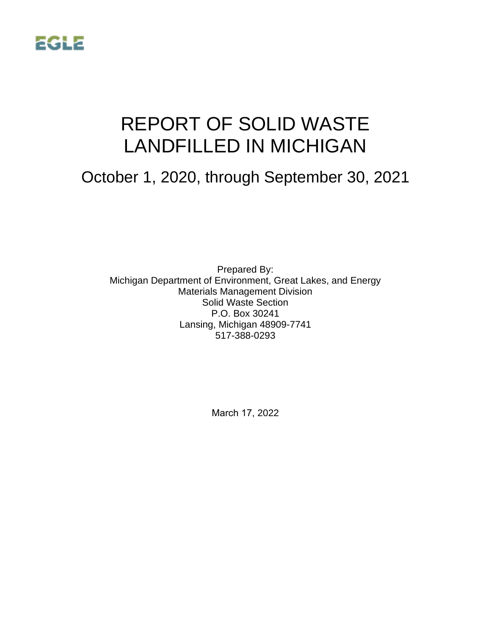

# REPORT OF SOLID WASTE LANDFILLED IN MICHIGAN

## October 1, 2020, through September 30, 2021

Prepared By: Michigan Department of Environment, Great Lakes, and Energy Materials Management Division Solid Waste Section P.O. Box 30241 Lansing, Michigan 48909-7741 517-388-0293

March 17, 2022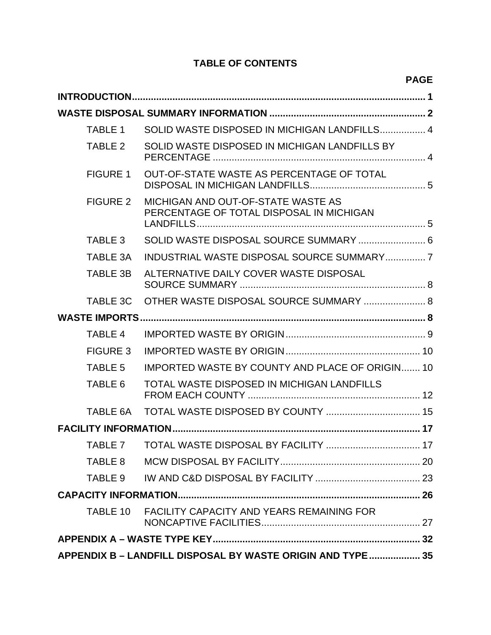## **TABLE OF CONTENTS**

|                                                            |                                                                                | <b>PAGE</b> |  |  |
|------------------------------------------------------------|--------------------------------------------------------------------------------|-------------|--|--|
|                                                            |                                                                                |             |  |  |
|                                                            |                                                                                |             |  |  |
| <b>TABLE 1</b>                                             | SOLID WASTE DISPOSED IN MICHIGAN LANDFILLS 4                                   |             |  |  |
| TABLE 2                                                    | SOLID WASTE DISPOSED IN MICHIGAN LANDFILLS BY                                  |             |  |  |
| <b>FIGURE 1</b>                                            | OUT-OF-STATE WASTE AS PERCENTAGE OF TOTAL                                      |             |  |  |
| <b>FIGURE 2</b>                                            | MICHIGAN AND OUT-OF-STATE WASTE AS<br>PERCENTAGE OF TOTAL DISPOSAL IN MICHIGAN |             |  |  |
| TABLE 3                                                    | SOLID WASTE DISPOSAL SOURCE SUMMARY  6                                         |             |  |  |
| TABLE 3A                                                   | INDUSTRIAL WASTE DISPOSAL SOURCE SUMMARY7                                      |             |  |  |
| <b>TABLE 3B</b>                                            | ALTERNATIVE DAILY COVER WASTE DISPOSAL                                         |             |  |  |
| <b>TABLE 3C</b>                                            | OTHER WASTE DISPOSAL SOURCE SUMMARY  8                                         |             |  |  |
|                                                            |                                                                                |             |  |  |
| <b>TABLE 4</b>                                             |                                                                                |             |  |  |
| <b>FIGURE 3</b>                                            |                                                                                |             |  |  |
| <b>TABLE 5</b>                                             | <b>IMPORTED WASTE BY COUNTY AND PLACE OF ORIGIN 10</b>                         |             |  |  |
| TABLE 6                                                    | TOTAL WASTE DISPOSED IN MICHIGAN LANDFILLS                                     |             |  |  |
| TABLE 6A                                                   |                                                                                |             |  |  |
|                                                            |                                                                                |             |  |  |
| TABLE 7                                                    |                                                                                |             |  |  |
| TABLE 8                                                    |                                                                                |             |  |  |
| TABLE 9                                                    |                                                                                |             |  |  |
|                                                            |                                                                                |             |  |  |
| TABLE 10                                                   | <b>FACILITY CAPACITY AND YEARS REMAINING FOR</b>                               |             |  |  |
|                                                            |                                                                                |             |  |  |
| APPENDIX B - LANDFILL DISPOSAL BY WASTE ORIGIN AND TYPE 35 |                                                                                |             |  |  |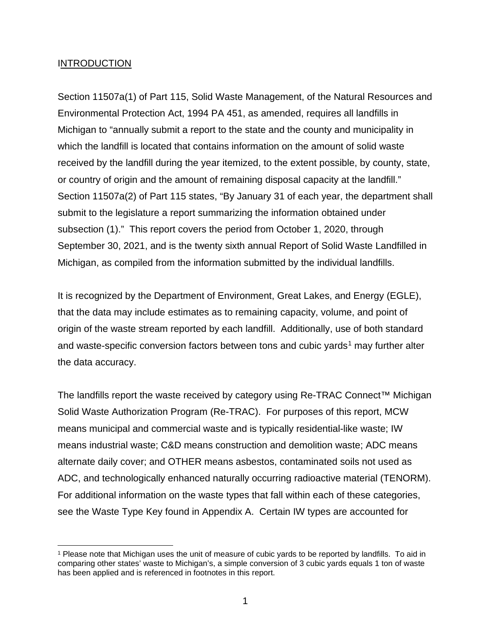#### INTRODUCTION

Section 11507a(1) of Part 115, Solid Waste Management, of the Natural Resources and Environmental Protection Act, 1994 PA 451, as amended, requires all landfills in Michigan to "annually submit a report to the state and the county and municipality in which the landfill is located that contains information on the amount of solid waste received by the landfill during the year itemized, to the extent possible, by county, state, or country of origin and the amount of remaining disposal capacity at the landfill." Section 11507a(2) of Part 115 states, "By January 31 of each year, the department shall submit to the legislature a report summarizing the information obtained under subsection (1)." This report covers the period from October 1, 2020, through September 30, 2021, and is the twenty sixth annual Report of Solid Waste Landfilled in Michigan, as compiled from the information submitted by the individual landfills.

It is recognized by the Department of Environment, Great Lakes, and Energy (EGLE), that the data may include estimates as to remaining capacity, volume, and point of origin of the waste stream reported by each landfill. Additionally, use of both standard and waste-specific conversion factors between tons and cubic yards<sup>[1](#page-2-0)</sup> may further alter the data accuracy.

The landfills report the waste received by category using Re-TRAC Connect™ Michigan Solid Waste Authorization Program (Re-TRAC). For purposes of this report, MCW means municipal and commercial waste and is typically residential-like waste; IW means industrial waste; C&D means construction and demolition waste; ADC means alternate daily cover; and OTHER means asbestos, contaminated soils not used as ADC, and technologically enhanced naturally occurring radioactive material (TENORM). For additional information on the waste types that fall within each of these categories, see the Waste Type Key found in Appendix A. Certain IW types are accounted for

<span id="page-2-0"></span><sup>1</sup> Please note that Michigan uses the unit of measure of cubic yards to be reported by landfills. To aid in comparing other states' waste to Michigan's, a simple conversion of 3 cubic yards equals 1 ton of waste has been applied and is referenced in footnotes in this report.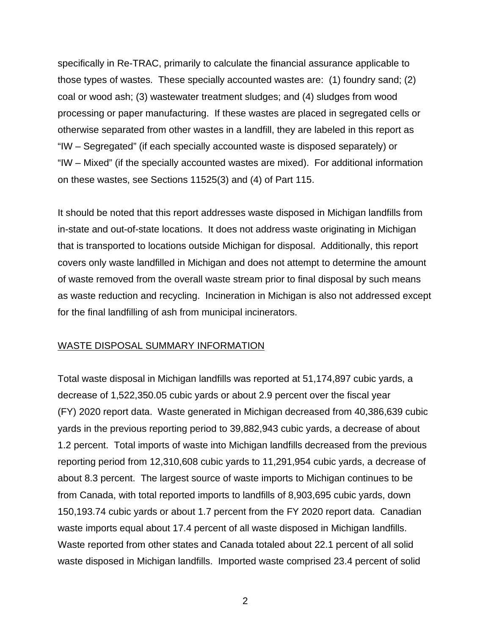specifically in Re-TRAC, primarily to calculate the financial assurance applicable to those types of wastes. These specially accounted wastes are: (1) foundry sand; (2) coal or wood ash; (3) wastewater treatment sludges; and (4) sludges from wood processing or paper manufacturing. If these wastes are placed in segregated cells or otherwise separated from other wastes in a landfill, they are labeled in this report as "IW – Segregated" (if each specially accounted waste is disposed separately) or "IW – Mixed" (if the specially accounted wastes are mixed). For additional information on these wastes, see Sections 11525(3) and (4) of Part 115.

It should be noted that this report addresses waste disposed in Michigan landfills from in-state and out-of-state locations. It does not address waste originating in Michigan that is transported to locations outside Michigan for disposal. Additionally, this report covers only waste landfilled in Michigan and does not attempt to determine the amount of waste removed from the overall waste stream prior to final disposal by such means as waste reduction and recycling. Incineration in Michigan is also not addressed except for the final landfilling of ash from municipal incinerators.

#### WASTE DISPOSAL SUMMARY INFORMATION

Total waste disposal in Michigan landfills was reported at 51,174,897 cubic yards, a decrease of 1,522,350.05 cubic yards or about 2.9 percent over the fiscal year (FY) 2020 report data. Waste generated in Michigan decreased from 40,386,639 cubic yards in the previous reporting period to 39,882,943 cubic yards, a decrease of about 1.2 percent. Total imports of waste into Michigan landfills decreased from the previous reporting period from 12,310,608 cubic yards to 11,291,954 cubic yards, a decrease of about 8.3 percent. The largest source of waste imports to Michigan continues to be from Canada, with total reported imports to landfills of 8,903,695 cubic yards, down 150,193.74 cubic yards or about 1.7 percent from the FY 2020 report data. Canadian waste imports equal about 17.4 percent of all waste disposed in Michigan landfills. Waste reported from other states and Canada totaled about 22.1 percent of all solid waste disposed in Michigan landfills. Imported waste comprised 23.4 percent of solid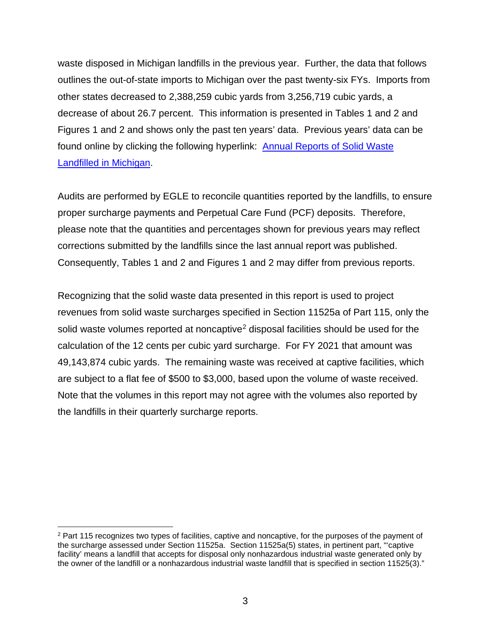waste disposed in Michigan landfills in the previous year. Further, the data that follows outlines the out-of-state imports to Michigan over the past twenty-six FYs. Imports from other states decreased to 2,388,259 cubic yards from 3,256,719 cubic yards, a decrease of about 26.7 percent. This information is presented in Tables 1 and 2 and Figures 1 and 2 and shows only the past ten years' data. Previous years' data can be found online by clicking the following hyperlink: [Annual Reports of Solid Waste](http://www.michigan.gov/deq/0,1607,7-135-3312_4123-47581--,00.html)  [Landfilled in Michigan.](http://www.michigan.gov/deq/0,1607,7-135-3312_4123-47581--,00.html)

Audits are performed by EGLE to reconcile quantities reported by the landfills, to ensure proper surcharge payments and Perpetual Care Fund (PCF) deposits. Therefore, please note that the quantities and percentages shown for previous years may reflect corrections submitted by the landfills since the last annual report was published. Consequently, Tables 1 and 2 and Figures 1 and 2 may differ from previous reports.

Recognizing that the solid waste data presented in this report is used to project revenues from solid waste surcharges specified in Section 11525a of Part 115, only the solid waste volumes reported at noncaptive<sup>[2](#page-4-0)</sup> disposal facilities should be used for the calculation of the 12 cents per cubic yard surcharge. For FY 2021 that amount was 49,143,874 cubic yards. The remaining waste was received at captive facilities, which are subject to a flat fee of \$500 to \$3,000, based upon the volume of waste received. Note that the volumes in this report may not agree with the volumes also reported by the landfills in their quarterly surcharge reports.

<span id="page-4-0"></span><sup>&</sup>lt;sup>2</sup> Part 115 recognizes two types of facilities, captive and noncaptive, for the purposes of the payment of the surcharge assessed under Section 11525a. Section 11525a(5) states, in pertinent part, "'captive facility' means a landfill that accepts for disposal only nonhazardous industrial waste generated only by the owner of the landfill or a nonhazardous industrial waste landfill that is specified in section 11525(3)."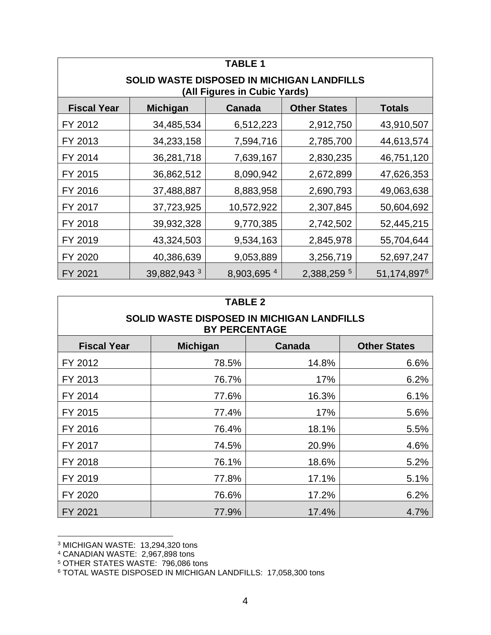| TABLE 1                                                                           |                 |             |                     |               |  |
|-----------------------------------------------------------------------------------|-----------------|-------------|---------------------|---------------|--|
| <b>SOLID WASTE DISPOSED IN MICHIGAN LANDFILLS</b><br>(All Figures in Cubic Yards) |                 |             |                     |               |  |
| <b>Fiscal Year</b>                                                                | <b>Michigan</b> | Canada      | <b>Other States</b> | <b>Totals</b> |  |
| FY 2012                                                                           | 34,485,534      | 6,512,223   | 2,912,750           | 43,910,507    |  |
| FY 2013                                                                           | 34,233,158      | 7,594,716   | 2,785,700           | 44,613,574    |  |
| FY 2014                                                                           | 36,281,718      | 7,639,167   | 2,830,235           | 46,751,120    |  |
| FY 2015                                                                           | 36,862,512      | 8,090,942   | 2,672,899           | 47,626,353    |  |
| FY 2016                                                                           | 37,488,887      | 8,883,958   | 2,690,793           | 49,063,638    |  |
| FY 2017                                                                           | 37,723,925      | 10,572,922  | 2,307,845           | 50,604,692    |  |
| FY 2018                                                                           | 39,932,328      | 9,770,385   | 2,742,502           | 52,445,215    |  |
| FY 2019                                                                           | 43,324,503      | 9,534,163   | 2,845,978           | 55,704,644    |  |
| FY 2020                                                                           | 40,386,639      | 9,053,889   | 3,256,719           | 52,697,247    |  |
| FY 2021                                                                           | 39,882,943 3    | 8,903,695 4 | 2,388,259 5         | 51, 174, 8976 |  |

| <b>TABLE 2</b>                                                     |                 |               |                     |
|--------------------------------------------------------------------|-----------------|---------------|---------------------|
| SOLID WASTE DISPOSED IN MICHIGAN LANDFILLS<br><b>BY PERCENTAGE</b> |                 |               |                     |
| <b>Fiscal Year</b>                                                 | <b>Michigan</b> | <b>Canada</b> | <b>Other States</b> |
| FY 2012                                                            | 78.5%           | 14.8%         | 6.6%                |
| FY 2013                                                            | 76.7%           | 17%           | 6.2%                |
| FY 2014                                                            | 77.6%           | 16.3%         | 6.1%                |
| FY 2015                                                            | 77.4%           | 17%           | 5.6%                |
| FY 2016                                                            | 76.4%           | 18.1%         | 5.5%                |
| FY 2017                                                            | 74.5%           | 20.9%         | 4.6%                |
| FY 2018                                                            | 76.1%           | 18.6%         | 5.2%                |
| FY 2019                                                            | 77.8%           | 17.1%         | 5.1%                |
| FY 2020                                                            | 76.6%           | 17.2%         | 6.2%                |
| FY 2021                                                            | 77.9%           | 17.4%         | 4.7%                |

<span id="page-5-0"></span><sup>3</sup> MICHIGAN WASTE: 13,294,320 tons

<span id="page-5-1"></span><sup>4</sup> CANADIAN WASTE: 2,967,898 tons

<span id="page-5-2"></span><sup>5</sup> OTHER STATES WASTE: 796,086 tons

<span id="page-5-3"></span><sup>6</sup> TOTAL WASTE DISPOSED IN MICHIGAN LANDFILLS: 17,058,300 tons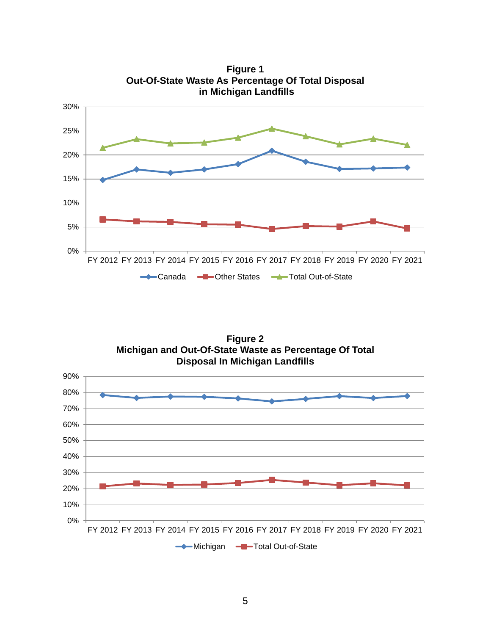

**Figure 2 Michigan and Out-Of-State Waste as Percentage Of Total Disposal In Michigan Landfills**

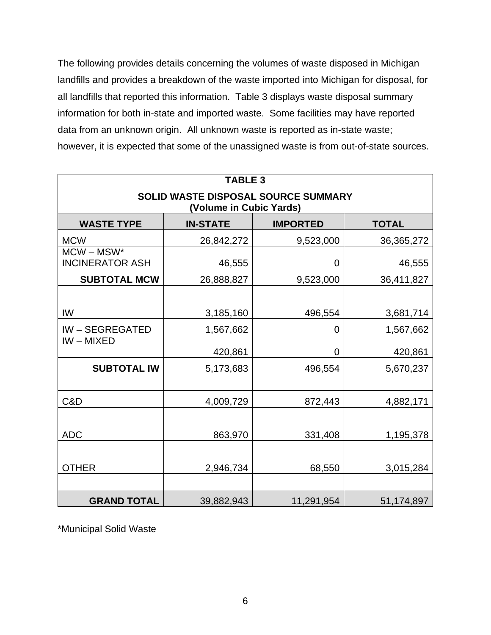The following provides details concerning the volumes of waste disposed in Michigan landfills and provides a breakdown of the waste imported into Michigan for disposal, for all landfills that reported this information. Table 3 displays waste disposal summary information for both in-state and imported waste. Some facilities may have reported data from an unknown origin. All unknown waste is reported as in-state waste; however, it is expected that some of the unassigned waste is from out-of-state sources.

| <b>TABLE 3</b>                                                 |                                                    |            |            |  |  |
|----------------------------------------------------------------|----------------------------------------------------|------------|------------|--|--|
| SOLID WASTE DISPOSAL SOURCE SUMMARY<br>(Volume in Cubic Yards) |                                                    |            |            |  |  |
| <b>WASTE TYPE</b>                                              | <b>IN-STATE</b><br><b>IMPORTED</b><br><b>TOTAL</b> |            |            |  |  |
| <b>MCW</b>                                                     | 26,842,272                                         | 9,523,000  | 36,365,272 |  |  |
| $MCW - MSW^*$<br><b>INCINERATOR ASH</b>                        | 46,555                                             | 0          | 46,555     |  |  |
| <b>SUBTOTAL MCW</b>                                            | 26,888,827                                         | 9,523,000  | 36,411,827 |  |  |
|                                                                |                                                    |            |            |  |  |
| IW                                                             | 3,185,160                                          | 496,554    | 3,681,714  |  |  |
| <b>IW-SEGREGATED</b>                                           | 1,567,662                                          | 0          | 1,567,662  |  |  |
| $IW - MIXED$                                                   | 420,861                                            | 0          | 420,861    |  |  |
| <b>SUBTOTAL IW</b>                                             | 5,173,683                                          | 496,554    | 5,670,237  |  |  |
|                                                                |                                                    |            |            |  |  |
| C&D                                                            | 4,009,729                                          | 872,443    | 4,882,171  |  |  |
|                                                                |                                                    |            |            |  |  |
| <b>ADC</b>                                                     | 863,970                                            | 331,408    | 1,195,378  |  |  |
|                                                                |                                                    |            |            |  |  |
| <b>OTHER</b>                                                   | 2,946,734                                          | 68,550     | 3,015,284  |  |  |
|                                                                |                                                    |            |            |  |  |
| <b>GRAND TOTAL</b>                                             | 39,882,943                                         | 11,291,954 | 51,174,897 |  |  |

\*Municipal Solid Waste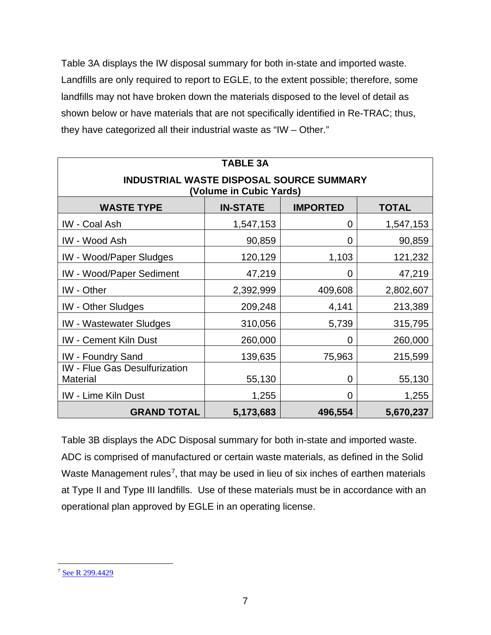Table 3A displays the IW disposal summary for both in-state and imported waste. Landfills are only required to report to EGLE, to the extent possible; therefore, some landfills may not have broken down the materials disposed to the level of detail as shown below or have materials that are not specifically identified in Re-TRAC; thus, they have categorized all their industrial waste as "IW – Other."

| <b>TABLE 3A</b>                                                            |                                                    |         |           |  |  |
|----------------------------------------------------------------------------|----------------------------------------------------|---------|-----------|--|--|
| <b>INDUSTRIAL WASTE DISPOSAL SOURCE SUMMARY</b><br>(Volume in Cubic Yards) |                                                    |         |           |  |  |
| <b>WASTE TYPE</b>                                                          | <b>IN-STATE</b><br><b>IMPORTED</b><br><b>TOTAL</b> |         |           |  |  |
| <b>IW</b> - Coal Ash                                                       | 1,547,153                                          | 0       | 1,547,153 |  |  |
| <b>IW - Wood Ash</b>                                                       | 90,859                                             | 0       | 90,859    |  |  |
| <b>IW</b> - Wood/Paper Sludges                                             | 120,129                                            | 1,103   | 121,232   |  |  |
| <b>IW - Wood/Paper Sediment</b>                                            | 47,219                                             | 0       | 47,219    |  |  |
| <b>IW</b> - Other                                                          | 2,392,999                                          | 409,608 | 2,802,607 |  |  |
| <b>IW</b> - Other Sludges                                                  | 209,248                                            | 4,141   | 213,389   |  |  |
| <b>IW</b> - Wastewater Sludges                                             | 310,056                                            | 5,739   | 315,795   |  |  |
| <b>IW</b> - Cement Kiln Dust                                               | 260,000                                            | 0       | 260,000   |  |  |
| <b>IW</b> - Foundry Sand                                                   | 139,635                                            | 75,963  | 215,599   |  |  |
| <b>IW</b> - Flue Gas Desulfurization<br><b>Material</b>                    | 55,130                                             | 0       | 55,130    |  |  |
| <b>IW - Lime Kiln Dust</b>                                                 | 1,255                                              | 0       | 1,255     |  |  |
| <b>GRAND TOTAL</b><br>5,173,683<br>496,554<br>5,670,237                    |                                                    |         |           |  |  |

Table 3B displays the ADC Disposal summary for both in-state and imported waste. ADC is comprised of manufactured or certain waste materials, as defined in the Solid Waste Management rules<sup>[7](#page-8-0)</sup>, that may be used in lieu of six inches of earthen materials at Type II and Type III landfills. Use of these materials must be in accordance with an operational plan approved by EGLE in an operating license.

<span id="page-8-0"></span><sup>7</sup> [See R 299.4429](https://www.google.com/url?sa=t&rct=j&q=&esrc=s&source=web&cd=&ved=2ahUKEwjLrtP1xsD1AhWGKDQIHQn5Al4QFnoECAMQAQ&url=https%3A%2F%2Fars.apps.lara.state.mi.us%2FAdminCode%2FDownloadAdminCodeFile%3FFileName%3D1485_2014-146EQ_AdminCode.pdf&usg=AOvVaw0hWdToqKi3ZN296rUNzLIM)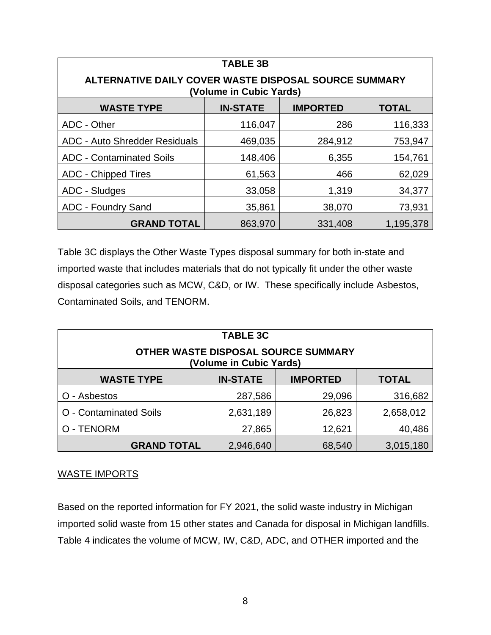| <b>TABLE 3B</b>                                                                  |         |         |         |  |
|----------------------------------------------------------------------------------|---------|---------|---------|--|
| ALTERNATIVE DAILY COVER WASTE DISPOSAL SOURCE SUMMARY<br>(Volume in Cubic Yards) |         |         |         |  |
| <b>WASTE TYPE</b><br><b>IN-STATE</b><br><b>IMPORTED</b><br><b>TOTAL</b>          |         |         |         |  |
| ADC - Other                                                                      | 116,047 | 286     | 116,333 |  |
| <b>ADC - Auto Shredder Residuals</b>                                             | 469,035 | 284,912 | 753,947 |  |
| <b>ADC - Contaminated Soils</b>                                                  | 148,406 | 6,355   | 154,761 |  |
| <b>ADC - Chipped Tires</b>                                                       | 61,563  | 466     | 62,029  |  |
| ADC - Sludges                                                                    | 33,058  | 1,319   | 34,377  |  |
| <b>ADC - Foundry Sand</b><br>73,931<br>35,861<br>38,070                          |         |         |         |  |
| <b>GRAND TOTAL</b><br>863,970<br>1,195,378<br>331,408                            |         |         |         |  |

Table 3C displays the Other Waste Types disposal summary for both in-state and imported waste that includes materials that do not typically fit under the other waste disposal categories such as MCW, C&D, or IW. These specifically include Asbestos, Contaminated Soils, and TENORM.

| <b>TABLE 3C</b><br>OTHER WASTE DISPOSAL SOURCE SUMMARY<br>(Volume in Cubic Yards) |                 |                 |              |  |
|-----------------------------------------------------------------------------------|-----------------|-----------------|--------------|--|
| <b>WASTE TYPE</b>                                                                 | <b>IN-STATE</b> | <b>IMPORTED</b> | <b>TOTAL</b> |  |
| - Asbestos                                                                        | 287,586         | 29,096          | 316,682      |  |
| O - Contaminated Soils                                                            | 2,631,189       | 26,823          | 2,658,012    |  |
| O - TENORM                                                                        | 27,865          | 12,621          | 40,486       |  |
| <b>GRAND TOTAL</b><br>3,015,180<br>2,946,640<br>68,540                            |                 |                 |              |  |

#### WASTE IMPORTS

Based on the reported information for FY 2021, the solid waste industry in Michigan imported solid waste from 15 other states and Canada for disposal in Michigan landfills. Table 4 indicates the volume of MCW, IW, C&D, ADC, and OTHER imported and the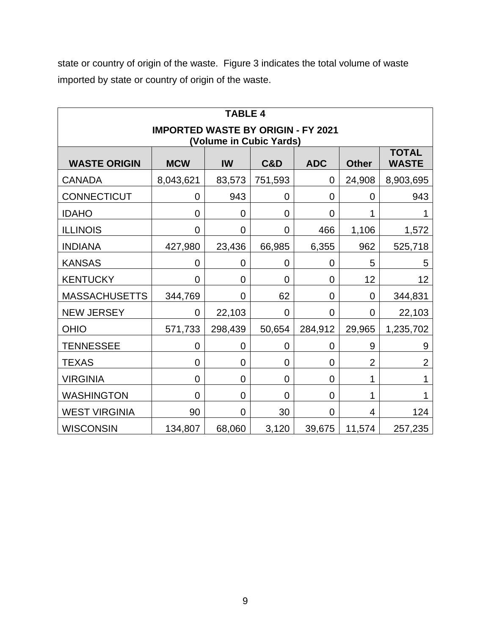state or country of origin of the waste. Figure 3 indicates the total volume of waste imported by state or country of origin of the waste.

| <b>TABLE 4</b>                                                       |                |                |                |                |                |                              |
|----------------------------------------------------------------------|----------------|----------------|----------------|----------------|----------------|------------------------------|
| <b>IMPORTED WASTE BY ORIGIN - FY 2021</b><br>(Volume in Cubic Yards) |                |                |                |                |                |                              |
| <b>WASTE ORIGIN</b>                                                  | <b>MCW</b>     | IW             | <b>C&amp;D</b> | <b>ADC</b>     | <b>Other</b>   | <b>TOTAL</b><br><b>WASTE</b> |
| <b>CANADA</b>                                                        | 8,043,621      | 83,573         | 751,593        | $\overline{0}$ | 24,908         | 8,903,695                    |
| CONNECTICUT                                                          | 0              | 943            | 0              | 0              | 0              | 943                          |
| <b>IDAHO</b>                                                         | $\overline{0}$ | 0              | $\overline{0}$ | $\overline{0}$ | 1              | 1                            |
| <b>ILLINOIS</b>                                                      | $\mathbf 0$    | 0              | 0              | 466            | 1,106          | 1,572                        |
| <b>INDIANA</b>                                                       | 427,980        | 23,436         | 66,985         | 6,355          | 962            | 525,718                      |
| <b>KANSAS</b>                                                        | 0              | 0              | 0              | 0              | 5              | 5                            |
| <b>KENTUCKY</b>                                                      | 0              | 0              | 0              | 0              | 12             | 12                           |
| <b>MASSACHUSETTS</b>                                                 | 344,769        | 0              | 62             | 0              | $\overline{0}$ | 344,831                      |
| <b>NEW JERSEY</b>                                                    | 0              | 22,103         | 0              | 0              | $\overline{0}$ | 22,103                       |
| <b>OHIO</b>                                                          | 571,733        | 298,439        | 50,654         | 284,912        | 29,965         | 1,235,702                    |
| <b>TENNESSEE</b>                                                     | 0              | 0              | 0              | 0              | 9              | 9                            |
| <b>TEXAS</b>                                                         | $\overline{0}$ | 0              | 0              | $\overline{0}$ | $\overline{2}$ | $\overline{2}$               |
| <b>VIRGINIA</b>                                                      | $\overline{0}$ | 0              | 0              | 0              | 1              | 1                            |
| <b>WASHINGTON</b>                                                    | $\overline{0}$ | 0              | 0              | $\mathbf 0$    | 1              |                              |
| <b>WEST VIRGINIA</b>                                                 | 90             | $\overline{0}$ | 30             | $\mathbf 0$    | 4              | 124                          |
| <b>WISCONSIN</b>                                                     | 134,807        | 68,060         | 3,120          | 39,675         | 11,574         | 257,235                      |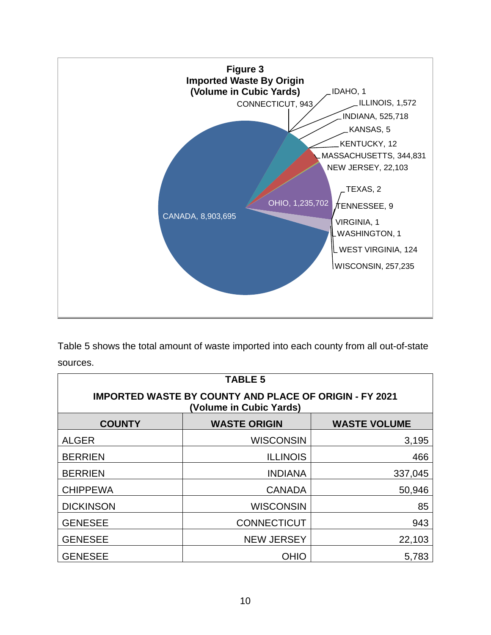

Table 5 shows the total amount of waste imported into each county from all out-of-state sources.

| <b>TABLE 5</b>                                                                           |                    |         |  |  |
|------------------------------------------------------------------------------------------|--------------------|---------|--|--|
| <b>IMPORTED WASTE BY COUNTY AND PLACE OF ORIGIN - FY 2021</b><br>(Volume in Cubic Yards) |                    |         |  |  |
| <b>WASTE VOLUME</b><br><b>COUNTY</b><br><b>WASTE ORIGIN</b>                              |                    |         |  |  |
| <b>ALGER</b>                                                                             | <b>WISCONSIN</b>   | 3,195   |  |  |
| <b>BERRIEN</b>                                                                           | <b>ILLINOIS</b>    | 466     |  |  |
| <b>BERRIEN</b>                                                                           | <b>INDIANA</b>     | 337,045 |  |  |
| <b>CHIPPEWA</b>                                                                          | <b>CANADA</b>      | 50,946  |  |  |
| <b>DICKINSON</b>                                                                         | <b>WISCONSIN</b>   | 85      |  |  |
| <b>GENESEE</b>                                                                           | <b>CONNECTICUT</b> | 943     |  |  |
| <b>GENESEE</b>                                                                           | <b>NEW JERSEY</b>  | 22,103  |  |  |
| <b>GENESEE</b>                                                                           | <b>OHIO</b>        | 5,783   |  |  |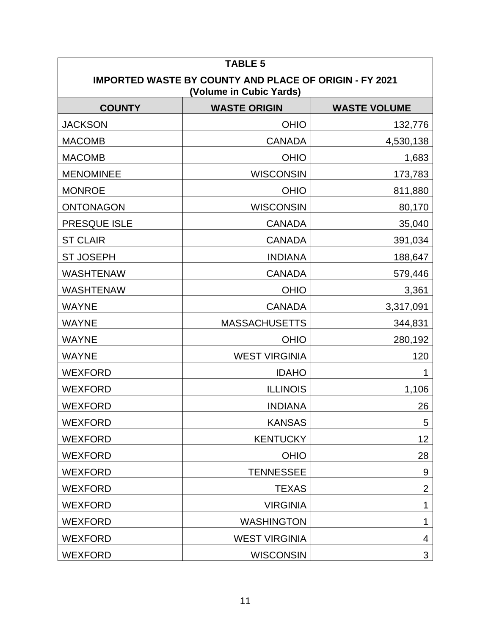| <b>TABLE 5</b>                                                                           |                      |                     |  |  |
|------------------------------------------------------------------------------------------|----------------------|---------------------|--|--|
| <b>IMPORTED WASTE BY COUNTY AND PLACE OF ORIGIN - FY 2021</b><br>(Volume in Cubic Yards) |                      |                     |  |  |
| <b>COUNTY</b>                                                                            | <b>WASTE ORIGIN</b>  | <b>WASTE VOLUME</b> |  |  |
| <b>JACKSON</b>                                                                           | <b>OHIO</b>          | 132,776             |  |  |
| <b>MACOMB</b>                                                                            | <b>CANADA</b>        | 4,530,138           |  |  |
| <b>MACOMB</b>                                                                            | <b>OHIO</b>          | 1,683               |  |  |
| <b>MENOMINEE</b>                                                                         | <b>WISCONSIN</b>     | 173,783             |  |  |
| <b>MONROE</b>                                                                            | <b>OHIO</b>          | 811,880             |  |  |
| <b>ONTONAGON</b>                                                                         | <b>WISCONSIN</b>     | 80,170              |  |  |
| PRESQUE ISLE                                                                             | <b>CANADA</b>        | 35,040              |  |  |
| <b>ST CLAIR</b>                                                                          | <b>CANADA</b>        | 391,034             |  |  |
| <b>ST JOSEPH</b>                                                                         | <b>INDIANA</b>       | 188,647             |  |  |
| <b>WASHTENAW</b>                                                                         | <b>CANADA</b>        | 579,446             |  |  |
| <b>WASHTENAW</b>                                                                         | <b>OHIO</b>          | 3,361               |  |  |
| <b>WAYNE</b>                                                                             | <b>CANADA</b>        | 3,317,091           |  |  |
| <b>WAYNE</b>                                                                             | <b>MASSACHUSETTS</b> | 344,831             |  |  |
| <b>WAYNE</b>                                                                             | <b>OHIO</b>          | 280,192             |  |  |
| <b>WAYNE</b>                                                                             | <b>WEST VIRGINIA</b> | 120                 |  |  |
| <b>WEXFORD</b>                                                                           | <b>IDAHO</b>         |                     |  |  |
| <b>WEXFORD</b>                                                                           | <b>ILLINOIS</b>      | 1,106               |  |  |
| <b>WEXFORD</b>                                                                           | <b>INDIANA</b>       | 26                  |  |  |
| <b>WEXFORD</b>                                                                           | <b>KANSAS</b>        | 5                   |  |  |
| <b>WEXFORD</b>                                                                           | <b>KENTUCKY</b>      | 12                  |  |  |
| <b>WEXFORD</b>                                                                           | <b>OHIO</b>          | 28                  |  |  |
| <b>WEXFORD</b>                                                                           | <b>TENNESSEE</b>     | 9                   |  |  |
| <b>WEXFORD</b>                                                                           | <b>TEXAS</b>         | $\mathbf{2}$        |  |  |
| <b>WEXFORD</b>                                                                           | <b>VIRGINIA</b>      | 1                   |  |  |
| <b>WEXFORD</b>                                                                           | <b>WASHINGTON</b>    | 1                   |  |  |
| <b>WEXFORD</b>                                                                           | <b>WEST VIRGINIA</b> | 4                   |  |  |
| <b>WEXFORD</b>                                                                           | <b>WISCONSIN</b>     | $\mathfrak{S}$      |  |  |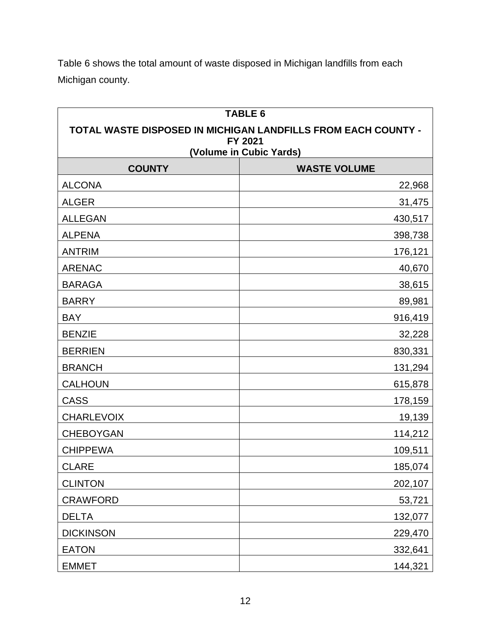Table 6 shows the total amount of waste disposed in Michigan landfills from each Michigan county.

| <b>TABLE 6</b>                                                           |                                                |  |
|--------------------------------------------------------------------------|------------------------------------------------|--|
| TOTAL WASTE DISPOSED IN MICHIGAN LANDFILLS FROM EACH COUNTY -<br>FY 2021 |                                                |  |
| <b>COUNTY</b>                                                            | (Volume in Cubic Yards)<br><b>WASTE VOLUME</b> |  |
| <b>ALCONA</b>                                                            | 22,968                                         |  |
| <b>ALGER</b>                                                             | 31,475                                         |  |
| <b>ALLEGAN</b>                                                           | 430,517                                        |  |
| <b>ALPENA</b>                                                            | 398,738                                        |  |
| <b>ANTRIM</b>                                                            | 176,121                                        |  |
| <b>ARENAC</b>                                                            | 40,670                                         |  |
| <b>BARAGA</b>                                                            | 38,615                                         |  |
| <b>BARRY</b>                                                             | 89,981                                         |  |
| <b>BAY</b>                                                               | 916,419                                        |  |
| <b>BENZIE</b>                                                            | 32,228                                         |  |
| <b>BERRIEN</b>                                                           | 830,331                                        |  |
| <b>BRANCH</b>                                                            | 131,294                                        |  |
| <b>CALHOUN</b>                                                           | 615,878                                        |  |
| <b>CASS</b>                                                              | 178,159                                        |  |
| <b>CHARLEVOIX</b>                                                        | 19,139                                         |  |
| <b>CHEBOYGAN</b>                                                         | 114,212                                        |  |
| <b>CHIPPEWA</b>                                                          | 109,511                                        |  |
| <b>CLARE</b>                                                             | 185,074                                        |  |
| <b>CLINTON</b>                                                           | 202,107                                        |  |
| <b>CRAWFORD</b>                                                          | 53,721                                         |  |
| <b>DELTA</b>                                                             | 132,077                                        |  |
| <b>DICKINSON</b>                                                         | 229,470                                        |  |
| <b>EATON</b>                                                             | 332,641                                        |  |
| <b>EMMET</b>                                                             | 144,321                                        |  |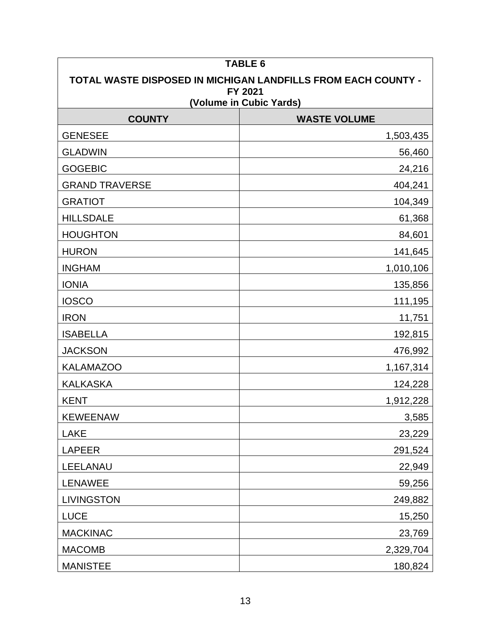| <b>TABLE 6</b>                                                |                     |  |
|---------------------------------------------------------------|---------------------|--|
| TOTAL WASTE DISPOSED IN MICHIGAN LANDFILLS FROM EACH COUNTY - |                     |  |
| FY 2021<br>(Volume in Cubic Yards)                            |                     |  |
| <b>COUNTY</b>                                                 | <b>WASTE VOLUME</b> |  |
| <b>GENESEE</b>                                                | 1,503,435           |  |
| <b>GLADWIN</b>                                                | 56,460              |  |
| <b>GOGEBIC</b>                                                | 24,216              |  |
| <b>GRAND TRAVERSE</b>                                         | 404,241             |  |
| <b>GRATIOT</b>                                                | 104,349             |  |
| <b>HILLSDALE</b>                                              | 61,368              |  |
| <b>HOUGHTON</b>                                               | 84,601              |  |
| <b>HURON</b>                                                  | 141,645             |  |
| <b>INGHAM</b>                                                 | 1,010,106           |  |
| <b>IONIA</b>                                                  | 135,856             |  |
| <b>IOSCO</b>                                                  | 111,195             |  |
| <b>IRON</b>                                                   | 11,751              |  |
| <b>ISABELLA</b>                                               | 192,815             |  |
| <b>JACKSON</b>                                                | 476,992             |  |
| <b>KALAMAZOO</b>                                              | 1,167,314           |  |
| <b>KALKASKA</b>                                               | 124,228             |  |
| <b>KENT</b>                                                   | 1,912,228           |  |
| <b>KEWEENAW</b>                                               | 3,585               |  |
| <b>LAKE</b>                                                   | 23,229              |  |
| <b>LAPEER</b>                                                 | 291,524             |  |
| LEELANAU                                                      | 22,949              |  |
| <b>LENAWEE</b>                                                | 59,256              |  |
| <b>LIVINGSTON</b>                                             | 249,882             |  |
| <b>LUCE</b>                                                   | 15,250              |  |
| <b>MACKINAC</b>                                               | 23,769              |  |
| <b>MACOMB</b>                                                 | 2,329,704           |  |
| <b>MANISTEE</b>                                               | 180,824             |  |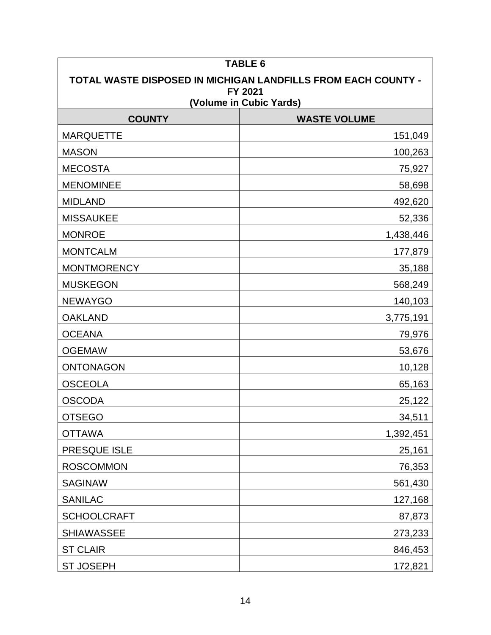| <b>TABLE 6</b>                                                |                     |  |  |
|---------------------------------------------------------------|---------------------|--|--|
| TOTAL WASTE DISPOSED IN MICHIGAN LANDFILLS FROM EACH COUNTY - |                     |  |  |
| FY 2021<br>(Volume in Cubic Yards)                            |                     |  |  |
| <b>COUNTY</b>                                                 | <b>WASTE VOLUME</b> |  |  |
| <b>MARQUETTE</b>                                              | 151,049             |  |  |
| <b>MASON</b>                                                  | 100,263             |  |  |
| <b>MECOSTA</b>                                                | 75,927              |  |  |
| <b>MENOMINEE</b>                                              | 58,698              |  |  |
| <b>MIDLAND</b>                                                | 492,620             |  |  |
| <b>MISSAUKEE</b>                                              | 52,336              |  |  |
| <b>MONROE</b>                                                 | 1,438,446           |  |  |
| <b>MONTCALM</b>                                               | 177,879             |  |  |
| <b>MONTMORENCY</b>                                            | 35,188              |  |  |
| <b>MUSKEGON</b>                                               | 568,249             |  |  |
| <b>NEWAYGO</b>                                                | 140,103             |  |  |
| <b>OAKLAND</b>                                                | 3,775,191           |  |  |
| <b>OCEANA</b>                                                 | 79,976              |  |  |
| <b>OGEMAW</b>                                                 | 53,676              |  |  |
| <b>ONTONAGON</b>                                              | 10,128              |  |  |
| <b>OSCEOLA</b>                                                | 65,163              |  |  |
| <b>OSCODA</b>                                                 | 25,122              |  |  |
| <b>OTSEGO</b>                                                 | 34,511              |  |  |
| <b>OTTAWA</b>                                                 | 1,392,451           |  |  |
| PRESQUE ISLE                                                  | 25,161              |  |  |
| <b>ROSCOMMON</b>                                              | 76,353              |  |  |
| <b>SAGINAW</b>                                                | 561,430             |  |  |
| <b>SANILAC</b>                                                | 127,168             |  |  |
| <b>SCHOOLCRAFT</b>                                            | 87,873              |  |  |
| <b>SHIAWASSEE</b>                                             | 273,233             |  |  |
| <b>ST CLAIR</b>                                               | 846,453             |  |  |
| <b>ST JOSEPH</b>                                              | 172,821             |  |  |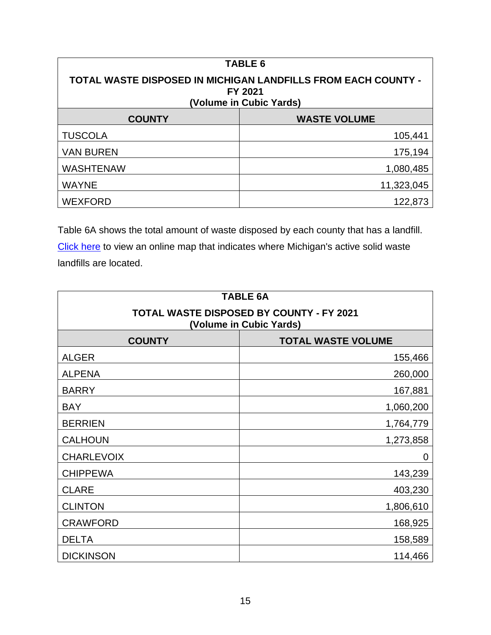| <b>TABLE 6</b>                                                                                             |                     |  |  |
|------------------------------------------------------------------------------------------------------------|---------------------|--|--|
| <b>TOTAL WASTE DISPOSED IN MICHIGAN LANDFILLS FROM EACH COUNTY -</b><br>FY 2021<br>(Volume in Cubic Yards) |                     |  |  |
| <b>COUNTY</b>                                                                                              | <b>WASTE VOLUME</b> |  |  |
| <b>TUSCOLA</b>                                                                                             | 105,441             |  |  |
| <b>VAN BUREN</b>                                                                                           | 175,194             |  |  |
| <b>WASHTENAW</b>                                                                                           | 1,080,485           |  |  |
| <b>WAYNE</b>                                                                                               | 11,323,045          |  |  |
| <b>WEXFORD</b>                                                                                             | 122,873             |  |  |

Table 6A shows the total amount of waste disposed by each county that has a landfill. [Click here](http://www.michigan.gov/documents/deq/deq-whmd-swp-Landfill-map_247566_7.pdf) to view an online map that indicates where Michigan's active solid waste landfills are located.

| <b>TABLE 6A</b>                                                     |           |  |
|---------------------------------------------------------------------|-----------|--|
| TOTAL WASTE DISPOSED BY COUNTY - FY 2021<br>(Volume in Cubic Yards) |           |  |
| <b>COUNTY</b><br><b>TOTAL WASTE VOLUME</b>                          |           |  |
| <b>ALGER</b>                                                        | 155,466   |  |
| <b>ALPENA</b>                                                       | 260,000   |  |
| <b>BARRY</b>                                                        | 167,881   |  |
| <b>BAY</b>                                                          | 1,060,200 |  |
| <b>BERRIEN</b>                                                      | 1,764,779 |  |
| <b>CALHOUN</b>                                                      | 1,273,858 |  |
| <b>CHARLEVOIX</b>                                                   | 0         |  |
| <b>CHIPPEWA</b>                                                     | 143,239   |  |
| <b>CLARE</b>                                                        | 403,230   |  |
| <b>CLINTON</b>                                                      | 1,806,610 |  |
| <b>CRAWFORD</b>                                                     | 168,925   |  |
| <b>DELTA</b>                                                        | 158,589   |  |
| <b>DICKINSON</b>                                                    | 114,466   |  |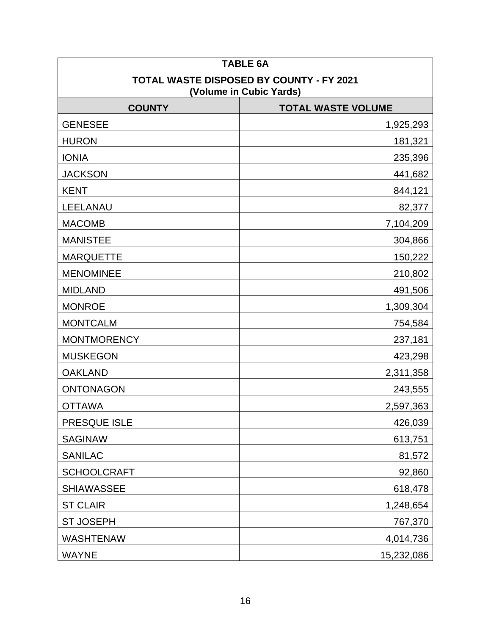| <b>TABLE 6A</b>                                                            |            |  |  |
|----------------------------------------------------------------------------|------------|--|--|
| <b>TOTAL WASTE DISPOSED BY COUNTY - FY 2021</b><br>(Volume in Cubic Yards) |            |  |  |
| <b>COUNTY</b><br><b>TOTAL WASTE VOLUME</b>                                 |            |  |  |
| <b>GENESEE</b>                                                             | 1,925,293  |  |  |
| <b>HURON</b>                                                               | 181,321    |  |  |
| <b>IONIA</b>                                                               | 235,396    |  |  |
| <b>JACKSON</b>                                                             | 441,682    |  |  |
| <b>KENT</b>                                                                | 844,121    |  |  |
| LEELANAU                                                                   | 82,377     |  |  |
| <b>MACOMB</b>                                                              | 7,104,209  |  |  |
| <b>MANISTEE</b>                                                            | 304,866    |  |  |
| <b>MARQUETTE</b>                                                           | 150,222    |  |  |
| <b>MENOMINEE</b>                                                           | 210,802    |  |  |
| <b>MIDLAND</b>                                                             | 491,506    |  |  |
| <b>MONROE</b>                                                              | 1,309,304  |  |  |
| <b>MONTCALM</b>                                                            | 754,584    |  |  |
| <b>MONTMORENCY</b>                                                         | 237,181    |  |  |
| <b>MUSKEGON</b>                                                            | 423,298    |  |  |
| <b>OAKLAND</b>                                                             | 2,311,358  |  |  |
| <b>ONTONAGON</b>                                                           | 243,555    |  |  |
| <b>OTTAWA</b>                                                              | 2,597,363  |  |  |
| PRESQUE ISLE                                                               | 426,039    |  |  |
| <b>SAGINAW</b>                                                             | 613,751    |  |  |
| <b>SANILAC</b>                                                             | 81,572     |  |  |
| <b>SCHOOLCRAFT</b>                                                         | 92,860     |  |  |
| <b>SHIAWASSEE</b>                                                          | 618,478    |  |  |
| <b>ST CLAIR</b>                                                            | 1,248,654  |  |  |
| <b>ST JOSEPH</b>                                                           | 767,370    |  |  |
| <b>WASHTENAW</b>                                                           | 4,014,736  |  |  |
| <b>WAYNE</b>                                                               | 15,232,086 |  |  |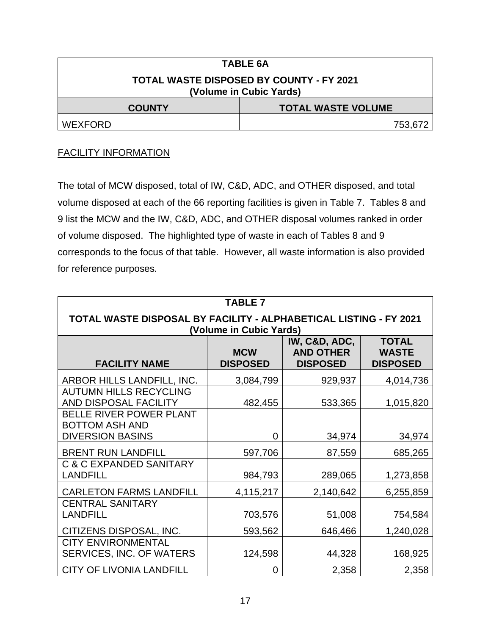| <b>TABLE 6A</b>                                                            |         |  |  |
|----------------------------------------------------------------------------|---------|--|--|
| <b>TOTAL WASTE DISPOSED BY COUNTY - FY 2021</b><br>(Volume in Cubic Yards) |         |  |  |
| <b>TOTAL WASTE VOLUME</b><br><b>COUNTY</b>                                 |         |  |  |
| <b>WEXFORD</b>                                                             | 753,672 |  |  |

#### FACILITY INFORMATION

The total of MCW disposed, total of IW, C&D, ADC, and OTHER disposed, and total volume disposed at each of the 66 reporting facilities is given in Table 7. Tables 8 and 9 list the MCW and the IW, C&D, ADC, and OTHER disposal volumes ranked in order of volume disposed. The highlighted type of waste in each of Tables 8 and 9 corresponds to the focus of that table. However, all waste information is also provided for reference purposes.

| <b>TABLE 7</b>                                                                               |                               |                                                      |                                                 |  |
|----------------------------------------------------------------------------------------------|-------------------------------|------------------------------------------------------|-------------------------------------------------|--|
| TOTAL WASTE DISPOSAL BY FACILITY - ALPHABETICAL LISTING - FY 2021<br>(Volume in Cubic Yards) |                               |                                                      |                                                 |  |
| <b>FACILITY NAME</b>                                                                         | <b>MCW</b><br><b>DISPOSED</b> | IW, C&D, ADC,<br><b>AND OTHER</b><br><b>DISPOSED</b> | <b>TOTAL</b><br><b>WASTE</b><br><b>DISPOSED</b> |  |
| ARBOR HILLS LANDFILL, INC.                                                                   | 3,084,799                     | 929,937                                              | 4,014,736                                       |  |
| <b>AUTUMN HILLS RECYCLING</b><br>AND DISPOSAL FACILITY                                       | 482,455                       | 533,365                                              | 1,015,820                                       |  |
| BELLE RIVER POWER PLANT<br><b>BOTTOM ASH AND</b><br><b>DIVERSION BASINS</b>                  | 0                             | 34,974                                               | 34,974                                          |  |
| <b>BRENT RUN LANDFILL</b>                                                                    | 597,706                       | 87,559                                               | 685,265                                         |  |
| <b>C &amp; C EXPANDED SANITARY</b><br><b>LANDFILL</b>                                        | 984,793                       | 289,065                                              | 1,273,858                                       |  |
| <b>CARLETON FARMS LANDFILL</b>                                                               | 4,115,217                     | 2,140,642                                            | 6,255,859                                       |  |
| <b>CENTRAL SANITARY</b><br><b>LANDFILL</b>                                                   | 703,576                       | 51,008                                               | 754,584                                         |  |
| CITIZENS DISPOSAL, INC.                                                                      | 593,562                       | 646,466                                              | 1,240,028                                       |  |
| <b>CITY ENVIRONMENTAL</b><br>SERVICES, INC. OF WATERS                                        | 124,598                       | 44,328                                               | 168,925                                         |  |
| <b>CITY OF LIVONIA LANDFILL</b>                                                              | 0                             | 2,358                                                | 2,358                                           |  |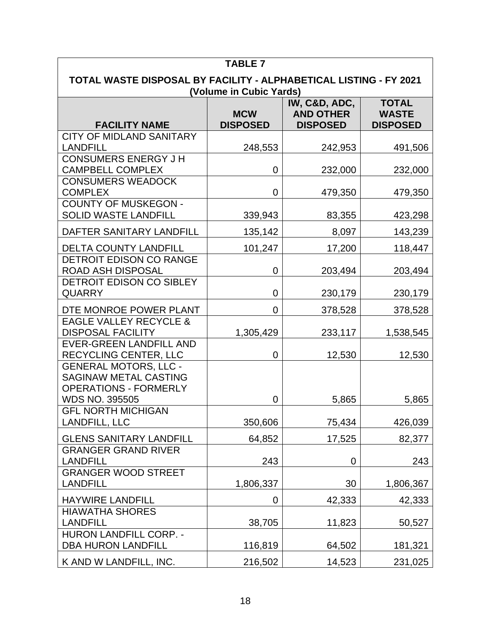| <b>TABLE 7</b>                                                                                                        |                               |                                                      |                                                 |  |
|-----------------------------------------------------------------------------------------------------------------------|-------------------------------|------------------------------------------------------|-------------------------------------------------|--|
| TOTAL WASTE DISPOSAL BY FACILITY - ALPHABETICAL LISTING - FY 2021<br>(Volume in Cubic Yards)                          |                               |                                                      |                                                 |  |
| <b>FACILITY NAME</b>                                                                                                  | <b>MCW</b><br><b>DISPOSED</b> | IW, C&D, ADC,<br><b>AND OTHER</b><br><b>DISPOSED</b> | <b>TOTAL</b><br><b>WASTE</b><br><b>DISPOSED</b> |  |
| <b>CITY OF MIDLAND SANITARY</b><br><b>LANDFILL</b>                                                                    | 248,553                       | 242,953                                              | 491,506                                         |  |
| <b>CONSUMERS ENERGY J H</b><br><b>CAMPBELL COMPLEX</b>                                                                | 0                             | 232,000                                              | 232,000                                         |  |
| <b>CONSUMERS WEADOCK</b><br><b>COMPLEX</b>                                                                            | 0                             | 479,350                                              | 479,350                                         |  |
| <b>COUNTY OF MUSKEGON -</b><br>SOLID WASTE LANDFILL                                                                   | 339,943                       | 83,355                                               | 423,298                                         |  |
| DAFTER SANITARY LANDFILL                                                                                              | 135,142                       | 8,097                                                | 143,239                                         |  |
| <b>DELTA COUNTY LANDFILL</b>                                                                                          | 101,247                       | 17,200                                               | 118,447                                         |  |
| <b>DETROIT EDISON CO RANGE</b><br><b>ROAD ASH DISPOSAL</b>                                                            | 0                             | 203,494                                              | 203,494                                         |  |
| DETROIT EDISON CO SIBLEY<br><b>QUARRY</b>                                                                             | 0                             | 230,179                                              | 230,179                                         |  |
| DTE MONROE POWER PLANT                                                                                                | $\overline{0}$                | 378,528                                              | 378,528                                         |  |
| <b>EAGLE VALLEY RECYCLE &amp;</b><br><b>DISPOSAL FACILITY</b>                                                         | 1,305,429                     | 233,117                                              | 1,538,545                                       |  |
| <b>EVER-GREEN LANDFILL AND</b><br><b>RECYCLING CENTER, LLC</b>                                                        | 0                             | 12,530                                               | 12,530                                          |  |
| <b>GENERAL MOTORS, LLC -</b><br><b>SAGINAW METAL CASTING</b><br><b>OPERATIONS - FORMERLY</b><br><b>WDS NO. 395505</b> | 0                             | 5,865                                                | 5,865                                           |  |
| <b>GFL NORTH MICHIGAN</b><br><b>LANDFILL, LLC</b>                                                                     | 350,606                       | 75,434                                               | 426,039                                         |  |
| <b>GLENS SANITARY LANDFILL</b>                                                                                        | 64,852                        | 17,525                                               | 82,377                                          |  |
| <b>GRANGER GRAND RIVER</b><br><b>LANDFILL</b>                                                                         | 243                           | 0                                                    | 243                                             |  |
| <b>GRANGER WOOD STREET</b><br><b>LANDFILL</b>                                                                         | 1,806,337                     | 30                                                   | 1,806,367                                       |  |
| <b>HAYWIRE LANDFILL</b>                                                                                               | 0                             | 42,333                                               | 42,333                                          |  |
| <b>HIAWATHA SHORES</b><br><b>LANDFILL</b>                                                                             | 38,705                        | 11,823                                               | 50,527                                          |  |
| <b>HURON LANDFILL CORP. -</b><br><b>DBA HURON LANDFILL</b>                                                            | 116,819                       | 64,502                                               | 181,321                                         |  |
| K AND W LANDFILL, INC.                                                                                                | 216,502                       | 14,523                                               | 231,025                                         |  |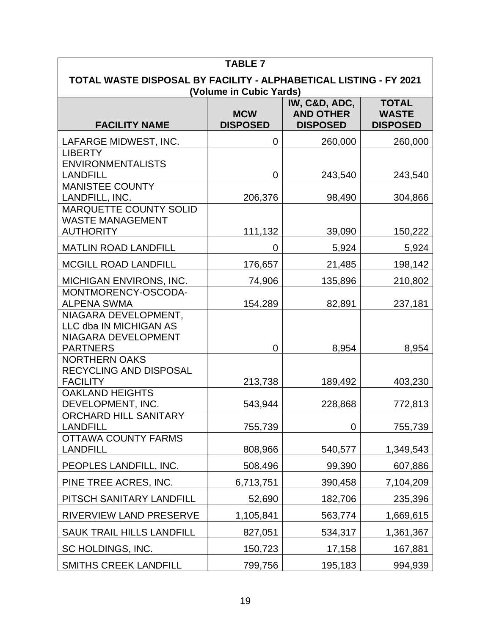| <b>TABLE 7</b>                                                                                                                                                   |           |         |           |  |  |
|------------------------------------------------------------------------------------------------------------------------------------------------------------------|-----------|---------|-----------|--|--|
| TOTAL WASTE DISPOSAL BY FACILITY - ALPHABETICAL LISTING - FY 2021<br>(Volume in Cubic Yards)                                                                     |           |         |           |  |  |
| IW, C&D, ADC,<br><b>TOTAL</b><br><b>AND OTHER</b><br><b>WASTE</b><br><b>MCW</b><br><b>FACILITY NAME</b><br><b>DISPOSED</b><br><b>DISPOSED</b><br><b>DISPOSED</b> |           |         |           |  |  |
| LAFARGE MIDWEST, INC.                                                                                                                                            | 0         | 260,000 | 260,000   |  |  |
| <b>LIBERTY</b><br><b>ENVIRONMENTALISTS</b><br><b>LANDFILL</b>                                                                                                    | 0         | 243,540 | 243,540   |  |  |
| <b>MANISTEE COUNTY</b><br>LANDFILL, INC.                                                                                                                         | 206,376   | 98,490  | 304,866   |  |  |
| MARQUETTE COUNTY SOLID<br><b>WASTE MANAGEMENT</b><br><b>AUTHORITY</b>                                                                                            | 111,132   | 39,090  | 150,222   |  |  |
| <b>MATLIN ROAD LANDFILL</b>                                                                                                                                      | 0         | 5,924   | 5,924     |  |  |
| <b>MCGILL ROAD LANDFILL</b>                                                                                                                                      | 176,657   | 21,485  | 198,142   |  |  |
| MICHIGAN ENVIRONS, INC.                                                                                                                                          | 74,906    | 135,896 | 210,802   |  |  |
| MONTMORENCY-OSCODA-<br><b>ALPENA SWMA</b>                                                                                                                        | 154,289   | 82,891  | 237,181   |  |  |
| NIAGARA DEVELOPMENT,<br>LLC dba IN MICHIGAN AS<br>NIAGARA DEVELOPMENT<br><b>PARTNERS</b>                                                                         | 0         | 8,954   | 8,954     |  |  |
| <b>NORTHERN OAKS</b><br>RECYCLING AND DISPOSAL<br><b>FACILITY</b>                                                                                                | 213,738   | 189,492 | 403,230   |  |  |
| <b>OAKLAND HEIGHTS</b><br>DEVELOPMENT, INC.                                                                                                                      | 543,944   | 228,868 | 772,813   |  |  |
| ORCHARD HILL SANITARY<br><b>LANDFILL</b>                                                                                                                         | 755,739   | 0       | 755,739   |  |  |
| <b>OTTAWA COUNTY FARMS</b><br><b>LANDFILL</b>                                                                                                                    | 808,966   | 540,577 | 1,349,543 |  |  |
| PEOPLES LANDFILL, INC.                                                                                                                                           | 508,496   | 99,390  | 607,886   |  |  |
| PINE TREE ACRES, INC.                                                                                                                                            | 6,713,751 | 390,458 | 7,104,209 |  |  |
| PITSCH SANITARY LANDFILL                                                                                                                                         | 52,690    | 182,706 | 235,396   |  |  |
| RIVERVIEW LAND PRESERVE                                                                                                                                          | 1,105,841 | 563,774 | 1,669,615 |  |  |
| <b>SAUK TRAIL HILLS LANDFILL</b>                                                                                                                                 | 827,051   | 534,317 | 1,361,367 |  |  |
| SC HOLDINGS, INC.                                                                                                                                                | 150,723   | 17,158  | 167,881   |  |  |
| <b>SMITHS CREEK LANDFILL</b>                                                                                                                                     | 799,756   | 195,183 | 994,939   |  |  |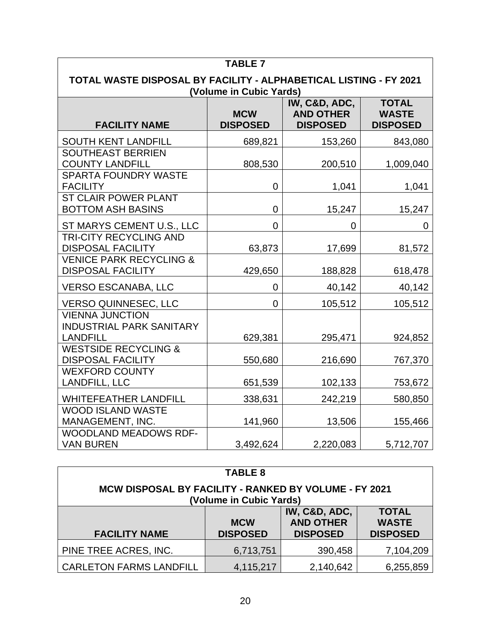| <b>TABLE 7</b>                                                                               |                               |                                                      |                                                 |
|----------------------------------------------------------------------------------------------|-------------------------------|------------------------------------------------------|-------------------------------------------------|
| TOTAL WASTE DISPOSAL BY FACILITY - ALPHABETICAL LISTING - FY 2021<br>(Volume in Cubic Yards) |                               |                                                      |                                                 |
| <b>FACILITY NAME</b>                                                                         | <b>MCW</b><br><b>DISPOSED</b> | IW, C&D, ADC,<br><b>AND OTHER</b><br><b>DISPOSED</b> | <b>TOTAL</b><br><b>WASTE</b><br><b>DISPOSED</b> |
| <b>SOUTH KENT LANDFILL</b>                                                                   | 689,821                       | 153,260                                              | 843,080                                         |
| <b>SOUTHEAST BERRIEN</b><br><b>COUNTY LANDFILL</b>                                           | 808,530                       | 200,510                                              | 1,009,040                                       |
| <b>SPARTA FOUNDRY WASTE</b><br><b>FACILITY</b>                                               | 0                             | 1,041                                                | 1,041                                           |
| <b>ST CLAIR POWER PLANT</b><br><b>BOTTOM ASH BASINS</b>                                      | 0                             | 15,247                                               | 15,247                                          |
| ST MARYS CEMENT U.S., LLC                                                                    | 0                             | 0                                                    | 0                                               |
| <b>TRI-CITY RECYCLING AND</b><br><b>DISPOSAL FACILITY</b>                                    | 63,873                        | 17,699                                               | 81,572                                          |
| <b>VENICE PARK RECYCLING &amp;</b><br><b>DISPOSAL FACILITY</b>                               | 429,650                       | 188,828                                              | 618,478                                         |
| <b>VERSO ESCANABA, LLC</b>                                                                   | 0                             | 40,142                                               | 40,142                                          |
| <b>VERSO QUINNESEC, LLC</b>                                                                  | $\overline{0}$                | 105,512                                              | 105,512                                         |
| <b>VIENNA JUNCTION</b><br><b>INDUSTRIAL PARK SANITARY</b><br><b>LANDFILL</b>                 | 629,381                       | 295,471                                              | 924,852                                         |
| <b>WESTSIDE RECYCLING &amp;</b><br><b>DISPOSAL FACILITY</b>                                  | 550,680                       | 216,690                                              | 767,370                                         |
| <b>WEXFORD COUNTY</b><br>LANDFILL, LLC                                                       | 651,539                       | 102,133                                              | 753,672                                         |
| <b>WHITEFEATHER LANDFILL</b>                                                                 | 338,631                       | 242,219                                              | 580,850                                         |
| <b>WOOD ISLAND WASTE</b><br>MANAGEMENT, INC.                                                 | 141,960                       | 13,506                                               | 155,466                                         |
| WOODLAND MEADOWS RDF-<br><b>VAN BUREN</b>                                                    | 3,492,624                     | 2,220,083                                            | 5,712,707                                       |

| <b>TABLE 8</b>                                                                                                                                                   |           |         |           |  |  |
|------------------------------------------------------------------------------------------------------------------------------------------------------------------|-----------|---------|-----------|--|--|
| <b>MCW DISPOSAL BY FACILITY - RANKED BY VOLUME - FY 2021</b><br>(Volume in Cubic Yards)                                                                          |           |         |           |  |  |
| IW, C&D, ADC,<br><b>TOTAL</b><br><b>AND OTHER</b><br><b>WASTE</b><br><b>MCW</b><br><b>DISPOSED</b><br><b>DISPOSED</b><br><b>DISPOSED</b><br><b>FACILITY NAME</b> |           |         |           |  |  |
| PINE TREE ACRES, INC.                                                                                                                                            | 6,713,751 | 390,458 | 7,104,209 |  |  |
| <b>CARLETON FARMS LANDFILL</b><br>4,115,217<br>2,140,642<br>6,255,859                                                                                            |           |         |           |  |  |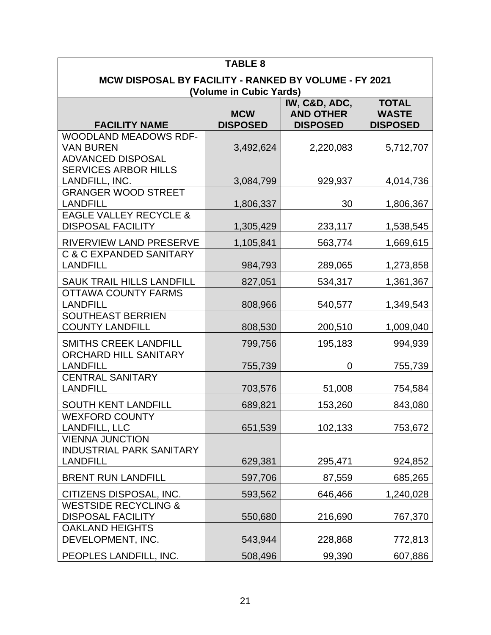| <b>TABLE 8</b>                                                                                                                                                                              |           |           |           |  |  |
|---------------------------------------------------------------------------------------------------------------------------------------------------------------------------------------------|-----------|-----------|-----------|--|--|
| <b>MCW DISPOSAL BY FACILITY - RANKED BY VOLUME - FY 2021</b>                                                                                                                                |           |           |           |  |  |
| (Volume in Cubic Yards)<br>IW, C&D, ADC,<br><b>TOTAL</b><br><b>AND OTHER</b><br><b>MCW</b><br><b>WASTE</b><br><b>DISPOSED</b><br><b>FACILITY NAME</b><br><b>DISPOSED</b><br><b>DISPOSED</b> |           |           |           |  |  |
| <b>WOODLAND MEADOWS RDF-</b>                                                                                                                                                                |           |           |           |  |  |
| <b>VAN BUREN</b><br><b>ADVANCED DISPOSAL</b>                                                                                                                                                | 3,492,624 | 2,220,083 | 5,712,707 |  |  |
| <b>SERVICES ARBOR HILLS</b><br>LANDFILL, INC.                                                                                                                                               | 3,084,799 | 929,937   | 4,014,736 |  |  |
| <b>GRANGER WOOD STREET</b><br><b>LANDFILL</b>                                                                                                                                               | 1,806,337 | 30        | 1,806,367 |  |  |
| <b>EAGLE VALLEY RECYCLE &amp;</b><br><b>DISPOSAL FACILITY</b>                                                                                                                               | 1,305,429 | 233,117   | 1,538,545 |  |  |
| RIVERVIEW LAND PRESERVE                                                                                                                                                                     | 1,105,841 | 563,774   | 1,669,615 |  |  |
| <b>C &amp; C EXPANDED SANITARY</b><br><b>LANDFILL</b>                                                                                                                                       | 984,793   | 289,065   | 1,273,858 |  |  |
| <b>SAUK TRAIL HILLS LANDFILL</b>                                                                                                                                                            | 827,051   | 534,317   | 1,361,367 |  |  |
| <b>OTTAWA COUNTY FARMS</b><br><b>LANDFILL</b>                                                                                                                                               | 808,966   | 540,577   | 1,349,543 |  |  |
| <b>SOUTHEAST BERRIEN</b><br><b>COUNTY LANDFILL</b>                                                                                                                                          | 808,530   | 200,510   | 1,009,040 |  |  |
| <b>SMITHS CREEK LANDFILL</b>                                                                                                                                                                | 799,756   | 195,183   | 994,939   |  |  |
| ORCHARD HILL SANITARY<br><b>LANDFILL</b>                                                                                                                                                    | 755,739   | 0         | 755,739   |  |  |
| <b>CENTRAL SANITARY</b><br><b>LANDFILL</b>                                                                                                                                                  | 703,576   | 51,008    | 754,584   |  |  |
| <b>SOUTH KENT LANDFILL</b>                                                                                                                                                                  | 689,821   | 153,260   | 843,080   |  |  |
| <b>WEXFORD COUNTY</b><br><b>LANDFILL, LLC</b>                                                                                                                                               | 651,539   | 102,133   | 753,672   |  |  |
| <b>VIENNA JUNCTION</b><br><b>INDUSTRIAL PARK SANITARY</b><br><b>LANDFILL</b>                                                                                                                | 629,381   | 295,471   | 924,852   |  |  |
| <b>BRENT RUN LANDFILL</b>                                                                                                                                                                   | 597,706   | 87,559    | 685,265   |  |  |
| CITIZENS DISPOSAL, INC.                                                                                                                                                                     | 593,562   | 646,466   | 1,240,028 |  |  |
| <b>WESTSIDE RECYCLING &amp;</b><br><b>DISPOSAL FACILITY</b>                                                                                                                                 | 550,680   | 216,690   | 767,370   |  |  |
| <b>OAKLAND HEIGHTS</b><br>DEVELOPMENT, INC.                                                                                                                                                 | 543,944   | 228,868   | 772,813   |  |  |
| PEOPLES LANDFILL, INC.                                                                                                                                                                      | 508,496   | 99,390    | 607,886   |  |  |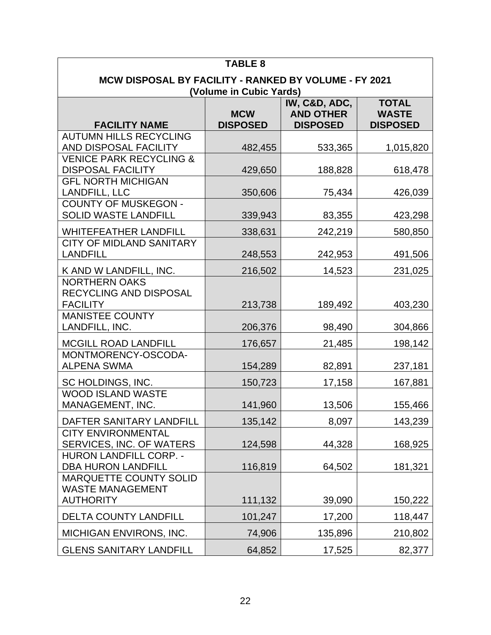| <b>TABLE 8</b>                                                                   |                               |                                                      |                                                 |
|----------------------------------------------------------------------------------|-------------------------------|------------------------------------------------------|-------------------------------------------------|
| MCW DISPOSAL BY FACILITY - RANKED BY VOLUME - FY 2021<br>(Volume in Cubic Yards) |                               |                                                      |                                                 |
| <b>FACILITY NAME</b>                                                             | <b>MCW</b><br><b>DISPOSED</b> | IW, C&D, ADC,<br><b>AND OTHER</b><br><b>DISPOSED</b> | <b>TOTAL</b><br><b>WASTE</b><br><b>DISPOSED</b> |
| <b>AUTUMN HILLS RECYCLING</b><br><b>AND DISPOSAL FACILITY</b>                    | 482,455                       | 533,365                                              | 1,015,820                                       |
| <b>VENICE PARK RECYCLING &amp;</b><br><b>DISPOSAL FACILITY</b>                   | 429,650                       | 188,828                                              | 618,478                                         |
| <b>GFL NORTH MICHIGAN</b><br><b>LANDFILL, LLC</b>                                | 350,606                       | 75,434                                               | 426,039                                         |
| <b>COUNTY OF MUSKEGON -</b><br><b>SOLID WASTE LANDFILL</b>                       | 339,943                       | 83,355                                               | 423,298                                         |
| <b>WHITEFEATHER LANDFILL</b>                                                     | 338,631                       | 242,219                                              | 580,850                                         |
| <b>CITY OF MIDLAND SANITARY</b><br><b>LANDFILL</b>                               | 248,553                       | 242,953                                              | 491,506                                         |
| K AND W LANDFILL, INC.                                                           | 216,502                       | 14,523                                               | 231,025                                         |
| <b>NORTHERN OAKS</b><br>RECYCLING AND DISPOSAL<br><b>FACILITY</b>                | 213,738                       | 189,492                                              | 403,230                                         |
| <b>MANISTEE COUNTY</b><br>LANDFILL, INC.                                         | 206,376                       | 98,490                                               | 304,866                                         |
| <b>MCGILL ROAD LANDFILL</b>                                                      | 176,657                       | 21,485                                               | 198,142                                         |
| MONTMORENCY-OSCODA-<br><b>ALPENA SWMA</b>                                        | 154,289                       | 82,891                                               | 237,181                                         |
| SC HOLDINGS, INC.                                                                | 150,723                       | 17,158                                               | 167,881                                         |
| <b>WOOD ISLAND WASTE</b><br>MANAGEMENT, INC.                                     | 141,960                       | 13,506                                               | 155,466                                         |
| DAFTER SANITARY LANDFILL                                                         | 135,142                       | 8,097                                                | 143,239                                         |
| <b>CITY ENVIRONMENTAL</b><br><b>SERVICES, INC. OF WATERS</b>                     | 124,598                       | 44,328                                               | 168,925                                         |
| <b>HURON LANDFILL CORP. -</b><br><b>DBA HURON LANDFILL</b>                       | 116,819                       | 64,502                                               | 181,321                                         |
| <b>MARQUETTE COUNTY SOLID</b><br><b>WASTE MANAGEMENT</b><br><b>AUTHORITY</b>     | 111,132                       | 39,090                                               | 150,222                                         |
| <b>DELTA COUNTY LANDFILL</b>                                                     | 101,247                       | 17,200                                               | 118,447                                         |
| MICHIGAN ENVIRONS, INC.                                                          | 74,906                        | 135,896                                              | 210,802                                         |
| <b>GLENS SANITARY LANDFILL</b>                                                   | 64,852                        | 17,525                                               | 82,377                                          |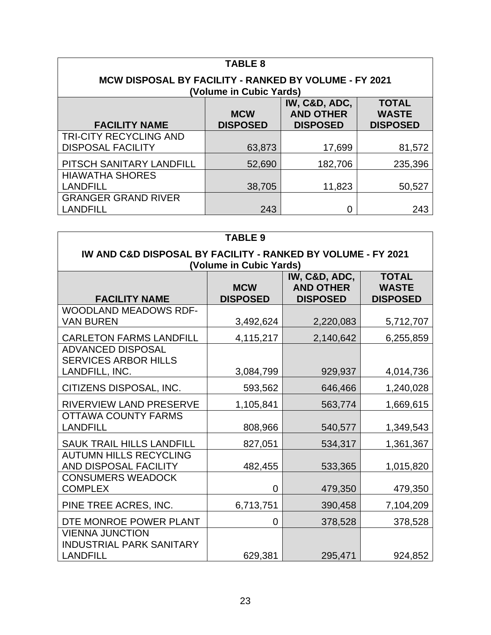| <b>TABLE 8</b>                                 |                                                       |                 |                 |  |  |
|------------------------------------------------|-------------------------------------------------------|-----------------|-----------------|--|--|
|                                                | MCW DISPOSAL BY FACILITY - RANKED BY VOLUME - FY 2021 |                 |                 |  |  |
|                                                | (Volume in Cubic Yards)                               | IW, C&D, ADC,   | <b>TOTAL</b>    |  |  |
| <b>AND OTHER</b><br><b>WASTE</b><br><b>MCW</b> |                                                       |                 |                 |  |  |
| <b>FACILITY NAME</b>                           | <b>DISPOSED</b>                                       | <b>DISPOSED</b> | <b>DISPOSED</b> |  |  |
| <b>TRI-CITY RECYCLING AND</b>                  |                                                       |                 |                 |  |  |
| <b>DISPOSAL FACILITY</b>                       | 63,873                                                | 17,699          | 81,572          |  |  |
| PITSCH SANITARY LANDFILL                       | 52,690                                                | 182,706         | 235,396         |  |  |
| <b>HIAWATHA SHORES</b>                         |                                                       |                 |                 |  |  |
| <b>LANDFILL</b>                                | 38,705                                                | 11,823          | 50,527          |  |  |
| <b>GRANGER GRAND RIVER</b>                     |                                                       |                 |                 |  |  |
| <b>LANDFILL</b>                                | 243                                                   | 0               | 243             |  |  |

| <b>TABLE 9</b>                                                                          |                               |                                                      |                                                 |  |  |
|-----------------------------------------------------------------------------------------|-------------------------------|------------------------------------------------------|-------------------------------------------------|--|--|
| IW AND C&D DISPOSAL BY FACILITY - RANKED BY VOLUME - FY 2021<br>(Volume in Cubic Yards) |                               |                                                      |                                                 |  |  |
| <b>FACILITY NAME</b>                                                                    | <b>MCW</b><br><b>DISPOSED</b> | IW, C&D, ADC,<br><b>AND OTHER</b><br><b>DISPOSED</b> | <b>TOTAL</b><br><b>WASTE</b><br><b>DISPOSED</b> |  |  |
| <b>WOODLAND MEADOWS RDF-</b><br><b>VAN BUREN</b>                                        | 3,492,624                     | 2,220,083                                            | 5,712,707                                       |  |  |
| <b>CARLETON FARMS LANDFILL</b>                                                          | 4,115,217                     | 2,140,642                                            | 6,255,859                                       |  |  |
| <b>ADVANCED DISPOSAL</b><br><b>SERVICES ARBOR HILLS</b><br>LANDFILL, INC.               | 3,084,799                     | 929,937                                              | 4,014,736                                       |  |  |
| CITIZENS DISPOSAL, INC.                                                                 | 593,562                       | 646,466                                              | 1,240,028                                       |  |  |
| RIVERVIEW LAND PRESERVE                                                                 | 1,105,841                     | 563,774                                              | 1,669,615                                       |  |  |
| <b>OTTAWA COUNTY FARMS</b><br><b>LANDFILL</b>                                           | 808,966                       | 540,577                                              | 1,349,543                                       |  |  |
| <b>SAUK TRAIL HILLS LANDFILL</b>                                                        | 827,051                       | 534,317                                              | 1,361,367                                       |  |  |
| <b>AUTUMN HILLS RECYCLING</b><br>AND DISPOSAL FACILITY                                  | 482,455                       | 533,365                                              | 1,015,820                                       |  |  |
| <b>CONSUMERS WEADOCK</b><br><b>COMPLEX</b>                                              | 0                             | 479,350                                              | 479,350                                         |  |  |
| PINE TREE ACRES, INC.                                                                   | 6,713,751                     | 390,458                                              | 7,104,209                                       |  |  |
| DTE MONROE POWER PLANT                                                                  | 0                             | 378,528                                              | 378,528                                         |  |  |
| <b>VIENNA JUNCTION</b><br><b>INDUSTRIAL PARK SANITARY</b><br><b>LANDFILL</b>            | 629,381                       | 295,471                                              | 924,852                                         |  |  |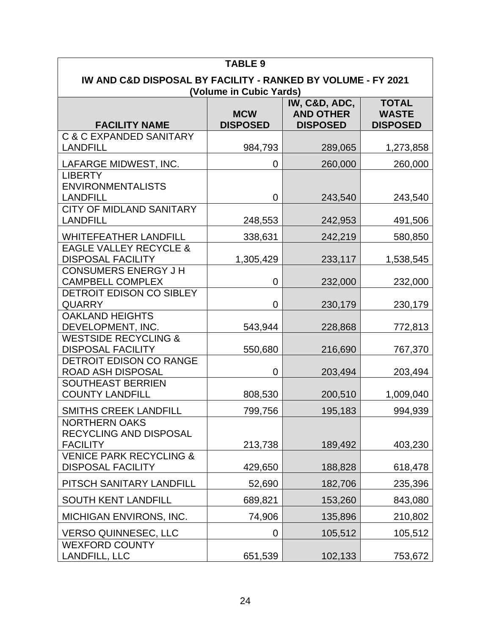|                                                                                                                                                                  | <b>TABLE 9</b> |         |           |  |  |  |  |
|------------------------------------------------------------------------------------------------------------------------------------------------------------------|----------------|---------|-----------|--|--|--|--|
| IW AND C&D DISPOSAL BY FACILITY - RANKED BY VOLUME - FY 2021<br>(Volume in Cubic Yards)                                                                          |                |         |           |  |  |  |  |
| IW, C&D, ADC,<br><b>TOTAL</b><br><b>AND OTHER</b><br><b>WASTE</b><br><b>MCW</b><br><b>DISPOSED</b><br><b>FACILITY NAME</b><br><b>DISPOSED</b><br><b>DISPOSED</b> |                |         |           |  |  |  |  |
| <b>C &amp; C EXPANDED SANITARY</b><br><b>LANDFILL</b>                                                                                                            | 984,793        | 289,065 | 1,273,858 |  |  |  |  |
| LAFARGE MIDWEST, INC.                                                                                                                                            | 0              | 260,000 | 260,000   |  |  |  |  |
| <b>LIBERTY</b><br><b>ENVIRONMENTALISTS</b><br><b>LANDFILL</b>                                                                                                    | $\mathbf 0$    | 243,540 | 243,540   |  |  |  |  |
| <b>CITY OF MIDLAND SANITARY</b><br><b>LANDFILL</b>                                                                                                               | 248,553        | 242,953 | 491,506   |  |  |  |  |
| <b>WHITEFEATHER LANDFILL</b>                                                                                                                                     | 338,631        | 242,219 | 580,850   |  |  |  |  |
| <b>EAGLE VALLEY RECYCLE &amp;</b><br><b>DISPOSAL FACILITY</b>                                                                                                    | 1,305,429      | 233,117 | 1,538,545 |  |  |  |  |
| <b>CONSUMERS ENERGY J H</b><br><b>CAMPBELL COMPLEX</b>                                                                                                           | 0              | 232,000 | 232,000   |  |  |  |  |
| DETROIT EDISON CO SIBLEY<br><b>QUARRY</b>                                                                                                                        | 0              | 230,179 | 230,179   |  |  |  |  |
| <b>OAKLAND HEIGHTS</b><br>DEVELOPMENT, INC.                                                                                                                      | 543,944        | 228,868 | 772,813   |  |  |  |  |
| <b>WESTSIDE RECYCLING &amp;</b><br><b>DISPOSAL FACILITY</b>                                                                                                      | 550,680        | 216,690 | 767,370   |  |  |  |  |
| <b>DETROIT EDISON CO RANGE</b><br><b>ROAD ASH DISPOSAL</b>                                                                                                       | 0              | 203,494 | 203,494   |  |  |  |  |
| <b>SOUTHEAST BERRIEN</b><br><b>COUNTY LANDFILL</b>                                                                                                               | 808,530        | 200,510 | 1,009,040 |  |  |  |  |
| <b>SMITHS CREEK LANDFILL</b>                                                                                                                                     | 799,756        | 195,183 | 994,939   |  |  |  |  |
| <b>NORTHERN OAKS</b><br>RECYCLING AND DISPOSAL<br><b>FACILITY</b>                                                                                                | 213,738        | 189,492 | 403,230   |  |  |  |  |
| <b>VENICE PARK RECYCLING &amp;</b><br><b>DISPOSAL FACILITY</b>                                                                                                   | 429,650        | 188,828 | 618,478   |  |  |  |  |
| PITSCH SANITARY LANDFILL                                                                                                                                         | 52,690         | 182,706 | 235,396   |  |  |  |  |
| <b>SOUTH KENT LANDFILL</b>                                                                                                                                       | 689,821        | 153,260 | 843,080   |  |  |  |  |
| MICHIGAN ENVIRONS, INC.                                                                                                                                          | 74,906         | 135,896 | 210,802   |  |  |  |  |
| <b>VERSO QUINNESEC, LLC</b><br><b>WEXFORD COUNTY</b>                                                                                                             | 0              | 105,512 | 105,512   |  |  |  |  |
| LANDFILL, LLC                                                                                                                                                    | 651,539        | 102,133 | 753,672   |  |  |  |  |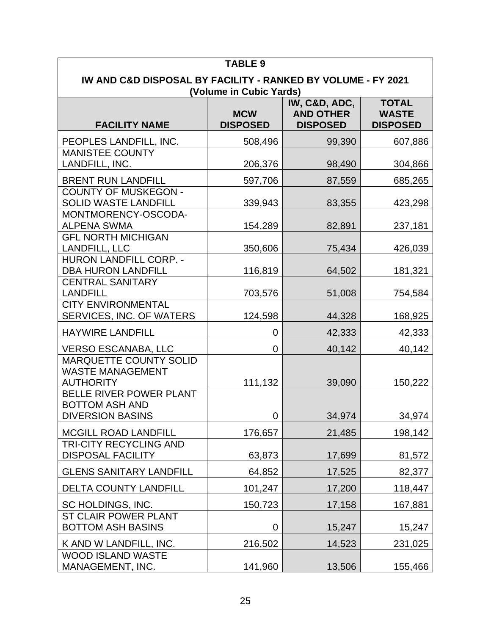| <b>TABLE 9</b>                                                                                                                                                   |             |        |         |  |  |  |  |  |
|------------------------------------------------------------------------------------------------------------------------------------------------------------------|-------------|--------|---------|--|--|--|--|--|
| IW AND C&D DISPOSAL BY FACILITY - RANKED BY VOLUME - FY 2021<br>(Volume in Cubic Yards)                                                                          |             |        |         |  |  |  |  |  |
| IW, C&D, ADC,<br><b>TOTAL</b><br><b>AND OTHER</b><br><b>MCW</b><br><b>WASTE</b><br><b>FACILITY NAME</b><br><b>DISPOSED</b><br><b>DISPOSED</b><br><b>DISPOSED</b> |             |        |         |  |  |  |  |  |
| PEOPLES LANDFILL, INC.                                                                                                                                           | 508,496     | 99,390 | 607,886 |  |  |  |  |  |
| <b>MANISTEE COUNTY</b><br>LANDFILL, INC.                                                                                                                         | 206,376     | 98,490 | 304,866 |  |  |  |  |  |
| <b>BRENT RUN LANDFILL</b>                                                                                                                                        | 597,706     | 87,559 | 685,265 |  |  |  |  |  |
| <b>COUNTY OF MUSKEGON -</b><br><b>SOLID WASTE LANDFILL</b>                                                                                                       | 339,943     | 83,355 | 423,298 |  |  |  |  |  |
| MONTMORENCY-OSCODA-<br><b>ALPENA SWMA</b>                                                                                                                        | 154,289     | 82,891 | 237,181 |  |  |  |  |  |
| <b>GFL NORTH MICHIGAN</b><br><b>LANDFILL, LLC</b>                                                                                                                | 350,606     | 75,434 | 426,039 |  |  |  |  |  |
| <b>HURON LANDFILL CORP. -</b><br><b>DBA HURON LANDFILL</b>                                                                                                       | 116,819     | 64,502 | 181,321 |  |  |  |  |  |
| <b>CENTRAL SANITARY</b><br><b>LANDFILL</b>                                                                                                                       | 703,576     | 51,008 | 754,584 |  |  |  |  |  |
| <b>CITY ENVIRONMENTAL</b><br>SERVICES, INC. OF WATERS                                                                                                            | 124,598     | 44,328 | 168,925 |  |  |  |  |  |
| <b>HAYWIRE LANDFILL</b>                                                                                                                                          | 0           | 42,333 | 42,333  |  |  |  |  |  |
| <b>VERSO ESCANABA, LLC</b>                                                                                                                                       | 0           | 40,142 | 40,142  |  |  |  |  |  |
| <b>MARQUETTE COUNTY SOLID</b><br><b>WASTE MANAGEMENT</b><br><b>AUTHORITY</b>                                                                                     | 111,132     | 39,090 | 150,222 |  |  |  |  |  |
| <b>BELLE RIVER POWER PLANT</b><br><b>BOTTOM ASH AND</b><br><b>DIVERSION BASINS</b>                                                                               | $\mathbf 0$ | 34,974 | 34,974  |  |  |  |  |  |
| <b>MCGILL ROAD LANDFILL</b>                                                                                                                                      | 176,657     | 21,485 | 198,142 |  |  |  |  |  |
| <b>TRI-CITY RECYCLING AND</b><br><b>DISPOSAL FACILITY</b>                                                                                                        | 63,873      | 17,699 | 81,572  |  |  |  |  |  |
| <b>GLENS SANITARY LANDFILL</b>                                                                                                                                   | 64,852      | 17,525 | 82,377  |  |  |  |  |  |
| <b>DELTA COUNTY LANDFILL</b>                                                                                                                                     | 101,247     | 17,200 | 118,447 |  |  |  |  |  |
| SC HOLDINGS, INC.                                                                                                                                                | 150,723     | 17,158 | 167,881 |  |  |  |  |  |
| ST CLAIR POWER PLANT<br><b>BOTTOM ASH BASINS</b>                                                                                                                 | $\mathbf 0$ | 15,247 | 15,247  |  |  |  |  |  |
| K AND W LANDFILL, INC.                                                                                                                                           | 216,502     | 14,523 | 231,025 |  |  |  |  |  |
| <b>WOOD ISLAND WASTE</b><br>MANAGEMENT, INC.                                                                                                                     | 141,960     | 13,506 | 155,466 |  |  |  |  |  |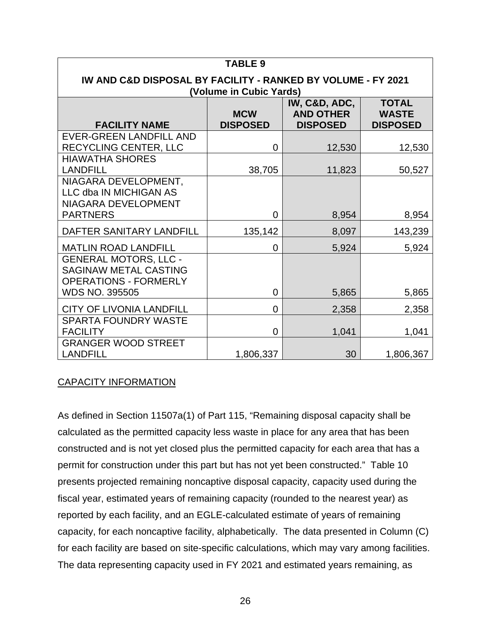| <b>TABLE 9</b>                                                                                                                                                   |                |        |           |  |  |  |
|------------------------------------------------------------------------------------------------------------------------------------------------------------------|----------------|--------|-----------|--|--|--|
| IW AND C&D DISPOSAL BY FACILITY - RANKED BY VOLUME - FY 2021<br>(Volume in Cubic Yards)                                                                          |                |        |           |  |  |  |
| IW, C&D, ADC,<br><b>TOTAL</b><br><b>MCW</b><br><b>AND OTHER</b><br><b>WASTE</b><br><b>FACILITY NAME</b><br><b>DISPOSED</b><br><b>DISPOSED</b><br><b>DISPOSED</b> |                |        |           |  |  |  |
| <b>EVER-GREEN LANDFILL AND</b><br>RECYCLING CENTER, LLC                                                                                                          | 0              | 12,530 | 12,530    |  |  |  |
| <b>HIAWATHA SHORES</b><br><b>LANDFILL</b>                                                                                                                        | 38,705         | 11,823 | 50,527    |  |  |  |
| NIAGARA DEVELOPMENT,<br>LLC dba IN MICHIGAN AS<br>NIAGARA DEVELOPMENT                                                                                            |                |        |           |  |  |  |
| <b>PARTNERS</b>                                                                                                                                                  | $\overline{0}$ | 8,954  | 8,954     |  |  |  |
| DAFTER SANITARY LANDFILL                                                                                                                                         | 135,142        | 8,097  | 143,239   |  |  |  |
| <b>MATLIN ROAD LANDFILL</b>                                                                                                                                      | $\overline{0}$ | 5,924  | 5,924     |  |  |  |
| <b>GENERAL MOTORS, LLC -</b><br><b>SAGINAW METAL CASTING</b><br><b>OPERATIONS - FORMERLY</b>                                                                     |                |        |           |  |  |  |
| <b>WDS NO. 395505</b>                                                                                                                                            | $\overline{0}$ | 5,865  | 5,865     |  |  |  |
| <b>CITY OF LIVONIA LANDFILL</b>                                                                                                                                  | $\overline{0}$ | 2,358  | 2,358     |  |  |  |
| SPARTA FOUNDRY WASTE<br><b>FACILITY</b>                                                                                                                          | 0              | 1,041  | 1,041     |  |  |  |
| <b>GRANGER WOOD STREET</b><br><b>LANDFILL</b>                                                                                                                    | 1,806,337      | 30     | 1,806,367 |  |  |  |

#### CAPACITY INFORMATION

As defined in Section 11507a(1) of Part 115, "Remaining disposal capacity shall be calculated as the permitted capacity less waste in place for any area that has been constructed and is not yet closed plus the permitted capacity for each area that has a permit for construction under this part but has not yet been constructed." Table 10 presents projected remaining noncaptive disposal capacity, capacity used during the fiscal year, estimated years of remaining capacity (rounded to the nearest year) as reported by each facility, and an EGLE-calculated estimate of years of remaining capacity, for each noncaptive facility, alphabetically. The data presented in Column (C) for each facility are based on site-specific calculations, which may vary among facilities. The data representing capacity used in FY 2021 and estimated years remaining, as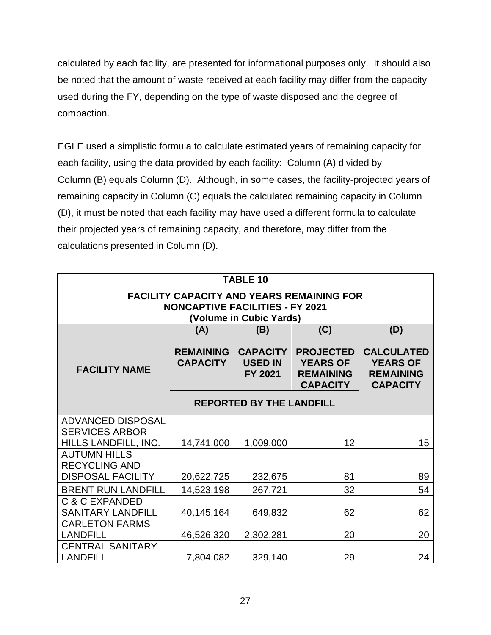calculated by each facility, are presented for informational purposes only. It should also be noted that the amount of waste received at each facility may differ from the capacity used during the FY, depending on the type of waste disposed and the degree of compaction.

EGLE used a simplistic formula to calculate estimated years of remaining capacity for each facility, using the data provided by each facility: Column (A) divided by Column (B) equals Column (D). Although, in some cases, the facility-projected years of remaining capacity in Column (C) equals the calculated remaining capacity in Column (D), it must be noted that each facility may have used a different formula to calculate their projected years of remaining capacity, and therefore, may differ from the calculations presented in Column (D).

| <b>TABLE 10</b>                                                                                                       |                                     |                                                     |                                                                            |                                                                             |  |
|-----------------------------------------------------------------------------------------------------------------------|-------------------------------------|-----------------------------------------------------|----------------------------------------------------------------------------|-----------------------------------------------------------------------------|--|
| <b>FACILITY CAPACITY AND YEARS REMAINING FOR</b><br><b>NONCAPTIVE FACILITIES - FY 2021</b><br>(Volume in Cubic Yards) |                                     |                                                     |                                                                            |                                                                             |  |
|                                                                                                                       | (A)                                 | (B)                                                 | (C)                                                                        | (D)                                                                         |  |
| <b>FACILITY NAME</b>                                                                                                  | <b>REMAINING</b><br><b>CAPACITY</b> | <b>CAPACITY</b><br><b>USED IN</b><br><b>FY 2021</b> | <b>PROJECTED</b><br><b>YEARS OF</b><br><b>REMAINING</b><br><b>CAPACITY</b> | <b>CALCULATED</b><br><b>YEARS OF</b><br><b>REMAINING</b><br><b>CAPACITY</b> |  |
|                                                                                                                       |                                     | <b>REPORTED BY THE LANDFILL</b>                     |                                                                            |                                                                             |  |
| <b>ADVANCED DISPOSAL</b>                                                                                              |                                     |                                                     |                                                                            |                                                                             |  |
| <b>SERVICES ARBOR</b><br>HILLS LANDFILL, INC.                                                                         | 14,741,000                          | 1,009,000                                           | 12                                                                         | 15                                                                          |  |
| <b>AUTUMN HILLS</b>                                                                                                   |                                     |                                                     |                                                                            |                                                                             |  |
| <b>RECYCLING AND</b><br><b>DISPOSAL FACILITY</b>                                                                      | 20,622,725                          | 232,675                                             | 81                                                                         | 89                                                                          |  |
| <b>BRENT RUN LANDFILL</b>                                                                                             | 14,523,198                          | 267,721                                             | 32                                                                         | 54                                                                          |  |
| <b>C &amp; C EXPANDED</b><br><b>SANITARY LANDFILL</b>                                                                 | 40,145,164                          | 649,832                                             | 62                                                                         | 62                                                                          |  |
| <b>CARLETON FARMS</b><br><b>LANDFILL</b>                                                                              | 46,526,320                          | 2,302,281                                           | 20                                                                         | 20                                                                          |  |
| <b>CENTRAL SANITARY</b><br><b>LANDFILL</b>                                                                            | 7,804,082                           | 329,140                                             | 29                                                                         | 24                                                                          |  |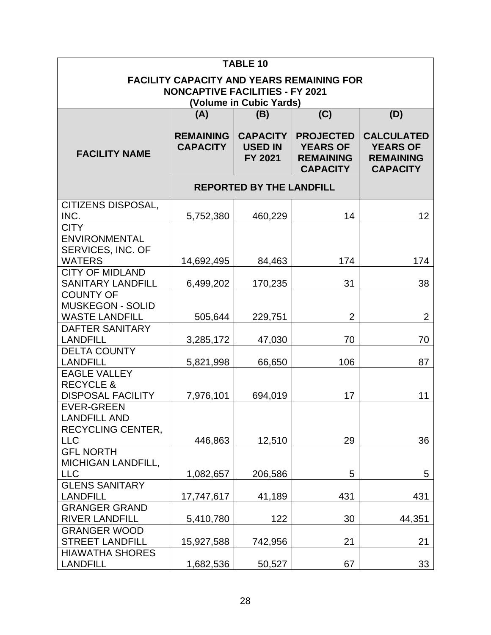|                                                                                                                       |                                     | <b>TABLE 10</b>                                     |                                                                            |                                                                             |  |
|-----------------------------------------------------------------------------------------------------------------------|-------------------------------------|-----------------------------------------------------|----------------------------------------------------------------------------|-----------------------------------------------------------------------------|--|
| <b>FACILITY CAPACITY AND YEARS REMAINING FOR</b><br><b>NONCAPTIVE FACILITIES - FY 2021</b><br>(Volume in Cubic Yards) |                                     |                                                     |                                                                            |                                                                             |  |
|                                                                                                                       | (A)                                 | (B)                                                 | (C)                                                                        | (D)                                                                         |  |
| <b>FACILITY NAME</b>                                                                                                  | <b>REMAINING</b><br><b>CAPACITY</b> | <b>CAPACITY</b><br><b>USED IN</b><br><b>FY 2021</b> | <b>PROJECTED</b><br><b>YEARS OF</b><br><b>REMAINING</b><br><b>CAPACITY</b> | <b>CALCULATED</b><br><b>YEARS OF</b><br><b>REMAINING</b><br><b>CAPACITY</b> |  |
|                                                                                                                       |                                     | <b>REPORTED BY THE LANDFILL</b>                     |                                                                            |                                                                             |  |
| <b>CITIZENS DISPOSAL,</b><br>INC.                                                                                     | 5,752,380                           | 460,229                                             | 14                                                                         | 12                                                                          |  |
| <b>CITY</b><br><b>ENVIRONMENTAL</b><br>SERVICES, INC. OF                                                              |                                     |                                                     |                                                                            |                                                                             |  |
| <b>WATERS</b><br><b>CITY OF MIDLAND</b>                                                                               | 14,692,495                          | 84,463                                              | 174                                                                        | 174                                                                         |  |
| <b>SANITARY LANDFILL</b>                                                                                              | 6,499,202                           | 170,235                                             | 31                                                                         | 38                                                                          |  |
| <b>COUNTY OF</b><br><b>MUSKEGON - SOLID</b><br><b>WASTE LANDFILL</b>                                                  | 505,644                             | 229,751                                             | $\overline{2}$                                                             | $\overline{2}$                                                              |  |
| DAFTER SANITARY                                                                                                       |                                     |                                                     |                                                                            |                                                                             |  |
| <b>LANDFILL</b>                                                                                                       | 3,285,172                           | 47,030                                              | 70                                                                         | 70                                                                          |  |
| <b>DELTA COUNTY</b><br><b>LANDFILL</b>                                                                                | 5,821,998                           | 66,650                                              | 106                                                                        | 87                                                                          |  |
| <b>EAGLE VALLEY</b><br><b>RECYCLE &amp;</b><br><b>DISPOSAL FACILITY</b>                                               | 7,976,101                           | 694,019                                             | 17                                                                         | 11                                                                          |  |
| <b>EVER-GREEN</b><br><b>LANDFILL AND</b><br><b>RECYCLING CENTER.</b><br><b>LLC</b>                                    | 446,863                             | 12,510                                              | 29                                                                         | 36                                                                          |  |
| <b>GFL NORTH</b>                                                                                                      |                                     |                                                     |                                                                            |                                                                             |  |
| <b>MICHIGAN LANDFILL,</b><br><b>LLC</b>                                                                               | 1,082,657                           | 206,586                                             | 5                                                                          | 5                                                                           |  |
| <b>GLENS SANITARY</b><br><b>LANDFILL</b>                                                                              | 17,747,617                          | 41,189                                              | 431                                                                        | 431                                                                         |  |
| <b>GRANGER GRAND</b><br><b>RIVER LANDFILL</b>                                                                         | 5,410,780                           | 122                                                 | 30                                                                         | 44,351                                                                      |  |
| <b>GRANGER WOOD</b><br><b>STREET LANDFILL</b>                                                                         | 15,927,588                          | 742,956                                             | 21                                                                         | 21                                                                          |  |
| <b>HIAWATHA SHORES</b><br><b>LANDFILL</b>                                                                             | 1,682,536                           | 50,527                                              | 67                                                                         | 33                                                                          |  |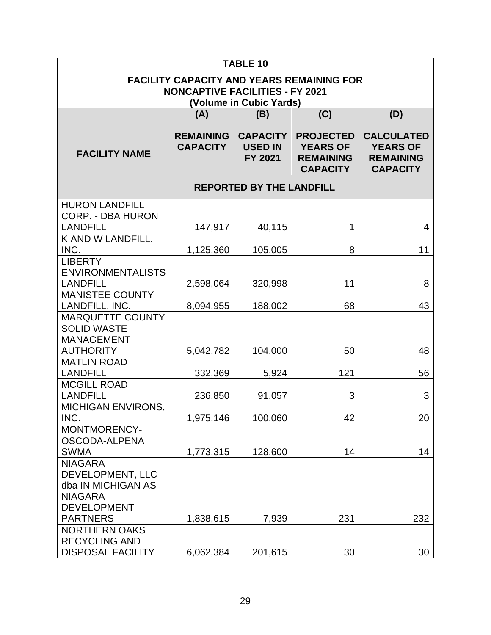| <b>TABLE 10</b>                                                                                                       |                                     |                                                     |                                                                            |                                                                             |  |
|-----------------------------------------------------------------------------------------------------------------------|-------------------------------------|-----------------------------------------------------|----------------------------------------------------------------------------|-----------------------------------------------------------------------------|--|
| <b>FACILITY CAPACITY AND YEARS REMAINING FOR</b><br><b>NONCAPTIVE FACILITIES - FY 2021</b><br>(Volume in Cubic Yards) |                                     |                                                     |                                                                            |                                                                             |  |
|                                                                                                                       | (A)                                 | (B)                                                 | (C)                                                                        | (D)                                                                         |  |
| <b>FACILITY NAME</b>                                                                                                  | <b>REMAINING</b><br><b>CAPACITY</b> | <b>CAPACITY</b><br><b>USED IN</b><br><b>FY 2021</b> | <b>PROJECTED</b><br><b>YEARS OF</b><br><b>REMAINING</b><br><b>CAPACITY</b> | <b>CALCULATED</b><br><b>YEARS OF</b><br><b>REMAINING</b><br><b>CAPACITY</b> |  |
|                                                                                                                       |                                     | <b>REPORTED BY THE LANDFILL</b>                     |                                                                            |                                                                             |  |
| <b>HURON LANDFILL</b><br><b>CORP. - DBA HURON</b><br><b>LANDFILL</b>                                                  | 147,917                             | 40,115                                              | 1                                                                          | 4                                                                           |  |
| K AND W LANDFILL,                                                                                                     |                                     |                                                     |                                                                            |                                                                             |  |
| INC.                                                                                                                  | 1,125,360                           | 105,005                                             | 8                                                                          | 11                                                                          |  |
| <b>LIBERTY</b><br><b>ENVIRONMENTALISTS</b><br><b>LANDFILL</b>                                                         | 2,598,064                           | 320,998                                             | 11                                                                         | 8                                                                           |  |
| <b>MANISTEE COUNTY</b><br>LANDFILL, INC.                                                                              | 8,094,955                           | 188,002                                             | 68                                                                         | 43                                                                          |  |
| <b>MARQUETTE COUNTY</b><br><b>SOLID WASTE</b><br><b>MANAGEMENT</b>                                                    |                                     |                                                     |                                                                            |                                                                             |  |
| <b>AUTHORITY</b>                                                                                                      | 5,042,782                           | 104,000                                             | 50                                                                         | 48                                                                          |  |
| <b>MATLIN ROAD</b><br><b>LANDFILL</b>                                                                                 | 332,369                             | 5,924                                               | 121                                                                        | 56                                                                          |  |
| <b>MCGILL ROAD</b><br><b>LANDFILL</b>                                                                                 | 236,850                             | 91,057                                              | 3                                                                          | 3                                                                           |  |
| <b>MICHIGAN ENVIRONS,</b><br>INC.                                                                                     | 1,975,146                           | 100,060                                             | 42                                                                         | 20                                                                          |  |
| MONTMORENCY-<br>OSCODA-ALPENA                                                                                         |                                     |                                                     |                                                                            |                                                                             |  |
| <b>SWMA</b><br><b>NIAGARA</b><br>DEVELOPMENT, LLC<br>dba IN MICHIGAN AS<br><b>NIAGARA</b><br><b>DEVELOPMENT</b>       | 1,773,315                           | 128,600                                             | 14                                                                         | 14                                                                          |  |
| <b>PARTNERS</b>                                                                                                       | 1,838,615                           | 7,939                                               | 231                                                                        | 232                                                                         |  |
| <b>NORTHERN OAKS</b><br><b>RECYCLING AND</b><br><b>DISPOSAL FACILITY</b>                                              | 6,062,384                           | 201,615                                             | 30                                                                         | 30                                                                          |  |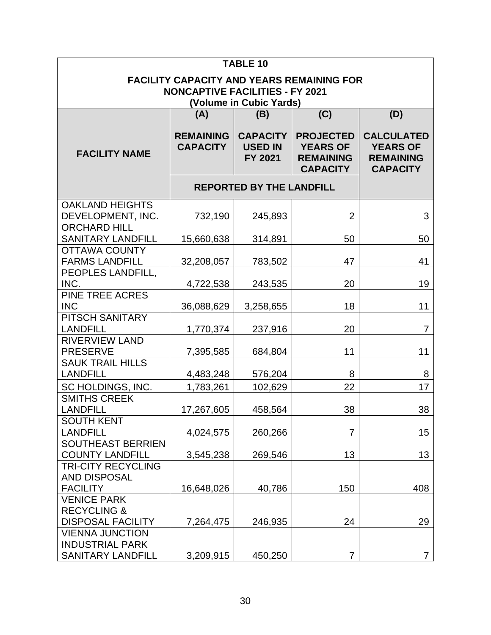|                                                                                                                       | <b>TABLE 10</b>                     |                                              |                                                                            |                                                                             |  |
|-----------------------------------------------------------------------------------------------------------------------|-------------------------------------|----------------------------------------------|----------------------------------------------------------------------------|-----------------------------------------------------------------------------|--|
| <b>FACILITY CAPACITY AND YEARS REMAINING FOR</b><br><b>NONCAPTIVE FACILITIES - FY 2021</b><br>(Volume in Cubic Yards) |                                     |                                              |                                                                            |                                                                             |  |
|                                                                                                                       | (A)                                 | (B)                                          | (C)                                                                        | (D)                                                                         |  |
| <b>FACILITY NAME</b>                                                                                                  | <b>REMAINING</b><br><b>CAPACITY</b> | <b>CAPACITY</b><br><b>USED IN</b><br>FY 2021 | <b>PROJECTED</b><br><b>YEARS OF</b><br><b>REMAINING</b><br><b>CAPACITY</b> | <b>CALCULATED</b><br><b>YEARS OF</b><br><b>REMAINING</b><br><b>CAPACITY</b> |  |
|                                                                                                                       |                                     | <b>REPORTED BY THE LANDFILL</b>              |                                                                            |                                                                             |  |
| <b>OAKLAND HEIGHTS</b>                                                                                                |                                     |                                              |                                                                            |                                                                             |  |
| DEVELOPMENT, INC.                                                                                                     | 732,190                             | 245,893                                      | $\overline{2}$                                                             | 3                                                                           |  |
| <b>ORCHARD HILL</b>                                                                                                   |                                     |                                              |                                                                            |                                                                             |  |
| <b>SANITARY LANDFILL</b>                                                                                              | 15,660,638                          | 314,891                                      | 50                                                                         | 50                                                                          |  |
| <b>OTTAWA COUNTY</b>                                                                                                  |                                     |                                              |                                                                            |                                                                             |  |
| <b>FARMS LANDFILL</b>                                                                                                 | 32,208,057                          | 783,502                                      | 47                                                                         | 41                                                                          |  |
| PEOPLES LANDFILL,                                                                                                     |                                     |                                              |                                                                            |                                                                             |  |
| INC.                                                                                                                  | 4,722,538                           | 243,535                                      | 20                                                                         | 19                                                                          |  |
| <b>PINE TREE ACRES</b><br><b>INC</b>                                                                                  | 36,088,629                          | 3,258,655                                    | 18                                                                         | 11                                                                          |  |
| PITSCH SANITARY                                                                                                       |                                     |                                              |                                                                            |                                                                             |  |
| <b>LANDFILL</b>                                                                                                       | 1,770,374                           | 237,916                                      | 20                                                                         | $\overline{7}$                                                              |  |
| <b>RIVERVIEW LAND</b>                                                                                                 |                                     |                                              |                                                                            |                                                                             |  |
| <b>PRESERVE</b>                                                                                                       | 7,395,585                           | 684,804                                      | 11                                                                         | 11                                                                          |  |
| <b>SAUK TRAIL HILLS</b>                                                                                               |                                     |                                              |                                                                            |                                                                             |  |
| <b>LANDFILL</b>                                                                                                       | 4,483,248                           | 576,204                                      | 8                                                                          | 8                                                                           |  |
| SC HOLDINGS, INC.                                                                                                     | 1,783,261                           | 102,629                                      | 22                                                                         | 17                                                                          |  |
| <b>SMITHS CREEK</b>                                                                                                   |                                     |                                              |                                                                            |                                                                             |  |
| <b>LANDFILL</b>                                                                                                       | 17,267,605                          | 458,564                                      | 38                                                                         | 38                                                                          |  |
| <b>SOUTH KENT</b>                                                                                                     |                                     |                                              |                                                                            |                                                                             |  |
| <b>LANDFILL</b>                                                                                                       | 4,024,575                           | 260,266                                      | 7                                                                          | 15                                                                          |  |
| <b>SOUTHEAST BERRIEN</b>                                                                                              |                                     |                                              |                                                                            |                                                                             |  |
| <b>COUNTY LANDFILL</b>                                                                                                | 3,545,238                           | 269,546                                      | 13                                                                         | 13                                                                          |  |
| <b>TRI-CITY RECYCLING</b>                                                                                             |                                     |                                              |                                                                            |                                                                             |  |
| <b>AND DISPOSAL</b>                                                                                                   |                                     |                                              |                                                                            |                                                                             |  |
| <b>FACILITY</b>                                                                                                       | 16,648,026                          | 40,786                                       | 150                                                                        | 408                                                                         |  |
| <b>VENICE PARK</b>                                                                                                    |                                     |                                              |                                                                            |                                                                             |  |
| <b>RECYCLING &amp;</b>                                                                                                |                                     |                                              |                                                                            |                                                                             |  |
| <b>DISPOSAL FACILITY</b>                                                                                              | 7,264,475                           | 246,935                                      | 24                                                                         | 29                                                                          |  |
| <b>VIENNA JUNCTION</b>                                                                                                |                                     |                                              |                                                                            |                                                                             |  |
| <b>INDUSTRIAL PARK</b>                                                                                                |                                     |                                              |                                                                            |                                                                             |  |
| <b>SANITARY LANDFILL</b>                                                                                              | 3,209,915                           | 450,250                                      | 7                                                                          | 7                                                                           |  |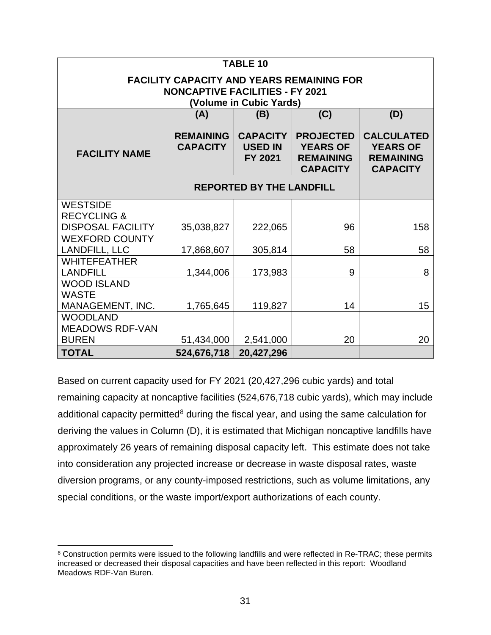|                                           | <b>TABLE 10</b>                                                                                                       |                                              |                                                                            |                                                                             |  |  |
|-------------------------------------------|-----------------------------------------------------------------------------------------------------------------------|----------------------------------------------|----------------------------------------------------------------------------|-----------------------------------------------------------------------------|--|--|
|                                           | <b>FACILITY CAPACITY AND YEARS REMAINING FOR</b><br><b>NONCAPTIVE FACILITIES - FY 2021</b><br>(Volume in Cubic Yards) |                                              |                                                                            |                                                                             |  |  |
|                                           | (A)                                                                                                                   | (B)                                          | (C)                                                                        | (D)                                                                         |  |  |
| <b>FACILITY NAME</b>                      | <b>REMAINING</b><br><b>CAPACITY</b>                                                                                   | <b>CAPACITY</b><br><b>USED IN</b><br>FY 2021 | <b>PROJECTED</b><br><b>YEARS OF</b><br><b>REMAINING</b><br><b>CAPACITY</b> | <b>CALCULATED</b><br><b>YEARS OF</b><br><b>REMAINING</b><br><b>CAPACITY</b> |  |  |
|                                           |                                                                                                                       | <b>REPORTED BY THE LANDFILL</b>              |                                                                            |                                                                             |  |  |
| <b>WESTSIDE</b>                           |                                                                                                                       |                                              |                                                                            |                                                                             |  |  |
| <b>RECYCLING &amp;</b>                    |                                                                                                                       |                                              |                                                                            |                                                                             |  |  |
| <b>DISPOSAL FACILITY</b>                  | 35,038,827                                                                                                            | 222,065                                      | 96                                                                         | 158                                                                         |  |  |
| <b>WEXFORD COUNTY</b><br>LANDFILL, LLC    | 17,868,607                                                                                                            | 305,814                                      | 58                                                                         | 58                                                                          |  |  |
| <b>WHITEFEATHER</b>                       |                                                                                                                       |                                              |                                                                            |                                                                             |  |  |
| <b>LANDFILL</b>                           | 1,344,006                                                                                                             | 173,983                                      | 9                                                                          | 8                                                                           |  |  |
| <b>WOOD ISLAND</b><br><b>WASTE</b>        |                                                                                                                       |                                              |                                                                            |                                                                             |  |  |
| MANAGEMENT, INC.                          | 1,765,645                                                                                                             | 119,827                                      | 14                                                                         | 15                                                                          |  |  |
| <b>WOODLAND</b><br><b>MEADOWS RDF-VAN</b> |                                                                                                                       |                                              |                                                                            |                                                                             |  |  |
| <b>BUREN</b>                              | 51,434,000                                                                                                            | 2,541,000                                    | 20                                                                         | 20                                                                          |  |  |
| <b>TOTAL</b>                              | 524,676,718                                                                                                           | 20,427,296                                   |                                                                            |                                                                             |  |  |

Based on current capacity used for FY 2021 (20,427,296 cubic yards) and total remaining capacity at noncaptive facilities (524,676,718 cubic yards), which may include additional capacity permitted<sup>[8](#page-32-0)</sup> during the fiscal year, and using the same calculation for deriving the values in Column (D), it is estimated that Michigan noncaptive landfills have approximately 26 years of remaining disposal capacity left. This estimate does not take into consideration any projected increase or decrease in waste disposal rates, waste diversion programs, or any county-imposed restrictions, such as volume limitations, any special conditions, or the waste import/export authorizations of each county.

<span id="page-32-0"></span><sup>8</sup> Construction permits were issued to the following landfills and were reflected in Re-TRAC; these permits increased or decreased their disposal capacities and have been reflected in this report: Woodland Meadows RDF-Van Buren.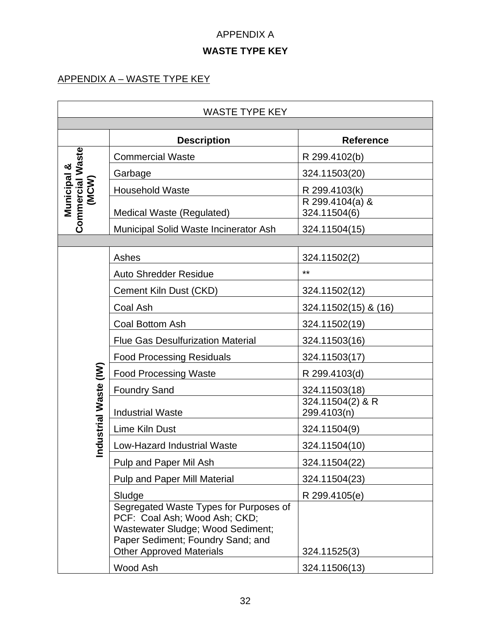#### APPENDIX A

## **WASTE TYPE KEY**

#### APPENDIX A – WASTE TYPE KEY

|                                            | <b>WASTE TYPE KEY</b>                                                                                                                                                                |                                 |  |  |
|--------------------------------------------|--------------------------------------------------------------------------------------------------------------------------------------------------------------------------------------|---------------------------------|--|--|
|                                            |                                                                                                                                                                                      |                                 |  |  |
|                                            | <b>Description</b>                                                                                                                                                                   | <b>Reference</b>                |  |  |
|                                            | <b>Commercial Waste</b>                                                                                                                                                              | R 299.4102(b)                   |  |  |
|                                            | Garbage                                                                                                                                                                              | 324.11503(20)                   |  |  |
|                                            | <b>Household Waste</b>                                                                                                                                                               | R 299.4103(k)                   |  |  |
| Commercial Waste<br><b>Municipal &amp;</b> | Medical Waste (Regulated)                                                                                                                                                            | R 299.4104(a) &<br>324.11504(6) |  |  |
|                                            | Municipal Solid Waste Incinerator Ash                                                                                                                                                | 324.11504(15)                   |  |  |
|                                            |                                                                                                                                                                                      |                                 |  |  |
|                                            | Ashes                                                                                                                                                                                | 324.11502(2)                    |  |  |
|                                            | <b>Auto Shredder Residue</b>                                                                                                                                                         | $***$                           |  |  |
|                                            | Cement Kiln Dust (CKD)                                                                                                                                                               | 324.11502(12)                   |  |  |
|                                            | Coal Ash                                                                                                                                                                             | 324.11502(15) & (16)            |  |  |
|                                            | Coal Bottom Ash                                                                                                                                                                      | 324.11502(19)                   |  |  |
|                                            | <b>Flue Gas Desulfurization Material</b>                                                                                                                                             | 324.11503(16)                   |  |  |
|                                            | <b>Food Processing Residuals</b>                                                                                                                                                     | 324.11503(17)                   |  |  |
|                                            | <b>Food Processing Waste</b>                                                                                                                                                         | R 299.4103(d)                   |  |  |
|                                            | <b>Foundry Sand</b>                                                                                                                                                                  | 324.11503(18)                   |  |  |
| Industrial Waste (IW)                      | <b>Industrial Waste</b>                                                                                                                                                              | 324.11504(2) & R<br>299.4103(n) |  |  |
|                                            | Lime Kiln Dust                                                                                                                                                                       | 324.11504(9)                    |  |  |
|                                            | <b>Low-Hazard Industrial Waste</b>                                                                                                                                                   | 324.11504(10)                   |  |  |
|                                            | Pulp and Paper Mil Ash                                                                                                                                                               | 324.11504(22)                   |  |  |
|                                            | <b>Pulp and Paper Mill Material</b>                                                                                                                                                  | 324.11504(23)                   |  |  |
|                                            | Sludge                                                                                                                                                                               | R 299.4105(e)                   |  |  |
|                                            | Segregated Waste Types for Purposes of<br>PCF: Coal Ash; Wood Ash; CKD;<br>Wastewater Sludge; Wood Sediment;<br>Paper Sediment; Foundry Sand; and<br><b>Other Approved Materials</b> | 324.11525(3)                    |  |  |
|                                            | Wood Ash                                                                                                                                                                             | 324.11506(13)                   |  |  |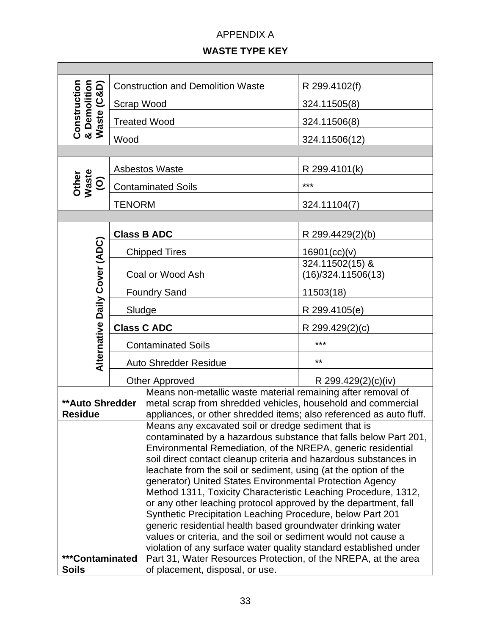#### APPENDIX A

#### **WASTE TYPE KEY**

|                                                                                                                                  |                     | <b>Construction and Demolition Waste</b>                                                                                            | R 299.4102(f)                         |  |
|----------------------------------------------------------------------------------------------------------------------------------|---------------------|-------------------------------------------------------------------------------------------------------------------------------------|---------------------------------------|--|
|                                                                                                                                  | Scrap Wood          |                                                                                                                                     | 324.11505(8)                          |  |
| <b>Construction<br/>&amp; Demolition<br/>Waste (C&amp;D)</b>                                                                     |                     | <b>Treated Wood</b>                                                                                                                 | 324.11506(8)                          |  |
|                                                                                                                                  | Wood                |                                                                                                                                     | 324.11506(12)                         |  |
|                                                                                                                                  |                     |                                                                                                                                     |                                       |  |
|                                                                                                                                  |                     | <b>Asbestos Waste</b>                                                                                                               | R 299.4101(k)                         |  |
| Other<br>Waste<br>$\widehat{\mathsf{O}}$                                                                                         |                     | <b>Contaminated Soils</b>                                                                                                           | ***                                   |  |
|                                                                                                                                  | <b>TENORM</b>       |                                                                                                                                     | 324.11104(7)                          |  |
|                                                                                                                                  |                     |                                                                                                                                     |                                       |  |
|                                                                                                                                  |                     | <b>Class B ADC</b>                                                                                                                  | R 299.4429(2)(b)                      |  |
|                                                                                                                                  |                     | <b>Chipped Tires</b>                                                                                                                | 16901(cc)(v)                          |  |
| Alternative Daily Cover (ADC)                                                                                                    | Coal or Wood Ash    |                                                                                                                                     | 324.11502(15) &<br>(16)/324.11506(13) |  |
|                                                                                                                                  | <b>Foundry Sand</b> |                                                                                                                                     | 11503(18)                             |  |
|                                                                                                                                  |                     | Sludge                                                                                                                              | R 299.4105(e)                         |  |
|                                                                                                                                  | <b>Class C ADC</b>  |                                                                                                                                     | R 299.429(2)(c)                       |  |
|                                                                                                                                  |                     | <b>Contaminated Soils</b>                                                                                                           | ***                                   |  |
|                                                                                                                                  |                     | Auto Shredder Residue                                                                                                               | $***$                                 |  |
|                                                                                                                                  |                     | <b>Other Approved</b>                                                                                                               | R 299.429 $(2)(c)(iv)$                |  |
|                                                                                                                                  |                     | Means non-metallic waste material remaining after removal of                                                                        |                                       |  |
| <b>**Auto Shredder</b>                                                                                                           |                     | metal scrap from shredded vehicles, household and commercial                                                                        |                                       |  |
| <b>Residue</b>                                                                                                                   |                     | appliances, or other shredded items; also referenced as auto fluff.                                                                 |                                       |  |
| Means any excavated soil or dredge sediment that is                                                                              |                     |                                                                                                                                     |                                       |  |
| contaminated by a hazardous substance that falls below Part 201,<br>Environmental Remediation, of the NREPA, generic residential |                     |                                                                                                                                     |                                       |  |
| soil direct contact cleanup criteria and hazardous substances in                                                                 |                     |                                                                                                                                     |                                       |  |
| leachate from the soil or sediment, using (at the option of the                                                                  |                     |                                                                                                                                     |                                       |  |
| generator) United States Environmental Protection Agency                                                                         |                     |                                                                                                                                     |                                       |  |
| Method 1311, Toxicity Characteristic Leaching Procedure, 1312,                                                                   |                     |                                                                                                                                     |                                       |  |
| or any other leaching protocol approved by the department, fall                                                                  |                     |                                                                                                                                     |                                       |  |
|                                                                                                                                  |                     | Synthetic Precipitation Leaching Procedure, below Part 201                                                                          |                                       |  |
|                                                                                                                                  |                     | generic residential health based groundwater drinking water                                                                         |                                       |  |
|                                                                                                                                  |                     | values or criteria, and the soil or sediment would not cause a                                                                      |                                       |  |
| ***Contaminated                                                                                                                  |                     | violation of any surface water quality standard established under<br>Part 31, Water Resources Protection, of the NREPA, at the area |                                       |  |
| <b>Soils</b><br>of placement, disposal, or use.                                                                                  |                     |                                                                                                                                     |                                       |  |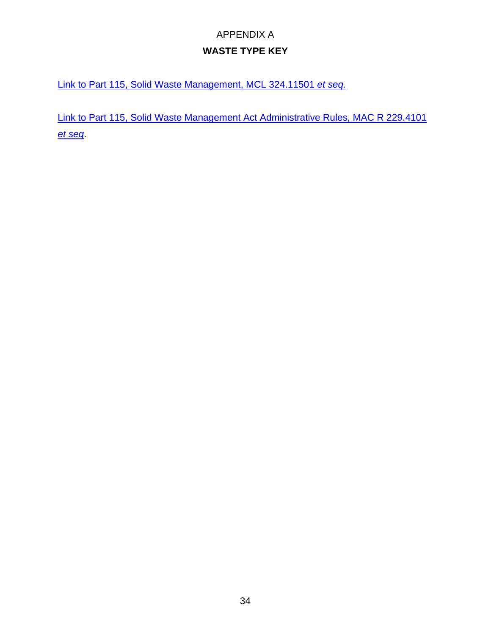## APPENDIX A **WASTE TYPE KEY**

Link [to Part 115, Solid Waste Management, MCL 324.11501](http://www.legislature.mi.gov/documents/mcl/pdf/mcl-451-1994-ii-3-115.pdf) *et seq.*

[Link to Part 115, Solid Waste Management Act Administrative Rules, MAC R 229.4101](https://www.google.com/url?sa=t&rct=j&q=&esrc=s&source=web&cd=&ved=2ahUKEwjLrtP1xsD1AhWGKDQIHQn5Al4QFnoECAMQAQ&url=https%3A%2F%2Fars.apps.lara.state.mi.us%2FAdminCode%2FDownloadAdminCodeFile%3FFileName%3D1485_2014-146EQ_AdminCode.pdf&usg=AOvVaw0hWdToqKi3ZN296rUNzLIM)  *[et seq](https://www.google.com/url?sa=t&rct=j&q=&esrc=s&source=web&cd=&ved=2ahUKEwjLrtP1xsD1AhWGKDQIHQn5Al4QFnoECAMQAQ&url=https%3A%2F%2Fars.apps.lara.state.mi.us%2FAdminCode%2FDownloadAdminCodeFile%3FFileName%3D1485_2014-146EQ_AdminCode.pdf&usg=AOvVaw0hWdToqKi3ZN296rUNzLIM)*.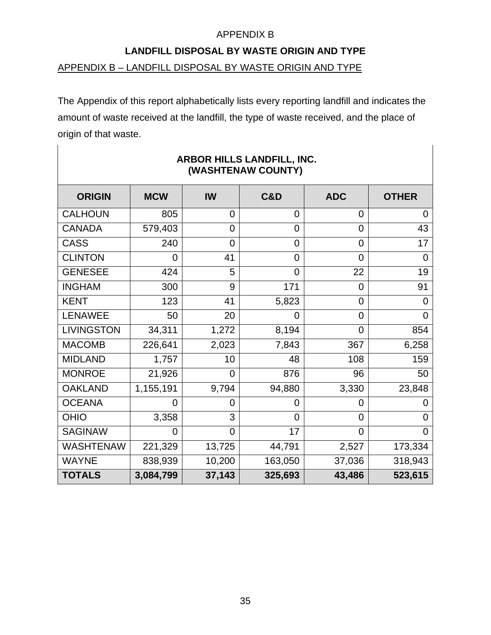#### **LANDFILL DISPOSAL BY WASTE ORIGIN AND TYPE**

#### APPENDIX B – LANDFILL DISPOSAL BY WASTE ORIGIN AND TYPE

The Appendix of this report alphabetically lists every reporting landfill and indicates the amount of waste received at the landfill, the type of waste received, and the place of origin of that waste.

| <b>ORIGIN</b>     | <b>MCW</b>     | IW             | C&D            | <b>ADC</b>     | <b>OTHER</b>   |
|-------------------|----------------|----------------|----------------|----------------|----------------|
| <b>CALHOUN</b>    | 805            | $\overline{0}$ | 0              | 0              | $\overline{0}$ |
| <b>CANADA</b>     | 579,403        | $\overline{0}$ | 0              | 0              | 43             |
| <b>CASS</b>       | 240            | $\overline{0}$ | 0              | 0              | 17             |
| <b>CLINTON</b>    | $\overline{0}$ | 41             | 0              | 0              | 0              |
| <b>GENESEE</b>    | 424            | 5              | $\overline{0}$ | 22             | 19             |
| <b>INGHAM</b>     | 300            | 9              | 171            | 0              | 91             |
| <b>KENT</b>       | 123            | 41             | 5,823          | 0              | 0              |
| <b>LENAWEE</b>    | 50             | 20             | 0              | $\overline{0}$ | 0              |
| <b>LIVINGSTON</b> | 34,311         | 1,272          | 8,194          | 0              | 854            |
| <b>MACOMB</b>     | 226,641        | 2,023          | 7,843          | 367            | 6,258          |
| <b>MIDLAND</b>    | 1,757          | 10             | 48             | 108            | 159            |
| <b>MONROE</b>     | 21,926         | $\overline{0}$ | 876            | 96             | 50             |
| <b>OAKLAND</b>    | 1,155,191      | 9,794          | 94,880         | 3,330          | 23,848         |
| <b>OCEANA</b>     | 0              | 0              | 0              | 0              |                |
| <b>OHIO</b>       | 3,358          | 3              | $\overline{0}$ | $\overline{0}$ | 0              |
| <b>SAGINAW</b>    | $\overline{0}$ | $\overline{0}$ | 17             | 0              | 0              |
| <b>WASHTENAW</b>  | 221,329        | 13,725         | 44,791         | 2,527          | 173,334        |
| <b>WAYNE</b>      | 838,939        | 10,200         | 163,050        | 37,036         | 318,943        |
| <b>TOTALS</b>     | 3,084,799      | 37,143         | 325,693        | 43,486         | 523,615        |

#### **ARBOR HILLS LANDFILL, INC. (WASHTENAW COUNTY)**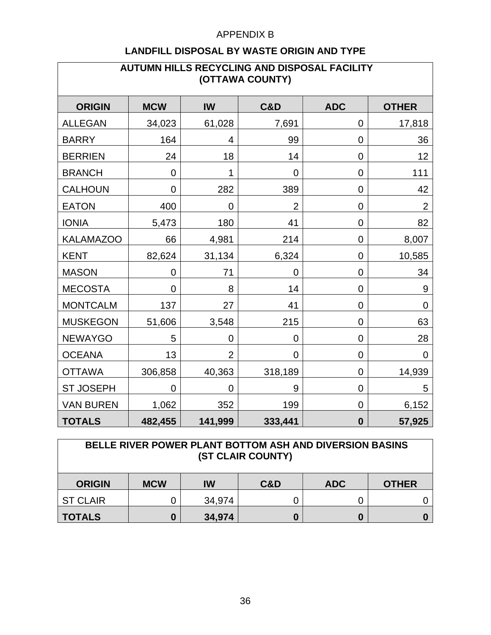| AUTUMN HILLS RECYCLING AND DISPOSAL FACILITY<br>(OTTAWA COUNTY) |                |                |                |             |                |  |  |  |
|-----------------------------------------------------------------|----------------|----------------|----------------|-------------|----------------|--|--|--|
| <b>ORIGIN</b>                                                   | <b>MCW</b>     | <b>IW</b>      | <b>C&amp;D</b> | <b>ADC</b>  | <b>OTHER</b>   |  |  |  |
| <b>ALLEGAN</b>                                                  | 34,023         | 61,028         | 7,691          | 0           | 17,818         |  |  |  |
| <b>BARRY</b>                                                    | 164            | 4              | 99             | $\mathbf 0$ | 36             |  |  |  |
| <b>BERRIEN</b>                                                  | 24             | 18             | 14             | 0           | 12             |  |  |  |
| <b>BRANCH</b>                                                   | $\overline{0}$ | 1              | 0              | 0           | 111            |  |  |  |
| <b>CALHOUN</b>                                                  | 0              | 282            | 389            | 0           | 42             |  |  |  |
| <b>EATON</b>                                                    | 400            | 0              | $\overline{2}$ | 0           | $\overline{2}$ |  |  |  |
| <b>IONIA</b>                                                    | 5,473          | 180            | 41             | 0           | 82             |  |  |  |
| <b>KALAMAZOO</b>                                                | 66             | 4,981          | 214            | $\pmb{0}$   | 8,007          |  |  |  |
| <b>KENT</b>                                                     | 82,624         | 31,134         | 6,324          | $\mathbf 0$ | 10,585         |  |  |  |
| <b>MASON</b>                                                    | 0              | 71             | $\overline{0}$ | 0           | 34             |  |  |  |
| <b>MECOSTA</b>                                                  | 0              | 8              | 14             | 0           | 9              |  |  |  |
| <b>MONTCALM</b>                                                 | 137            | 27             | 41             | $\mathbf 0$ | $\mathbf 0$    |  |  |  |
| <b>MUSKEGON</b>                                                 | 51,606         | 3,548          | 215            | 0           | 63             |  |  |  |
| <b>NEWAYGO</b>                                                  | 5              | 0              | 0              | 0           | 28             |  |  |  |
| <b>OCEANA</b>                                                   | 13             | $\overline{2}$ | 0              | $\mathbf 0$ | $\overline{0}$ |  |  |  |
| <b>OTTAWA</b>                                                   | 306,858        | 40,363         | 318,189        | 0           | 14,939         |  |  |  |
| <b>ST JOSEPH</b>                                                | 0              | $\overline{0}$ | 9              | 0           | 5              |  |  |  |
| <b>VAN BUREN</b>                                                | 1,062          | 352            | 199            | $\pmb{0}$   | 6,152          |  |  |  |
| <b>TOTALS</b>                                                   | 482,455        | 141,999        | 333,441        | $\bf{0}$    | 57,925         |  |  |  |

| <b>BELLE RIVER POWER PLANT BOTTOM ASH AND DIVERSION BASINS</b><br>(ST CLAIR COUNTY) |            |        |     |            |              |  |
|-------------------------------------------------------------------------------------|------------|--------|-----|------------|--------------|--|
| <b>ORIGIN</b>                                                                       | <b>MCW</b> | IW     | C&D | <b>ADC</b> | <b>OTHER</b> |  |
| <b>ST CLAIR</b>                                                                     |            | 34,974 |     |            |              |  |
| <b>TOTALS</b>                                                                       | 0          | 34,974 |     | 0          |              |  |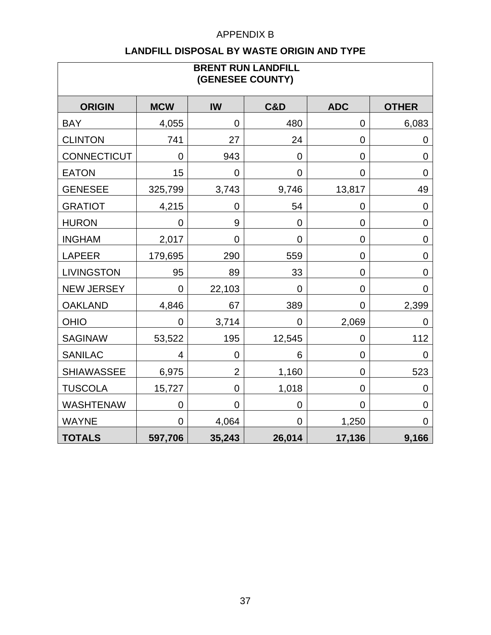| <b>BRENT RUN LANDFILL</b><br>(GENESEE COUNTY) |                |                |                |                |                |  |  |  |
|-----------------------------------------------|----------------|----------------|----------------|----------------|----------------|--|--|--|
| <b>ORIGIN</b>                                 | <b>MCW</b>     | <b>IW</b>      | <b>C&amp;D</b> | <b>ADC</b>     | <b>OTHER</b>   |  |  |  |
| <b>BAY</b>                                    | 4,055          | $\overline{0}$ | 480            | $\overline{0}$ | 6,083          |  |  |  |
| <b>CLINTON</b>                                | 741            | 27             | 24             | $\mathbf 0$    | $\overline{0}$ |  |  |  |
| <b>CONNECTICUT</b>                            | $\mathbf 0$    | 943            | 0              | $\mathbf 0$    | $\mathbf 0$    |  |  |  |
| <b>EATON</b>                                  | 15             | $\overline{0}$ | 0              | $\mathbf 0$    | $\overline{0}$ |  |  |  |
| <b>GENESEE</b>                                | 325,799        | 3,743          | 9,746          | 13,817         | 49             |  |  |  |
| <b>GRATIOT</b>                                | 4,215          | 0              | 54             | 0              | $\mathbf 0$    |  |  |  |
| <b>HURON</b>                                  | 0              | 9              | $\mathbf 0$    | $\mathbf 0$    | $\mathbf 0$    |  |  |  |
| <b>INGHAM</b>                                 | 2,017          | $\mathbf 0$    | 0              | $\mathbf 0$    | $\mathbf 0$    |  |  |  |
| <b>LAPEER</b>                                 | 179,695        | 290            | 559            | $\overline{0}$ | $\mathbf 0$    |  |  |  |
| <b>LIVINGSTON</b>                             | 95             | 89             | 33             | $\mathbf 0$    | $\overline{0}$ |  |  |  |
| <b>NEW JERSEY</b>                             | $\overline{0}$ | 22,103         | $\overline{0}$ | $\overline{0}$ | $\mathbf 0$    |  |  |  |
| <b>OAKLAND</b>                                | 4,846          | 67             | 389            | 0              | 2,399          |  |  |  |
| <b>OHIO</b>                                   | $\mathbf 0$    | 3,714          | $\overline{0}$ | 2,069          | 0              |  |  |  |
| <b>SAGINAW</b>                                | 53,522         | 195            | 12,545         | 0              | 112            |  |  |  |
| <b>SANILAC</b>                                | 4              | $\overline{0}$ | 6              | $\mathbf 0$    | 0              |  |  |  |
| <b>SHIAWASSEE</b>                             | 6,975          | $\overline{2}$ | 1,160          | $\overline{0}$ | 523            |  |  |  |
| <b>TUSCOLA</b>                                | 15,727         | $\mathbf 0$    | 1,018          | $\mathbf 0$    | $\mathbf 0$    |  |  |  |
| <b>WASHTENAW</b>                              | $\mathbf 0$    | 0              | 0              | $\mathbf 0$    | $\overline{0}$ |  |  |  |
| <b>WAYNE</b>                                  | $\overline{0}$ | 4,064          | $\overline{0}$ | 1,250          | $\mathbf 0$    |  |  |  |
| <b>TOTALS</b>                                 | 597,706        | 35,243         | 26,014         | 17,136         | 9,166          |  |  |  |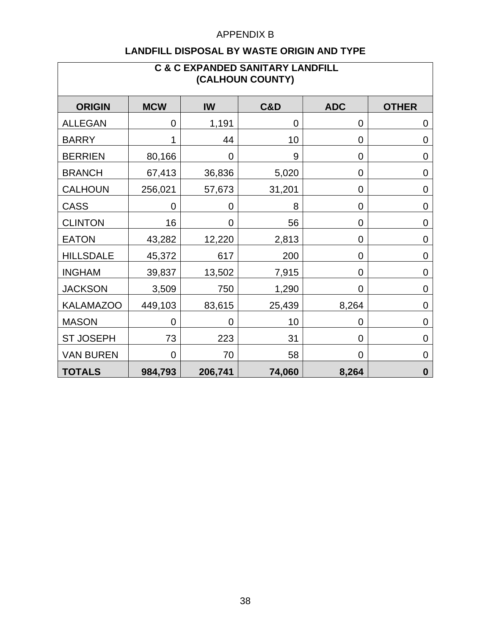| <b>C &amp; C EXPANDED SANITARY LANDFILL</b><br>(CALHOUN COUNTY) |                |         |                |            |                |  |  |  |
|-----------------------------------------------------------------|----------------|---------|----------------|------------|----------------|--|--|--|
| <b>ORIGIN</b>                                                   | <b>MCW</b>     | IW      | <b>C&amp;D</b> | <b>ADC</b> | <b>OTHER</b>   |  |  |  |
| <b>ALLEGAN</b>                                                  | $\mathbf 0$    | 1,191   | 0              | 0          | 0              |  |  |  |
| <b>BARRY</b>                                                    |                | 44      | 10             | 0          | $\mathbf 0$    |  |  |  |
| <b>BERRIEN</b>                                                  | 80,166         | 0       | 9              | 0          | $\overline{0}$ |  |  |  |
| <b>BRANCH</b>                                                   | 67,413         | 36,836  | 5,020          | 0          | $\mathbf 0$    |  |  |  |
| <b>CALHOUN</b>                                                  | 256,021        | 57,673  | 31,201         | 0          | $\mathbf 0$    |  |  |  |
| <b>CASS</b>                                                     | $\mathbf 0$    | 0       | 8              | 0          | $\mathbf 0$    |  |  |  |
| <b>CLINTON</b>                                                  | 16             | 0       | 56             | 0          | $\overline{0}$ |  |  |  |
| <b>EATON</b>                                                    | 43,282         | 12,220  | 2,813          | 0          | $\mathbf 0$    |  |  |  |
| <b>HILLSDALE</b>                                                | 45,372         | 617     | 200            | 0          | $\mathbf 0$    |  |  |  |
| <b>INGHAM</b>                                                   | 39,837         | 13,502  | 7,915          | 0          | $\mathbf 0$    |  |  |  |
| <b>JACKSON</b>                                                  | 3,509          | 750     | 1,290          | 0          | 0              |  |  |  |
| <b>KALAMAZOO</b>                                                | 449,103        | 83,615  | 25,439         | 8,264      | $\mathbf 0$    |  |  |  |
| <b>MASON</b>                                                    | 0              | 0       | 10             | 0          | $\mathbf 0$    |  |  |  |
| <b>ST JOSEPH</b>                                                | 73             | 223     | 31             | 0          | $\mathbf 0$    |  |  |  |
| <b>VAN BUREN</b>                                                | $\overline{0}$ | 70      | 58             | 0          | $\mathbf 0$    |  |  |  |
| <b>TOTALS</b>                                                   | 984,793        | 206,741 | 74,060         | 8,264      | $\bf{0}$       |  |  |  |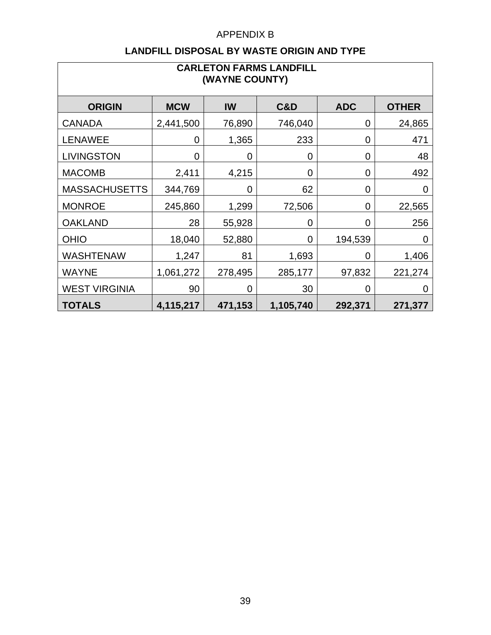| <b>CARLETON FARMS LANDFILL</b><br>(WAYNE COUNTY) |            |         |           |            |              |  |  |  |  |
|--------------------------------------------------|------------|---------|-----------|------------|--------------|--|--|--|--|
| <b>ORIGIN</b>                                    | <b>MCW</b> | IW      | C&D       | <b>ADC</b> | <b>OTHER</b> |  |  |  |  |
| <b>CANADA</b>                                    | 2,441,500  | 76,890  | 746,040   | 0          | 24,865       |  |  |  |  |
| <b>LENAWEE</b>                                   | 0          | 1,365   | 233       | 0          | 471          |  |  |  |  |
| <b>LIVINGSTON</b>                                | 0          | 0       | 0         | 0          | 48           |  |  |  |  |
| <b>MACOMB</b>                                    | 2,411      | 4,215   | 0         | 0          | 492          |  |  |  |  |
| <b>MASSACHUSETTS</b>                             | 344,769    | 0       | 62        | 0          | $\mathbf 0$  |  |  |  |  |
| <b>MONROE</b>                                    | 245,860    | 1,299   | 72,506    | 0          | 22,565       |  |  |  |  |
| <b>OAKLAND</b>                                   | 28         | 55,928  | 0         | 0          | 256          |  |  |  |  |
| <b>OHIO</b>                                      | 18,040     | 52,880  | 0         | 194,539    | 0            |  |  |  |  |
| <b>WASHTENAW</b>                                 | 1,247      | 81      | 1,693     | 0          | 1,406        |  |  |  |  |
| <b>WAYNE</b>                                     | 1,061,272  | 278,495 | 285,177   | 97,832     | 221,274      |  |  |  |  |
| <b>WEST VIRGINIA</b>                             | 90         | 0       | 30        | 0          | 0            |  |  |  |  |
| <b>TOTALS</b>                                    | 4,115,217  | 471,153 | 1,105,740 | 292,371    | 271,377      |  |  |  |  |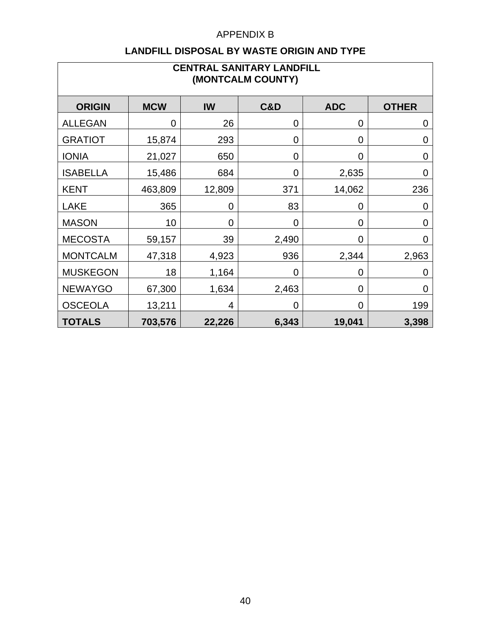| <b>CENTRAL SANITARY LANDFILL</b><br>(MONTCALM COUNTY) |            |                |                |            |                |  |  |  |
|-------------------------------------------------------|------------|----------------|----------------|------------|----------------|--|--|--|
| <b>ORIGIN</b>                                         | <b>MCW</b> | IW             | C&D            | <b>ADC</b> | <b>OTHER</b>   |  |  |  |
| <b>ALLEGAN</b>                                        | 0          | 26             | $\overline{0}$ | 0          | $\mathbf 0$    |  |  |  |
| <b>GRATIOT</b>                                        | 15,874     | 293            | 0              | 0          | 0              |  |  |  |
| <b>IONIA</b>                                          | 21,027     | 650            | 0              | 0          | $\overline{0}$ |  |  |  |
| <b>ISABELLA</b>                                       | 15,486     | 684            | $\overline{0}$ | 2,635      | $\mathbf 0$    |  |  |  |
| <b>KENT</b>                                           | 463,809    | 12,809         | 371            | 14,062     | 236            |  |  |  |
| <b>LAKE</b>                                           | 365        | $\overline{0}$ | 83             | 0          | $\overline{0}$ |  |  |  |
| <b>MASON</b>                                          | 10         | $\mathbf 0$    | $\overline{0}$ | 0          | $\mathbf 0$    |  |  |  |
| <b>MECOSTA</b>                                        | 59,157     | 39             | 2,490          | 0          | $\overline{0}$ |  |  |  |
| <b>MONTCALM</b>                                       | 47,318     | 4,923          | 936            | 2,344      | 2,963          |  |  |  |
| <b>MUSKEGON</b>                                       | 18         | 1,164          | 0              | 0          | 0              |  |  |  |
| <b>NEWAYGO</b>                                        | 67,300     | 1,634          | 2,463          | 0          | $\overline{0}$ |  |  |  |
| <b>OSCEOLA</b>                                        | 13,211     | 4              | 0              | 0          | 199            |  |  |  |
| <b>TOTALS</b>                                         | 703,576    | 22,226         | 6,343          | 19,041     | 3,398          |  |  |  |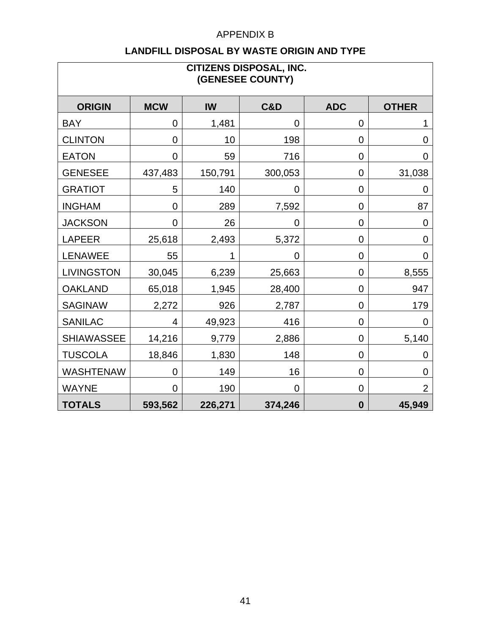| <b>CITIZENS DISPOSAL, INC.</b><br>(GENESEE COUNTY) |                |           |                |                  |                |  |  |  |
|----------------------------------------------------|----------------|-----------|----------------|------------------|----------------|--|--|--|
| <b>ORIGIN</b>                                      | <b>MCW</b>     | <b>IW</b> | <b>C&amp;D</b> | <b>ADC</b>       | <b>OTHER</b>   |  |  |  |
| <b>BAY</b>                                         | $\overline{0}$ | 1,481     | $\mathbf 0$    | $\mathbf 0$      |                |  |  |  |
| <b>CLINTON</b>                                     | $\overline{0}$ | 10        | 198            | $\mathbf 0$      | $\overline{0}$ |  |  |  |
| <b>EATON</b>                                       | 0              | 59        | 716            | 0                | $\overline{0}$ |  |  |  |
| <b>GENESEE</b>                                     | 437,483        | 150,791   | 300,053        | $\mathbf 0$      | 31,038         |  |  |  |
| <b>GRATIOT</b>                                     | 5              | 140       | $\overline{0}$ | $\mathbf 0$      | $\mathbf 0$    |  |  |  |
| <b>INGHAM</b>                                      | $\overline{0}$ | 289       | 7,592          | 0                | 87             |  |  |  |
| <b>JACKSON</b>                                     | $\overline{0}$ | 26        | $\mathbf 0$    | $\mathbf 0$      | $\mathbf 0$    |  |  |  |
| <b>LAPEER</b>                                      | 25,618         | 2,493     | 5,372          | 0                | $\mathbf 0$    |  |  |  |
| <b>LENAWEE</b>                                     | 55             | 1         | $\mathbf 0$    | $\mathbf 0$      | 0              |  |  |  |
| <b>LIVINGSTON</b>                                  | 30,045         | 6,239     | 25,663         | 0                | 8,555          |  |  |  |
| <b>OAKLAND</b>                                     | 65,018         | 1,945     | 28,400         | $\mathbf 0$      | 947            |  |  |  |
| <b>SAGINAW</b>                                     | 2,272          | 926       | 2,787          | $\mathbf 0$      | 179            |  |  |  |
| <b>SANILAC</b>                                     | 4              | 49,923    | 416            | $\mathbf 0$      | 0              |  |  |  |
| <b>SHIAWASSEE</b>                                  | 14,216         | 9,779     | 2,886          | $\mathbf 0$      | 5,140          |  |  |  |
| <b>TUSCOLA</b>                                     | 18,846         | 1,830     | 148            | $\mathbf 0$      | $\mathbf 0$    |  |  |  |
| <b>WASHTENAW</b>                                   | $\overline{0}$ | 149       | 16             | $\overline{0}$   | $\overline{0}$ |  |  |  |
| <b>WAYNE</b>                                       | $\overline{0}$ | 190       | $\mathbf 0$    | $\mathbf 0$      | $\overline{2}$ |  |  |  |
| <b>TOTALS</b>                                      | 593,562        | 226,271   | 374,246        | $\boldsymbol{0}$ | 45,949         |  |  |  |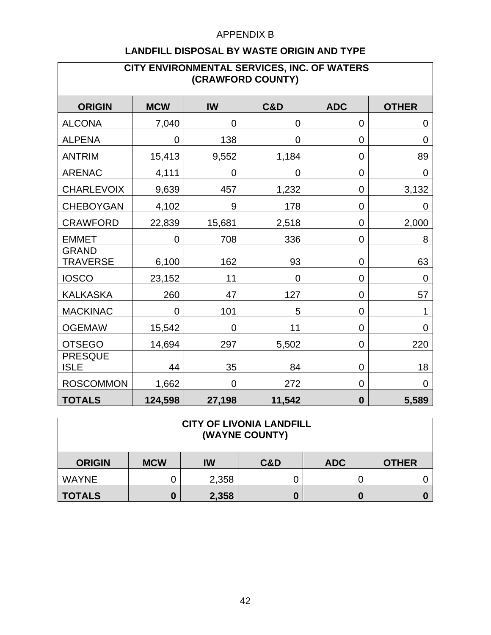| CITY ENVIRONMENTAL SERVICES, INC. OF WATERS<br>(CRAWFORD COUNTY) |                |                |                |                |                |  |  |  |
|------------------------------------------------------------------|----------------|----------------|----------------|----------------|----------------|--|--|--|
| <b>ORIGIN</b>                                                    | <b>MCW</b>     | <b>IW</b>      | <b>C&amp;D</b> | <b>ADC</b>     | <b>OTHER</b>   |  |  |  |
| <b>ALCONA</b>                                                    | 7,040          | 0              | $\overline{0}$ | 0              | 0              |  |  |  |
| <b>ALPENA</b>                                                    | 0              | 138            | 0              | 0              | $\overline{0}$ |  |  |  |
| <b>ANTRIM</b>                                                    | 15,413         | 9,552          | 1,184          | $\mathbf 0$    | 89             |  |  |  |
| <b>ARENAC</b>                                                    | 4,111          | $\mathbf 0$    | 0              | $\mathbf 0$    | $\overline{0}$ |  |  |  |
| <b>CHARLEVOIX</b>                                                | 9,639          | 457            | 1,232          | 0              | 3,132          |  |  |  |
| <b>CHEBOYGAN</b>                                                 | 4,102          | 9              | 178            | 0              | $\Omega$       |  |  |  |
| <b>CRAWFORD</b>                                                  | 22,839         | 15,681         | 2,518          | 0              | 2,000          |  |  |  |
| <b>EMMET</b>                                                     | $\overline{0}$ | 708            | 336            | $\overline{0}$ | 8              |  |  |  |
| <b>GRAND</b><br><b>TRAVERSE</b>                                  | 6,100          | 162            | 93             | 0              | 63             |  |  |  |
| <b>IOSCO</b>                                                     | 23,152         | 11             | 0              | 0              | $\mathbf 0$    |  |  |  |
| <b>KALKASKA</b>                                                  | 260            | 47             | 127            | 0              | 57             |  |  |  |
| <b>MACKINAC</b>                                                  | 0              | 101            | 5              | 0              | 1              |  |  |  |
| <b>OGEMAW</b>                                                    | 15,542         | $\overline{0}$ | 11             | $\mathbf 0$    | $\overline{0}$ |  |  |  |
| <b>OTSEGO</b>                                                    | 14,694         | 297            | 5,502          | 0              | 220            |  |  |  |
| <b>PRESQUE</b><br><b>ISLE</b>                                    | 44             | 35             | 84             | 0              | 18             |  |  |  |
| <b>ROSCOMMON</b>                                                 | 1,662          | $\overline{0}$ | 272            | $\mathbf 0$    | $\mathbf 0$    |  |  |  |
| <b>TOTALS</b>                                                    | 124,598        | 27,198         | 11,542         | $\bf{0}$       | 5,589          |  |  |  |

| <b>CITY OF LIVONIA LANDFILL</b><br>(WAYNE COUNTY) |            |       |                |            |              |  |  |
|---------------------------------------------------|------------|-------|----------------|------------|--------------|--|--|
| <b>ORIGIN</b>                                     | <b>MCW</b> | IW    | <b>C&amp;D</b> | <b>ADC</b> | <b>OTHER</b> |  |  |
| <b>WAYNE</b>                                      |            | 2,358 |                |            |              |  |  |
| <b>TOTALS</b>                                     |            | 2,358 |                | 0          |              |  |  |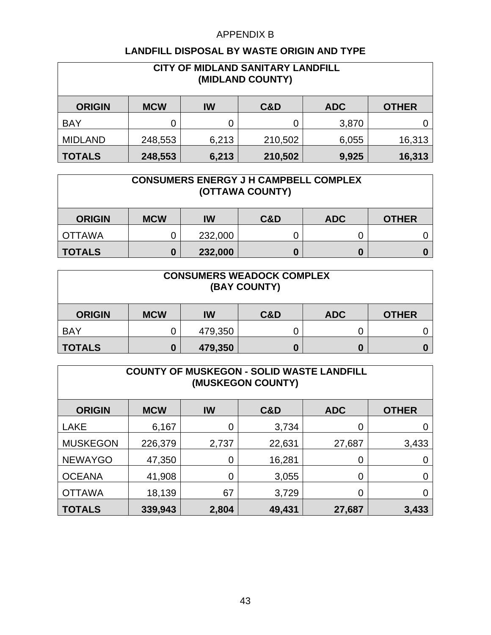| <b>CITY OF MIDLAND SANITARY LANDFILL</b><br>(MIDLAND COUNTY) |            |       |         |            |              |  |  |
|--------------------------------------------------------------|------------|-------|---------|------------|--------------|--|--|
| <b>ORIGIN</b>                                                | <b>MCW</b> | IW    | C&D     | <b>ADC</b> | <b>OTHER</b> |  |  |
| <b>BAY</b>                                                   |            |       |         | 3,870      |              |  |  |
| <b>MIDLAND</b>                                               | 248,553    | 6,213 | 210,502 | 6,055      | 16,313       |  |  |
| <b>TOTALS</b>                                                | 248,553    | 6,213 | 210,502 | 9,925      | 16,313       |  |  |

| <b>CONSUMERS ENERGY J H CAMPBELL COMPLEX</b><br>(OTTAWA COUNTY) |            |         |     |            |              |  |
|-----------------------------------------------------------------|------------|---------|-----|------------|--------------|--|
| <b>ORIGIN</b>                                                   | <b>MCW</b> | IW      | C&D | <b>ADC</b> | <b>OTHER</b> |  |
| <b>OTTAWA</b>                                                   |            | 232,000 |     |            |              |  |
| <b>TOTALS</b>                                                   |            | 232,000 |     | 0          |              |  |

| <b>CONSUMERS WEADOCK COMPLEX</b><br>(BAY COUNTY) |                                                       |         |  |   |  |  |  |
|--------------------------------------------------|-------------------------------------------------------|---------|--|---|--|--|--|
| <b>ORIGIN</b>                                    | C&D<br><b>MCW</b><br><b>ADC</b><br>IW<br><b>OTHER</b> |         |  |   |  |  |  |
| <b>BAY</b>                                       |                                                       | 479,350 |  |   |  |  |  |
| <b>TOTALS</b>                                    |                                                       | 479,350 |  | 0 |  |  |  |

| <b>COUNTY OF MUSKEGON - SOLID WASTE LANDFILL</b><br>(MUSKEGON COUNTY) |            |       |        |            |              |  |  |  |
|-----------------------------------------------------------------------|------------|-------|--------|------------|--------------|--|--|--|
| <b>ORIGIN</b>                                                         | <b>MCW</b> | IW    | C&D    | <b>ADC</b> | <b>OTHER</b> |  |  |  |
| <b>LAKE</b>                                                           | 6,167      | 0     | 3,734  | 0          |              |  |  |  |
| <b>MUSKEGON</b>                                                       | 226,379    | 2,737 | 22,631 | 27,687     | 3,433        |  |  |  |
| <b>NEWAYGO</b>                                                        | 47,350     | 0     | 16,281 | 0          |              |  |  |  |
| <b>OCEANA</b>                                                         | 41,908     | 0     | 3,055  | 0          |              |  |  |  |
| <b>OTTAWA</b>                                                         | 18,139     | 67    | 3,729  | 0          |              |  |  |  |
| <b>TOTALS</b>                                                         | 339,943    | 2,804 | 49,431 | 27,687     | 3,433        |  |  |  |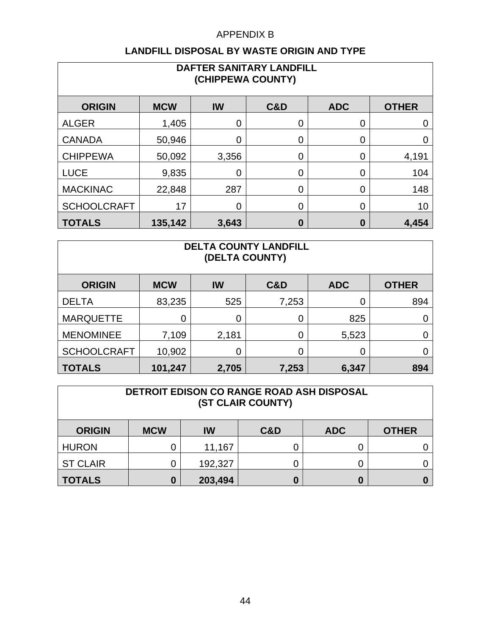| DAFTER SANITARY LANDFILL<br>(CHIPPEWA COUNTY)                          |         |                |          |   |       |  |  |  |
|------------------------------------------------------------------------|---------|----------------|----------|---|-------|--|--|--|
| <b>ORIGIN</b><br><b>MCW</b><br>IW<br><b>OTHER</b><br>C&D<br><b>ADC</b> |         |                |          |   |       |  |  |  |
| <b>ALGER</b>                                                           | 1,405   | 0              | 0        | 0 | 0     |  |  |  |
| <b>CANADA</b>                                                          | 50,946  | 0              | 0        | 0 | 0     |  |  |  |
| <b>CHIPPEWA</b>                                                        | 50,092  | 3,356          | 0        | 0 | 4,191 |  |  |  |
| <b>LUCE</b>                                                            | 9,835   | 0              | 0        | 0 | 104   |  |  |  |
| <b>MACKINAC</b>                                                        | 22,848  | 287            | 0        | 0 | 148   |  |  |  |
| <b>SCHOOLCRAFT</b>                                                     | 17      | $\overline{0}$ | 0        | 0 | 10    |  |  |  |
| <b>TOTALS</b>                                                          | 135,142 | 3,643          | $\bf{0}$ | 0 | 4,454 |  |  |  |

| <b>DELTA COUNTY LANDFILL</b><br>(DELTA COUNTY) |            |       |       |            |              |  |  |  |
|------------------------------------------------|------------|-------|-------|------------|--------------|--|--|--|
| <b>ORIGIN</b>                                  | <b>MCW</b> | IW    | C&D   | <b>ADC</b> | <b>OTHER</b> |  |  |  |
| <b>DELTA</b>                                   | 83,235     | 525   | 7,253 | 0          | 894          |  |  |  |
| <b>MARQUETTE</b>                               | 0          | 0     | 0     | 825        |              |  |  |  |
| <b>MENOMINEE</b>                               | 7,109      | 2,181 | 0     | 5,523      |              |  |  |  |
| <b>SCHOOLCRAFT</b>                             | 10,902     | 0     | 0     | 0          |              |  |  |  |
| <b>TOTALS</b>                                  | 101,247    | 2,705 | 7,253 | 6,347      | 894          |  |  |  |

| DETROIT EDISON CO RANGE ROAD ASH DISPOSAL<br>(ST CLAIR COUNTY) |            |         |                |            |              |  |  |
|----------------------------------------------------------------|------------|---------|----------------|------------|--------------|--|--|
| <b>ORIGIN</b>                                                  | <b>MCW</b> | IW      | <b>C&amp;D</b> | <b>ADC</b> | <b>OTHER</b> |  |  |
| <b>HURON</b>                                                   |            | 11,167  |                |            |              |  |  |
| <b>ST CLAIR</b>                                                |            | 192,327 |                | O          |              |  |  |
| <b>TOTALS</b>                                                  | 0          | 203,494 |                | O          |              |  |  |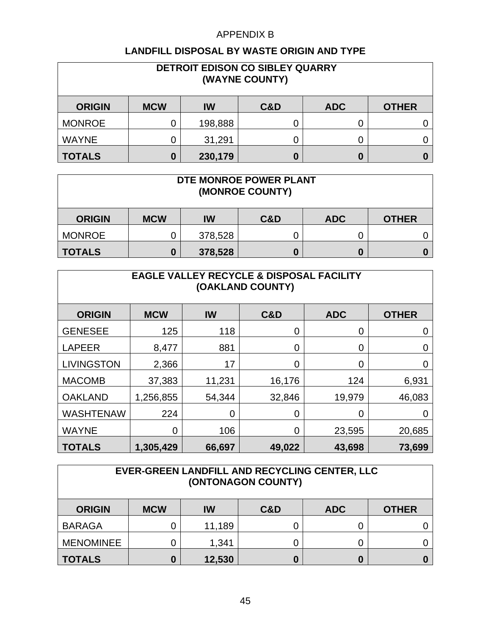| DETROIT EDISON CO SIBLEY QUARRY<br>(WAYNE COUNTY) |            |         |     |            |              |  |  |
|---------------------------------------------------|------------|---------|-----|------------|--------------|--|--|
| <b>ORIGIN</b>                                     | <b>MCW</b> | IW      | C&D | <b>ADC</b> | <b>OTHER</b> |  |  |
| <b>MONROE</b>                                     |            | 198,888 |     | U          |              |  |  |
| <b>WAYNE</b>                                      | 0          | 31,291  |     |            |              |  |  |
| <b>TOTALS</b>                                     | 0          | 230,179 |     | 0          |              |  |  |

| DTE MONROE POWER PLANT<br>(MONROE COUNTY) |            |           |                |            |              |  |
|-------------------------------------------|------------|-----------|----------------|------------|--------------|--|
| <b>ORIGIN</b>                             | <b>MCW</b> | <b>IW</b> | <b>C&amp;D</b> | <b>ADC</b> | <b>OTHER</b> |  |
| <b>MONROE</b>                             |            | 378,528   |                |            |              |  |
| <b>TOTALS</b>                             |            | 378,528   |                | 0          |              |  |

| <b>EAGLE VALLEY RECYCLE &amp; DISPOSAL FACILITY</b><br>(OAKLAND COUNTY) |            |                |        |            |              |  |  |  |
|-------------------------------------------------------------------------|------------|----------------|--------|------------|--------------|--|--|--|
| <b>ORIGIN</b>                                                           | <b>MCW</b> | <b>IW</b>      | C&D    | <b>ADC</b> | <b>OTHER</b> |  |  |  |
| <b>GENESEE</b>                                                          | 125        | 118            | 0      | 0          | 0            |  |  |  |
| <b>LAPEER</b>                                                           | 8,477      | 881            | 0      | 0          | 0            |  |  |  |
| <b>LIVINGSTON</b>                                                       | 2,366      | 17             | 0      | 0          | 0            |  |  |  |
| <b>MACOMB</b>                                                           | 37,383     | 11,231         | 16,176 | 124        | 6,931        |  |  |  |
| <b>OAKLAND</b>                                                          | 1,256,855  | 54,344         | 32,846 | 19,979     | 46,083       |  |  |  |
| <b>WASHTENAW</b>                                                        | 224        | $\overline{0}$ | 0      | 0          |              |  |  |  |
| <b>WAYNE</b>                                                            | 0          | 106            | 0      | 23,595     | 20,685       |  |  |  |
| <b>TOTALS</b>                                                           | 1,305,429  | 66,697         | 49,022 | 43,698     | 73,699       |  |  |  |

| EVER-GREEN LANDFILL AND RECYCLING CENTER, LLC<br>(ONTONAGON COUNTY) |            |        |                |            |              |  |  |
|---------------------------------------------------------------------|------------|--------|----------------|------------|--------------|--|--|
| <b>ORIGIN</b>                                                       | <b>MCW</b> | IW     | <b>C&amp;D</b> | <b>ADC</b> | <b>OTHER</b> |  |  |
| <b>BARAGA</b>                                                       |            | 11,189 |                |            |              |  |  |
| <b>MENOMINEE</b>                                                    |            | 1,341  |                | O          |              |  |  |
| <b>TOTALS</b>                                                       |            | 12,530 |                | 0          |              |  |  |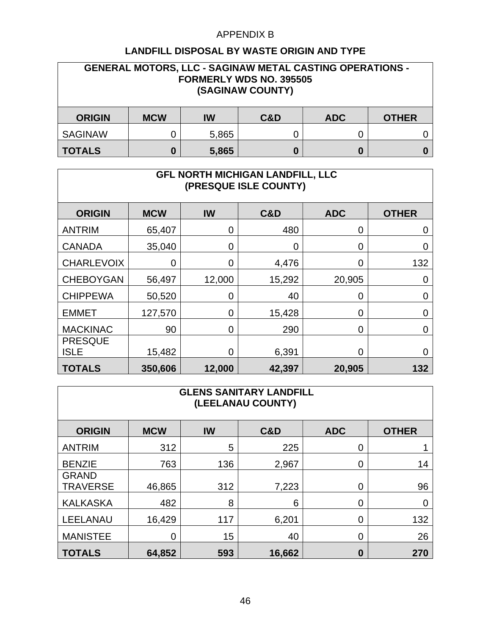| <b>GENERAL MOTORS, LLC - SAGINAW METAL CASTING OPERATIONS -</b><br><b>FORMERLY WDS NO. 395505</b><br>(SAGINAW COUNTY) |            |       |     |            |              |  |  |
|-----------------------------------------------------------------------------------------------------------------------|------------|-------|-----|------------|--------------|--|--|
| <b>ORIGIN</b>                                                                                                         | <b>MCW</b> | IW    | C&D | <b>ADC</b> | <b>OTHER</b> |  |  |
| <b>SAGINAW</b>                                                                                                        |            | 5,865 |     | 0          |              |  |  |
| <b>TOTALS</b>                                                                                                         | 0          | 5,865 |     | 0          |              |  |  |

| GFL NORTH MICHIGAN LANDFILL, LLC<br>(PRESQUE ISLE COUNTY) |            |           |                |            |              |  |  |  |
|-----------------------------------------------------------|------------|-----------|----------------|------------|--------------|--|--|--|
| <b>ORIGIN</b>                                             | <b>MCW</b> | <b>IW</b> | <b>C&amp;D</b> | <b>ADC</b> | <b>OTHER</b> |  |  |  |
| <b>ANTRIM</b>                                             | 65,407     | 0         | 480            | 0          | 0            |  |  |  |
| <b>CANADA</b>                                             | 35,040     | 0         | 0              | 0          | O            |  |  |  |
| <b>CHARLEVOIX</b>                                         | 0          | 0         | 4,476          | 0          | 132          |  |  |  |
| <b>CHEBOYGAN</b>                                          | 56,497     | 12,000    | 15,292         | 20,905     | 0            |  |  |  |
| <b>CHIPPEWA</b>                                           | 50,520     | 0         | 40             | 0          | 0            |  |  |  |
| <b>EMMET</b>                                              | 127,570    | 0         | 15,428         | 0          | 0            |  |  |  |
| <b>MACKINAC</b>                                           | 90         | 0         | 290            | 0          | 0            |  |  |  |
| <b>PRESQUE</b><br><b>ISLE</b>                             | 15,482     | 0         | 6,391          | 0          | 0            |  |  |  |
| <b>TOTALS</b>                                             | 350,606    | 12,000    | 42,397         | 20,905     | 132          |  |  |  |

| <b>GLENS SANITARY LANDFILL</b><br>(LEELANAU COUNTY) |            |     |        |            |              |  |  |  |
|-----------------------------------------------------|------------|-----|--------|------------|--------------|--|--|--|
| <b>ORIGIN</b>                                       | <b>MCW</b> | IW  | C&D    | <b>ADC</b> | <b>OTHER</b> |  |  |  |
| <b>ANTRIM</b>                                       | 312        | 5   | 225    | 0          |              |  |  |  |
| <b>BENZIE</b>                                       | 763        | 136 | 2,967  | 0          | 14           |  |  |  |
| <b>GRAND</b><br><b>TRAVERSE</b>                     | 46,865     | 312 | 7,223  | 0          | 96           |  |  |  |
| <b>KALKASKA</b>                                     | 482        | 8   | 6      | 0          | 0            |  |  |  |
| <b>LEELANAU</b>                                     | 16,429     | 117 | 6,201  | 0          | 132          |  |  |  |
| <b>MANISTEE</b>                                     | 0          | 15  | 40     | 0          | 26           |  |  |  |
| <b>TOTALS</b>                                       | 64,852     | 593 | 16,662 | 0          | 270          |  |  |  |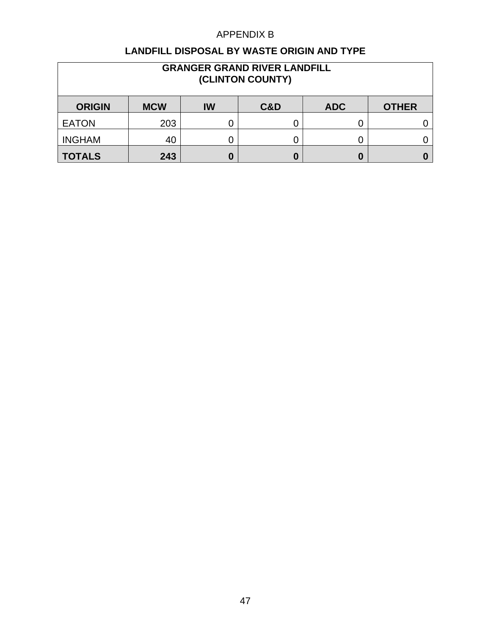| <b>GRANGER GRAND RIVER LANDFILL</b><br>(CLINTON COUNTY) |               |    |     |            |              |  |  |  |  |
|---------------------------------------------------------|---------------|----|-----|------------|--------------|--|--|--|--|
| <b>ORIGIN</b>                                           | <b>MCW</b>    | IW | C&D | <b>ADC</b> | <b>OTHER</b> |  |  |  |  |
| <b>EATON</b>                                            | 203           |    |     | U          |              |  |  |  |  |
| <b>INGHAM</b>                                           | 40            |    |     | Ü          |              |  |  |  |  |
| <b>TOTALS</b>                                           | 243<br>0<br>O |    |     |            |              |  |  |  |  |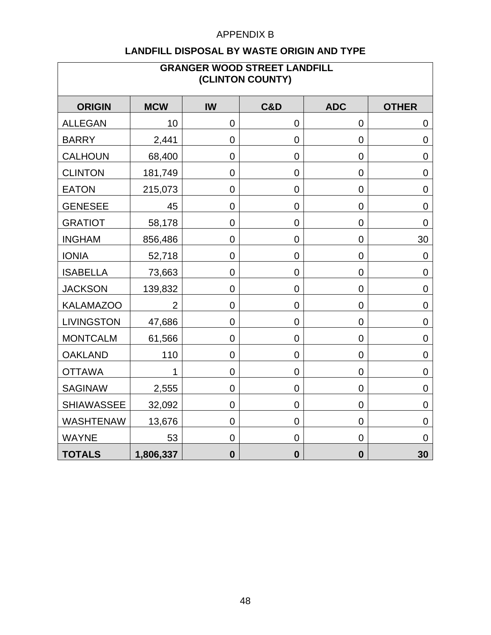| <b>GRANGER WOOD STREET LANDFILL</b><br>(CLINTON COUNTY) |            |                  |                  |                  |                  |  |  |  |
|---------------------------------------------------------|------------|------------------|------------------|------------------|------------------|--|--|--|
| <b>ORIGIN</b>                                           | <b>MCW</b> | IW               | <b>C&amp;D</b>   | <b>ADC</b>       | <b>OTHER</b>     |  |  |  |
| <b>ALLEGAN</b>                                          | 10         | $\mathbf 0$      | 0                | 0                | 0                |  |  |  |
| <b>BARRY</b>                                            | 2,441      | $\mathbf 0$      | 0                | 0                | $\mathbf 0$      |  |  |  |
| <b>CALHOUN</b>                                          | 68,400     | $\mathbf 0$      | 0                | 0                | $\overline{0}$   |  |  |  |
| <b>CLINTON</b>                                          | 181,749    | $\boldsymbol{0}$ | 0                | 0                | $\boldsymbol{0}$ |  |  |  |
| <b>EATON</b>                                            | 215,073    | $\mathbf 0$      | $\overline{0}$   | $\mathbf 0$      | $\mathbf 0$      |  |  |  |
| <b>GENESEE</b>                                          | 45         | $\mathbf 0$      | $\overline{0}$   | $\overline{0}$   | $\mathbf 0$      |  |  |  |
| <b>GRATIOT</b>                                          | 58,178     | $\mathbf 0$      | $\overline{0}$   | $\overline{0}$   | $\overline{0}$   |  |  |  |
| <b>INGHAM</b>                                           | 856,486    | $\mathbf 0$      | 0                | 0                | 30               |  |  |  |
| <b>IONIA</b>                                            | 52,718     | $\mathbf 0$      | 0                | $\mathbf 0$      | $\mathbf 0$      |  |  |  |
| <b>ISABELLA</b>                                         | 73,663     | $\mathbf 0$      | 0                | $\mathbf 0$      | $\mathbf 0$      |  |  |  |
| <b>JACKSON</b>                                          | 139,832    | $\mathbf 0$      | $\overline{0}$   | $\overline{0}$   | $\mathbf 0$      |  |  |  |
| <b>KALAMAZOO</b>                                        | 2          | 0                | 0                | 0                | $\mathbf 0$      |  |  |  |
| <b>LIVINGSTON</b>                                       | 47,686     | $\mathbf 0$      | 0                | 0                | $\mathbf 0$      |  |  |  |
| <b>MONTCALM</b>                                         | 61,566     | $\mathbf 0$      | $\overline{0}$   | $\mathbf 0$      | $\mathbf 0$      |  |  |  |
| <b>OAKLAND</b>                                          | 110        | $\mathbf 0$      | 0                | $\pmb{0}$        | $\overline{0}$   |  |  |  |
| <b>OTTAWA</b>                                           | 1          | $\mathbf 0$      | $\mathbf 0$      | $\overline{0}$   | $\mathbf 0$      |  |  |  |
| <b>SAGINAW</b>                                          | 2,555      | $\mathbf 0$      | $\overline{0}$   | $\mathbf 0$      | $\mathbf 0$      |  |  |  |
| <b>SHIAWASSEE</b>                                       | 32,092     | $\mathbf 0$      | $\overline{0}$   | $\overline{0}$   | $\mathbf 0$      |  |  |  |
| <b>WASHTENAW</b>                                        | 13,676     | $\mathbf 0$      | 0                | $\mathbf 0$      | $\mathbf 0$      |  |  |  |
| <b>WAYNE</b>                                            | 53         | $\mathbf 0$      | $\overline{0}$   | $\overline{0}$   | $\mathbf 0$      |  |  |  |
| <b>TOTALS</b>                                           | 1,806,337  | $\bf{0}$         | $\boldsymbol{0}$ | $\boldsymbol{0}$ | 30               |  |  |  |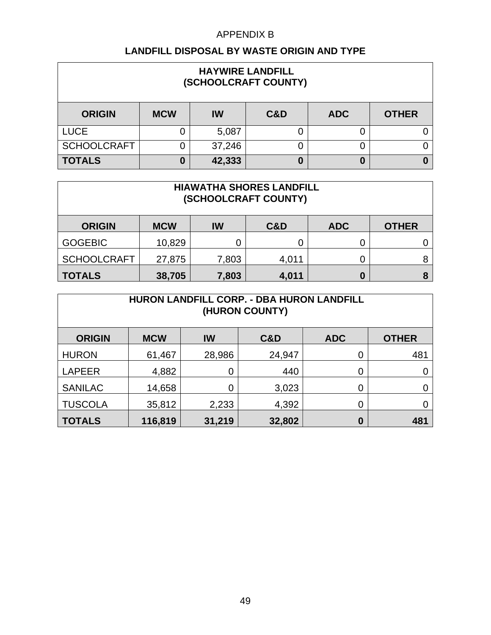| <b>HAYWIRE LANDFILL</b><br>(SCHOOLCRAFT COUNTY) |            |        |     |            |              |  |  |  |
|-------------------------------------------------|------------|--------|-----|------------|--------------|--|--|--|
| <b>ORIGIN</b>                                   | <b>MCW</b> | IW     | C&D | <b>ADC</b> | <b>OTHER</b> |  |  |  |
| <b>LUCE</b>                                     |            | 5,087  | 0   |            |              |  |  |  |
| <b>SCHOOLCRAFT</b>                              |            | 37,246 | O   |            |              |  |  |  |
| <b>TOTALS</b>                                   | 0          | 42,333 | 0   | 0          |              |  |  |  |

| <b>HIAWATHA SHORES LANDFILL</b><br>(SCHOOLCRAFT COUNTY)                |                               |       |       |  |  |  |  |  |  |
|------------------------------------------------------------------------|-------------------------------|-------|-------|--|--|--|--|--|--|
| <b>MCW</b><br>IW<br><b>ORIGIN</b><br>C&D<br><b>ADC</b><br><b>OTHER</b> |                               |       |       |  |  |  |  |  |  |
| <b>GOGEBIC</b>                                                         | 10,829                        |       | 0     |  |  |  |  |  |  |
| <b>SCHOOLCRAFT</b>                                                     | 27,875                        | 7,803 | 4,011 |  |  |  |  |  |  |
| <b>TOTALS</b>                                                          | 38,705<br>4,011<br>7,803<br>0 |       |       |  |  |  |  |  |  |

| <b>HURON LANDFILL CORP. - DBA HURON LANDFILL</b><br>(HURON COUNTY) |            |             |        |            |              |  |  |  |
|--------------------------------------------------------------------|------------|-------------|--------|------------|--------------|--|--|--|
| <b>ORIGIN</b>                                                      | <b>MCW</b> | IW          | C&D    | <b>ADC</b> | <b>OTHER</b> |  |  |  |
| <b>HURON</b>                                                       | 61,467     | 28,986      | 24,947 | 0          | 481          |  |  |  |
| <b>LAPEER</b>                                                      | 4,882      | $\mathbf 0$ | 440    | 0          |              |  |  |  |
| <b>SANILAC</b>                                                     | 14,658     | 0           | 3,023  | 0          |              |  |  |  |
| <b>TUSCOLA</b>                                                     | 35,812     | 2,233       | 4,392  | 0          |              |  |  |  |
| <b>TOTALS</b>                                                      | 116,819    | 31,219      | 32,802 | 0          | 481          |  |  |  |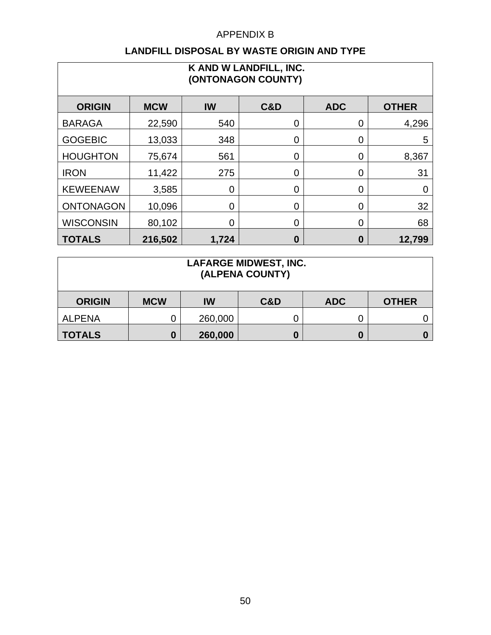| K AND W LANDFILL, INC.<br>(ONTONAGON COUNTY) |            |                |     |            |                |  |  |  |  |
|----------------------------------------------|------------|----------------|-----|------------|----------------|--|--|--|--|
| <b>ORIGIN</b>                                | <b>MCW</b> | <b>IW</b>      | C&D | <b>ADC</b> | <b>OTHER</b>   |  |  |  |  |
| <b>BARAGA</b>                                | 22,590     | 540            | 0   | 0          | 4,296          |  |  |  |  |
| <b>GOGEBIC</b>                               | 13,033     | 348            | 0   | 0          | 5              |  |  |  |  |
| <b>HOUGHTON</b>                              | 75,674     | 561            | 0   | 0          | 8,367          |  |  |  |  |
| <b>IRON</b>                                  | 11,422     | 275            | O   | 0          | 31             |  |  |  |  |
| <b>KEWEENAW</b>                              | 3,585      | $\overline{0}$ | 0   | 0          | $\overline{0}$ |  |  |  |  |
| <b>ONTONAGON</b>                             | 10,096     | 0              | 0   | 0          | 32             |  |  |  |  |
| <b>WISCONSIN</b>                             | 80,102     | $\overline{0}$ | ⋂   | 0          | 68             |  |  |  |  |
| <b>TOTALS</b>                                | 216,502    | 1,724          | 0   | 0          | 12,799         |  |  |  |  |

| <b>LAFARGE MIDWEST, INC.</b><br>(ALPENA COUNTY) |            |         |     |            |              |  |  |
|-------------------------------------------------|------------|---------|-----|------------|--------------|--|--|
| <b>ORIGIN</b>                                   | <b>MCW</b> | IW      | C&D | <b>ADC</b> | <b>OTHER</b> |  |  |
| <b>ALPENA</b>                                   |            | 260,000 |     |            |              |  |  |
| <b>TOTALS</b>                                   | 0          | 260,000 |     |            |              |  |  |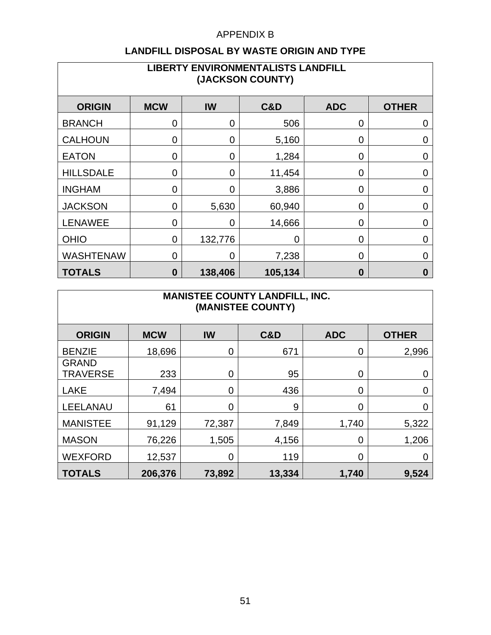| <b>LIBERTY ENVIRONMENTALISTS LANDFILL</b><br>(JACKSON COUNTY) |                |             |                |                |                |  |  |  |
|---------------------------------------------------------------|----------------|-------------|----------------|----------------|----------------|--|--|--|
| <b>ORIGIN</b>                                                 | <b>MCW</b>     | IW          | <b>C&amp;D</b> | <b>ADC</b>     | <b>OTHER</b>   |  |  |  |
| <b>BRANCH</b>                                                 | 0              | 0           | 506            | 0              | 0              |  |  |  |
| <b>CALHOUN</b>                                                | 0              | 0           | 5,160          | 0              | 0              |  |  |  |
| <b>EATON</b>                                                  | 0              | $\mathbf 0$ | 1,284          | 0              | $\overline{0}$ |  |  |  |
| <b>HILLSDALE</b>                                              | 0              | 0           | 11,454         | 0              | $\overline{0}$ |  |  |  |
| <b>INGHAM</b>                                                 | $\overline{0}$ | 0           | 3,886          | 0              | $\overline{0}$ |  |  |  |
| <b>JACKSON</b>                                                | 0              | 5,630       | 60,940         | 0              | $\overline{0}$ |  |  |  |
| <b>LENAWEE</b>                                                | $\overline{0}$ | 0           | 14,666         | 0              | $\overline{0}$ |  |  |  |
| <b>OHIO</b>                                                   | $\overline{0}$ | 132,776     | $\overline{0}$ | $\overline{0}$ | $\Omega$       |  |  |  |
| <b>WASHTENAW</b>                                              | $\overline{0}$ | 0           | 7,238          | 0              | $\Omega$       |  |  |  |
| <b>TOTALS</b>                                                 | $\bf{0}$       | 138,406     | 105,134        | 0              | $\bf{0}$       |  |  |  |

| <b>MANISTEE COUNTY LANDFILL, INC.</b><br>(MANISTEE COUNTY) |            |             |                |            |              |  |  |  |
|------------------------------------------------------------|------------|-------------|----------------|------------|--------------|--|--|--|
| <b>ORIGIN</b>                                              | <b>MCW</b> | <b>IW</b>   | <b>C&amp;D</b> | <b>ADC</b> | <b>OTHER</b> |  |  |  |
| <b>BENZIE</b>                                              | 18,696     | 0           | 671            | 0          | 2,996        |  |  |  |
| <b>GRAND</b><br><b>TRAVERSE</b>                            | 233        | 0           | 95             | 0          | 0            |  |  |  |
| <b>LAKE</b>                                                | 7,494      | $\mathbf 0$ | 436            | 0          | 0            |  |  |  |
| LEELANAU                                                   | 61         | 0           | 9              | 0          | 0            |  |  |  |
| <b>MANISTEE</b>                                            | 91,129     | 72,387      | 7,849          | 1,740      | 5,322        |  |  |  |
| <b>MASON</b>                                               | 76,226     | 1,505       | 4,156          | 0          | 1,206        |  |  |  |
| <b>WEXFORD</b>                                             | 12,537     | 0           | 119            | 0          | O            |  |  |  |
| <b>TOTALS</b>                                              | 206,376    | 73,892      | 13,334         | 1,740      | 9,524        |  |  |  |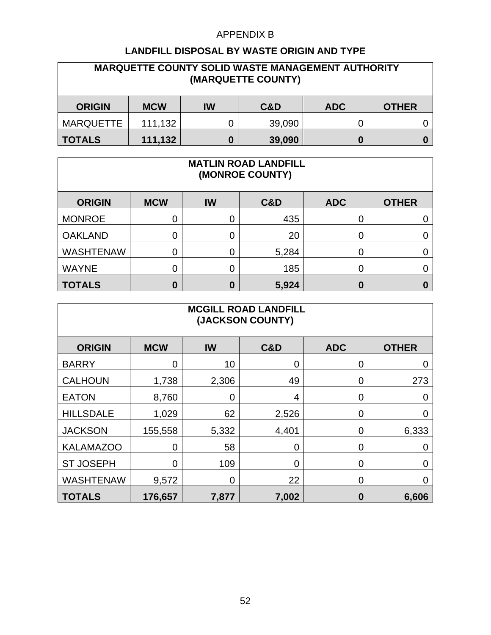| <b>MARQUETTE COUNTY SOLID WASTE MANAGEMENT AUTHORITY</b><br>(MARQUETTE COUNTY) |            |    |        |            |              |  |  |
|--------------------------------------------------------------------------------|------------|----|--------|------------|--------------|--|--|
| <b>ORIGIN</b>                                                                  | <b>MCW</b> | IW | C&D    | <b>ADC</b> | <b>OTHER</b> |  |  |
| <b>MARQUETTE</b>                                                               | 111,132    | 0  | 39,090 |            |              |  |  |
| <b>TOTALS</b>                                                                  | 111,132    | 0  | 39,090 | 0          |              |  |  |

| <b>MATLIN ROAD LANDFILL</b><br>(MONROE COUNTY) |            |           |       |            |              |  |  |  |
|------------------------------------------------|------------|-----------|-------|------------|--------------|--|--|--|
| <b>ORIGIN</b>                                  | <b>MCW</b> | <b>IW</b> | C&D   | <b>ADC</b> | <b>OTHER</b> |  |  |  |
| <b>MONROE</b>                                  | 0          | 0         | 435   | 0          |              |  |  |  |
| <b>OAKLAND</b>                                 | 0          | 0         | 20    | 0          |              |  |  |  |
| <b>WASHTENAW</b>                               | 0          | 0         | 5,284 | 0          |              |  |  |  |
| <b>WAYNE</b>                                   | 0          | 0         | 185   | 0          |              |  |  |  |
| <b>TOTALS</b>                                  | 0          | 0         | 5,924 | 0          |              |  |  |  |

| <b>MCGILL ROAD LANDFILL</b><br>(JACKSON COUNTY) |                |             |                |            |              |  |  |  |
|-------------------------------------------------|----------------|-------------|----------------|------------|--------------|--|--|--|
| <b>ORIGIN</b>                                   | <b>MCW</b>     | IW          | C&D            | <b>ADC</b> | <b>OTHER</b> |  |  |  |
| <b>BARRY</b>                                    | $\overline{0}$ | 10          | $\Omega$       | 0          | 0            |  |  |  |
| <b>CALHOUN</b>                                  | 1,738          | 2,306       | 49             | 0          | 273          |  |  |  |
| <b>EATON</b>                                    | 8,760          | $\mathbf 0$ | $\overline{4}$ | 0          | 0            |  |  |  |
| <b>HILLSDALE</b>                                | 1,029          | 62          | 2,526          | 0          | 0            |  |  |  |
| <b>JACKSON</b>                                  | 155,558        | 5,332       | 4,401          | 0          | 6,333        |  |  |  |
| <b>KALAMAZOO</b>                                | 0              | 58          | 0              | 0          | 0            |  |  |  |
| <b>ST JOSEPH</b>                                | 0              | 109         | $\Omega$       | 0          | 0            |  |  |  |
| <b>WASHTENAW</b>                                | 9,572          | 0           | 22             | 0          | O            |  |  |  |
| <b>TOTALS</b>                                   | 176,657        | 7,877       | 7,002          | 0          | 6,606        |  |  |  |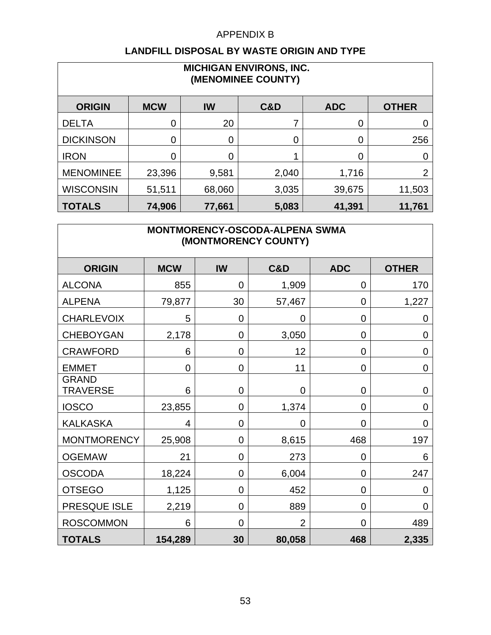#### **LANDFILL DISPOSAL BY WASTE ORIGIN AND TYPE**

| <b>MICHIGAN ENVIRONS, INC.</b><br>(MENOMINEE COUNTY) |                |        |       |            |              |  |  |  |  |
|------------------------------------------------------|----------------|--------|-------|------------|--------------|--|--|--|--|
| <b>ORIGIN</b>                                        | <b>MCW</b>     | IW     | C&D   | <b>ADC</b> | <b>OTHER</b> |  |  |  |  |
| <b>DELTA</b>                                         | 0              | 20     |       | 0          |              |  |  |  |  |
| <b>DICKINSON</b>                                     | $\overline{0}$ | 0      | 0     | 0          | 256          |  |  |  |  |
| <b>IRON</b>                                          | $\overline{0}$ | 0      |       | 0          |              |  |  |  |  |
| <b>MENOMINEE</b>                                     | 23,396         | 9,581  | 2,040 | 1,716      | っ            |  |  |  |  |
| <b>WISCONSIN</b>                                     | 51,511         | 68,060 | 3,035 | 39,675     | 11,503       |  |  |  |  |
| <b>TOTALS</b>                                        | 74,906         | 77,661 | 5,083 | 41,391     | 11,761       |  |  |  |  |

## **MONTMORENCY-OSCODA-ALPENA SWMA (MONTMORENCY COUNTY)**

| <b>ORIGIN</b>                   | <b>MCW</b>     | <b>IW</b>      | C&D            | <b>ADC</b>     | <b>OTHER</b>   |
|---------------------------------|----------------|----------------|----------------|----------------|----------------|
| <b>ALCONA</b>                   | 855            | $\mathbf 0$    | 1,909          | 0              | 170            |
| <b>ALPENA</b>                   | 79,877         | 30             | 57,467         | $\overline{0}$ | 1,227          |
| <b>CHARLEVOIX</b>               | 5              | $\overline{0}$ | $\mathbf 0$    | $\overline{0}$ | 0              |
| <b>CHEBOYGAN</b>                | 2,178          | $\overline{0}$ | 3,050          | $\overline{0}$ | 0              |
| <b>CRAWFORD</b>                 | 6              | $\mathbf 0$    | 12             | $\mathbf 0$    | $\mathbf 0$    |
| <b>EMMET</b>                    | $\overline{0}$ | $\overline{0}$ | 11             | $\overline{0}$ | $\overline{0}$ |
| <b>GRAND</b><br><b>TRAVERSE</b> | 6              | $\overline{0}$ | $\overline{0}$ | $\overline{0}$ | $\overline{0}$ |
| <b>IOSCO</b>                    | 23,855         | $\overline{0}$ | 1,374          | $\overline{0}$ | $\overline{0}$ |
| <b>KALKASKA</b>                 | 4              | $\overline{0}$ | $\overline{0}$ | $\overline{0}$ | $\overline{0}$ |
| <b>MONTMORENCY</b>              | 25,908         | $\mathbf 0$    | 8,615          | 468            | 197            |
| <b>OGEMAW</b>                   | 21             | $\overline{0}$ | 273            | $\overline{0}$ | 6              |
| <b>OSCODA</b>                   | 18,224         | $\overline{0}$ | 6,004          | $\overline{0}$ | 247            |
| <b>OTSEGO</b>                   | 1,125          | $\overline{0}$ | 452            | $\overline{0}$ | 0              |
| PRESQUE ISLE                    | 2,219          | $\overline{0}$ | 889            | $\overline{0}$ | $\Omega$       |
| <b>ROSCOMMON</b>                | 6              | $\overline{0}$ | $\overline{2}$ | $\overline{0}$ | 489            |
| <b>TOTALS</b>                   | 154,289        | 30             | 80,058         | 468            | 2,335          |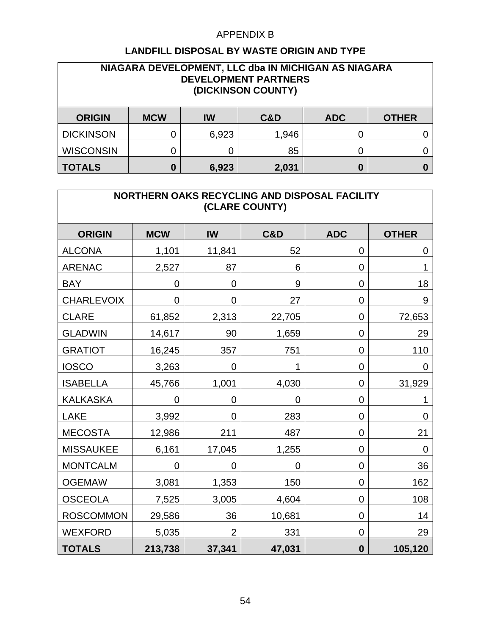| NIAGARA DEVELOPMENT, LLC dba IN MICHIGAN AS NIAGARA<br><b>DEVELOPMENT PARTNERS</b><br>(DICKINSON COUNTY) |            |       |       |            |              |  |  |  |
|----------------------------------------------------------------------------------------------------------|------------|-------|-------|------------|--------------|--|--|--|
| <b>ORIGIN</b>                                                                                            | <b>MCW</b> | IW    | C&D   | <b>ADC</b> | <b>OTHER</b> |  |  |  |
| <b>DICKINSON</b>                                                                                         | 0          | 6,923 | 1,946 | 0          |              |  |  |  |
| <b>WISCONSIN</b>                                                                                         |            | 0     | 85    | 0          |              |  |  |  |
| <b>TOTALS</b>                                                                                            | $\bf{0}$   | 6,923 | 2,031 | 0          |              |  |  |  |

| NORTHERN OAKS RECYCLING AND DISPOSAL FACILITY<br>(CLARE COUNTY) |            |                |                |             |                |  |  |  |
|-----------------------------------------------------------------|------------|----------------|----------------|-------------|----------------|--|--|--|
| <b>ORIGIN</b>                                                   | <b>MCW</b> | IW             | <b>C&amp;D</b> | <b>ADC</b>  | <b>OTHER</b>   |  |  |  |
| <b>ALCONA</b>                                                   | 1,101      | 11,841         | 52             | 0           | $\mathbf 0$    |  |  |  |
| <b>ARENAC</b>                                                   | 2,527      | 87             | 6              | 0           | 1              |  |  |  |
| <b>BAY</b>                                                      | 0          | $\overline{0}$ | 9              | 0           | 18             |  |  |  |
| <b>CHARLEVOIX</b>                                               | 0          | 0              | 27             | 0           | 9              |  |  |  |
| <b>CLARE</b>                                                    | 61,852     | 2,313          | 22,705         | 0           | 72,653         |  |  |  |
| <b>GLADWIN</b>                                                  | 14,617     | 90             | 1,659          | 0           | 29             |  |  |  |
| <b>GRATIOT</b>                                                  | 16,245     | 357            | 751            | 0           | 110            |  |  |  |
| <b>IOSCO</b>                                                    | 3,263      | 0              | 1              | 0           | 0              |  |  |  |
| <b>ISABELLA</b>                                                 | 45,766     | 1,001          | 4,030          | 0           | 31,929         |  |  |  |
| <b>KALKASKA</b>                                                 | 0          | 0              | 0              | 0           |                |  |  |  |
| <b>LAKE</b>                                                     | 3,992      | $\overline{0}$ | 283            | 0           | $\overline{0}$ |  |  |  |
| <b>MECOSTA</b>                                                  | 12,986     | 211            | 487            | 0           | 21             |  |  |  |
| <b>MISSAUKEE</b>                                                | 6,161      | 17,045         | 1,255          | 0           | 0              |  |  |  |
| <b>MONTCALM</b>                                                 | 0          | 0              | 0              | 0           | 36             |  |  |  |
| <b>OGEMAW</b>                                                   | 3,081      | 1,353          | 150            | $\mathbf 0$ | 162            |  |  |  |
| <b>OSCEOLA</b>                                                  | 7,525      | 3,005          | 4,604          | 0           | 108            |  |  |  |
| <b>ROSCOMMON</b>                                                | 29,586     | 36             | 10,681         | 0           | 14             |  |  |  |
| <b>WEXFORD</b>                                                  | 5,035      | $\overline{2}$ | 331            | 0           | 29             |  |  |  |
| <b>TOTALS</b>                                                   | 213,738    | 37,341         | 47,031         | $\bf{0}$    | 105,120        |  |  |  |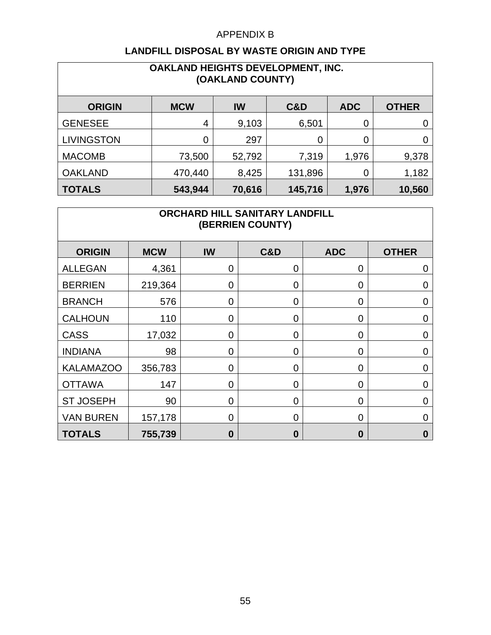| OAKLAND HEIGHTS DEVELOPMENT, INC.<br>(OAKLAND COUNTY) |            |        |         |            |              |  |  |  |  |  |
|-------------------------------------------------------|------------|--------|---------|------------|--------------|--|--|--|--|--|
| <b>ORIGIN</b>                                         | <b>MCW</b> | IW     | C&D     | <b>ADC</b> | <b>OTHER</b> |  |  |  |  |  |
| <b>GENESEE</b>                                        | 4          | 9,103  | 6,501   | 0          |              |  |  |  |  |  |
| <b>LIVINGSTON</b>                                     | 0          | 297    | 0       | 0          |              |  |  |  |  |  |
| <b>MACOMB</b>                                         | 73,500     | 52,792 | 7,319   | 1,976      | 9,378        |  |  |  |  |  |
| <b>OAKLAND</b>                                        | 470,440    | 8,425  | 131,896 | 0          | 1,182        |  |  |  |  |  |
| <b>TOTALS</b>                                         | 543,944    | 70,616 | 145,716 | 1,976      | 10,560       |  |  |  |  |  |

| ORCHARD HILL SANITARY LANDFILL<br>(BERRIEN COUNTY) |            |                |                |                |              |  |  |  |
|----------------------------------------------------|------------|----------------|----------------|----------------|--------------|--|--|--|
| <b>ORIGIN</b>                                      | <b>MCW</b> | IW             | <b>C&amp;D</b> | <b>ADC</b>     | <b>OTHER</b> |  |  |  |
| <b>ALLEGAN</b>                                     | 4,361      | 0              | $\overline{0}$ | 0              | 0            |  |  |  |
| <b>BERRIEN</b>                                     | 219,364    | $\mathbf 0$    | $\overline{0}$ | 0              | 0            |  |  |  |
| <b>BRANCH</b>                                      | 576        | $\overline{0}$ | $\overline{0}$ | 0              | 0            |  |  |  |
| <b>CALHOUN</b>                                     | 110        | $\mathbf 0$    | $\overline{0}$ | 0              | 0            |  |  |  |
| <b>CASS</b>                                        | 17,032     | 0              | $\overline{0}$ | 0              | 0            |  |  |  |
| <b>INDIANA</b>                                     | 98         | $\overline{0}$ | $\overline{0}$ | 0              | 0            |  |  |  |
| <b>KALAMAZOO</b>                                   | 356,783    | 0              | $\overline{0}$ | 0              | 0            |  |  |  |
| <b>OTTAWA</b>                                      | 147        | $\overline{0}$ | $\overline{0}$ | $\overline{0}$ | 0            |  |  |  |
| <b>ST JOSEPH</b>                                   | 90         | $\overline{0}$ | $\overline{0}$ | 0              | 0            |  |  |  |
| <b>VAN BUREN</b>                                   | 157,178    | $\mathbf 0$    | $\overline{0}$ | 0              | 0            |  |  |  |
| <b>TOTALS</b>                                      | 755,739    | $\bf{0}$       | $\bf{0}$       | 0              | 0            |  |  |  |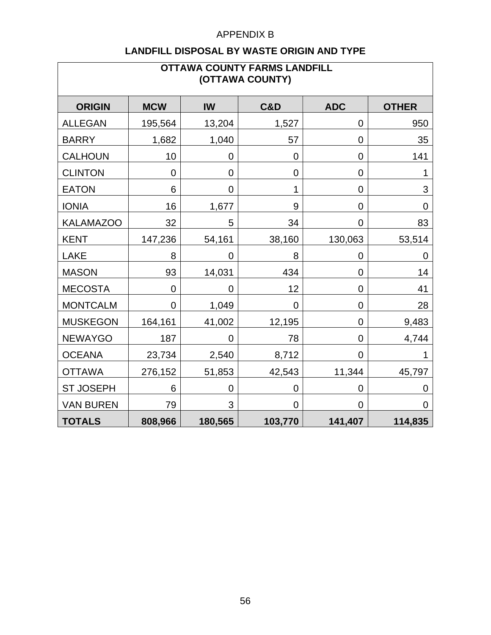| <b>OTTAWA COUNTY FARMS LANDFILL</b><br>(OTTAWA COUNTY) |                |                |                |                  |                |  |  |  |
|--------------------------------------------------------|----------------|----------------|----------------|------------------|----------------|--|--|--|
| <b>ORIGIN</b>                                          | <b>MCW</b>     | IW             | <b>C&amp;D</b> | <b>ADC</b>       | <b>OTHER</b>   |  |  |  |
| <b>ALLEGAN</b>                                         | 195,564        | 13,204         | 1,527          | 0                | 950            |  |  |  |
| <b>BARRY</b>                                           | 1,682          | 1,040          | 57             | 0                | 35             |  |  |  |
| <b>CALHOUN</b>                                         | 10             | $\mathbf 0$    | $\overline{0}$ | 0                | 141            |  |  |  |
| <b>CLINTON</b>                                         | $\mathbf 0$    | 0              | 0              | 0                |                |  |  |  |
| <b>EATON</b>                                           | 6              | $\mathbf 0$    | $\mathbf{1}$   | $\boldsymbol{0}$ | $\mathfrak{B}$ |  |  |  |
| <b>IONIA</b>                                           | 16             | 1,677          | 9              | 0                | $\overline{0}$ |  |  |  |
| <b>KALAMAZOO</b>                                       | 32             | 5              | 34             | 0                | 83             |  |  |  |
| <b>KENT</b>                                            | 147,236        | 54,161         | 38,160         | 130,063          | 53,514         |  |  |  |
| <b>LAKE</b>                                            | 8              | 0              | 8              | 0                | 0              |  |  |  |
| <b>MASON</b>                                           | 93             | 14,031         | 434            | 0                | 14             |  |  |  |
| <b>MECOSTA</b>                                         | $\overline{0}$ | 0              | 12             | 0                | 41             |  |  |  |
| <b>MONTCALM</b>                                        | 0              | 1,049          | $\mathbf 0$    | 0                | 28             |  |  |  |
| <b>MUSKEGON</b>                                        | 164,161        | 41,002         | 12,195         | 0                | 9,483          |  |  |  |
| <b>NEWAYGO</b>                                         | 187            | $\overline{0}$ | 78             | $\overline{0}$   | 4,744          |  |  |  |
| <b>OCEANA</b>                                          | 23,734         | 2,540          | 8,712          | 0                |                |  |  |  |
| <b>OTTAWA</b>                                          | 276,152        | 51,853         | 42,543         | 11,344           | 45,797         |  |  |  |
| <b>ST JOSEPH</b>                                       | 6              | 0              | 0              | 0                | $\mathbf 0$    |  |  |  |
| <b>VAN BUREN</b>                                       | 79             | 3              | $\overline{0}$ | 0                | $\Omega$       |  |  |  |
| <b>TOTALS</b>                                          | 808,966        | 180,565        | 103,770        | 141,407          | 114,835        |  |  |  |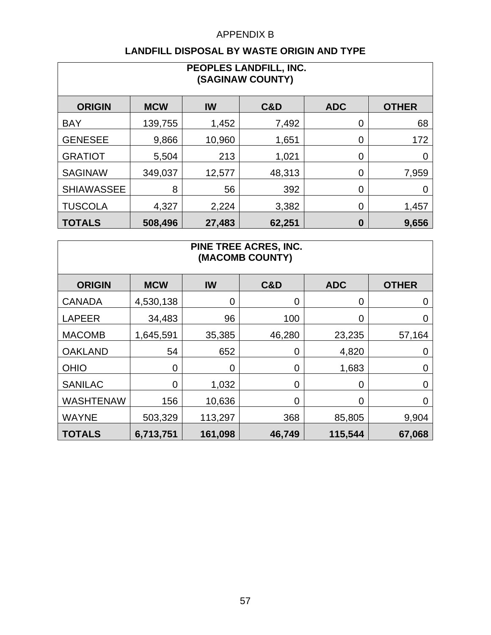| PEOPLES LANDFILL, INC.<br>(SAGINAW COUNTY)                                        |         |        |        |   |       |  |  |  |
|-----------------------------------------------------------------------------------|---------|--------|--------|---|-------|--|--|--|
| <b>C&amp;D</b><br><b>ORIGIN</b><br>IW<br><b>ADC</b><br><b>OTHER</b><br><b>MCW</b> |         |        |        |   |       |  |  |  |
| <b>BAY</b>                                                                        | 139,755 | 1,452  | 7,492  | 0 | 68    |  |  |  |
| <b>GENESEE</b>                                                                    | 9,866   | 10,960 | 1,651  | 0 | 172   |  |  |  |
| <b>GRATIOT</b>                                                                    | 5,504   | 213    | 1,021  | 0 | 0     |  |  |  |
| <b>SAGINAW</b>                                                                    | 349,037 | 12,577 | 48,313 | 0 | 7,959 |  |  |  |
| <b>SHIAWASSEE</b>                                                                 | 8       | 56     | 392    | 0 | 0     |  |  |  |
| <b>TUSCOLA</b>                                                                    | 4,327   | 2,224  | 3,382  | 0 | 1,457 |  |  |  |
| <b>TOTALS</b>                                                                     | 508,496 | 27,483 | 62,251 | 0 | 9,656 |  |  |  |

| <b>PINE TREE ACRES, INC.</b><br>(MACOMB COUNTY) |                |             |                |            |              |  |  |  |  |
|-------------------------------------------------|----------------|-------------|----------------|------------|--------------|--|--|--|--|
| <b>ORIGIN</b>                                   | <b>MCW</b>     | IW          | C&D            | <b>ADC</b> | <b>OTHER</b> |  |  |  |  |
| <b>CANADA</b>                                   | 4,530,138      | $\mathbf 0$ | 0              | 0          | 0            |  |  |  |  |
| <b>LAPEER</b>                                   | 34,483         | 96          | 100            | 0          | O            |  |  |  |  |
| <b>MACOMB</b>                                   | 1,645,591      | 35,385      | 46,280         | 23,235     | 57,164       |  |  |  |  |
| <b>OAKLAND</b>                                  | 54             | 652         | 0              | 4,820      | 0            |  |  |  |  |
| <b>OHIO</b>                                     | $\overline{0}$ | $\mathbf 0$ | 0              | 1,683      | 0            |  |  |  |  |
| <b>SANILAC</b>                                  | 0              | 1,032       | 0              | 0          | 0            |  |  |  |  |
| <b>WASHTENAW</b>                                | 156            | 10,636      | $\overline{0}$ | 0          | O            |  |  |  |  |
| <b>WAYNE</b>                                    | 503,329        | 113,297     | 368            | 85,805     | 9,904        |  |  |  |  |
| <b>TOTALS</b>                                   | 6,713,751      | 161,098     | 46,749         | 115,544    | 67,068       |  |  |  |  |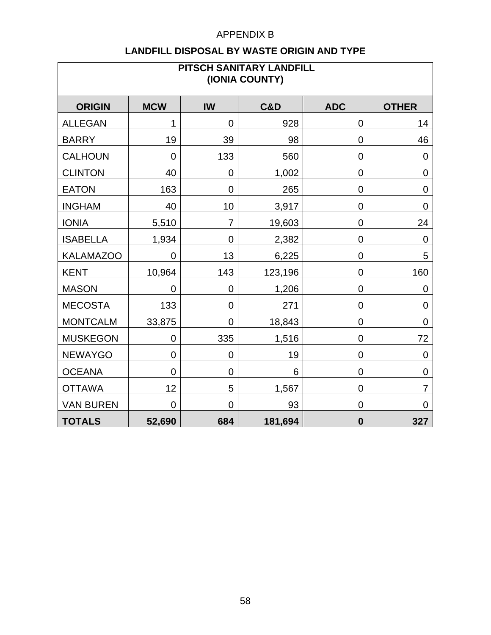| PITSCH SANITARY LANDFILL<br>(IONIA COUNTY) |                |                  |         |                  |                  |  |  |  |
|--------------------------------------------|----------------|------------------|---------|------------------|------------------|--|--|--|
| <b>ORIGIN</b>                              | <b>MCW</b>     | <b>IW</b>        | C&D     | <b>ADC</b>       | <b>OTHER</b>     |  |  |  |
| <b>ALLEGAN</b>                             | 1              | $\mathbf 0$      | 928     | 0                | 14               |  |  |  |
| <b>BARRY</b>                               | 19             | 39               | 98      | $\mathbf 0$      | 46               |  |  |  |
| <b>CALHOUN</b>                             | $\overline{0}$ | 133              | 560     | 0                | $\overline{0}$   |  |  |  |
| <b>CLINTON</b>                             | 40             | 0                | 1,002   | 0                | $\mathbf 0$      |  |  |  |
| <b>EATON</b>                               | 163            | $\boldsymbol{0}$ | 265     | 0                | $\boldsymbol{0}$ |  |  |  |
| <b>INGHAM</b>                              | 40             | 10               | 3,917   | 0                | $\mathbf 0$      |  |  |  |
| <b>IONIA</b>                               | 5,510          | $\overline{7}$   | 19,603  | 0                | 24               |  |  |  |
| <b>ISABELLA</b>                            | 1,934          | $\overline{0}$   | 2,382   | 0                | $\overline{0}$   |  |  |  |
| <b>KALAMAZOO</b>                           | 0              | 13               | 6,225   | 0                | 5                |  |  |  |
| <b>KENT</b>                                | 10,964         | 143              | 123,196 | 0                | 160              |  |  |  |
| <b>MASON</b>                               | $\overline{0}$ | $\overline{0}$   | 1,206   | $\mathbf 0$      | $\overline{0}$   |  |  |  |
| <b>MECOSTA</b>                             | 133            | $\mathbf 0$      | 271     | 0                | $\mathbf 0$      |  |  |  |
| <b>MONTCALM</b>                            | 33,875         | 0                | 18,843  | 0                | $\mathbf 0$      |  |  |  |
| <b>MUSKEGON</b>                            | $\overline{0}$ | 335              | 1,516   | 0                | 72               |  |  |  |
| <b>NEWAYGO</b>                             | $\mathbf 0$    | $\mathbf 0$      | 19      | 0                | $\mathbf 0$      |  |  |  |
| <b>OCEANA</b>                              | $\overline{0}$ | $\mathbf 0$      | 6       | 0                | $\pmb{0}$        |  |  |  |
| <b>OTTAWA</b>                              | 12             | 5                | 1,567   | 0                | $\overline{7}$   |  |  |  |
| <b>VAN BUREN</b>                           | $\overline{0}$ | 0                | 93      | 0                | $\overline{0}$   |  |  |  |
| <b>TOTALS</b>                              | 52,690         | 684              | 181,694 | $\boldsymbol{0}$ | 327              |  |  |  |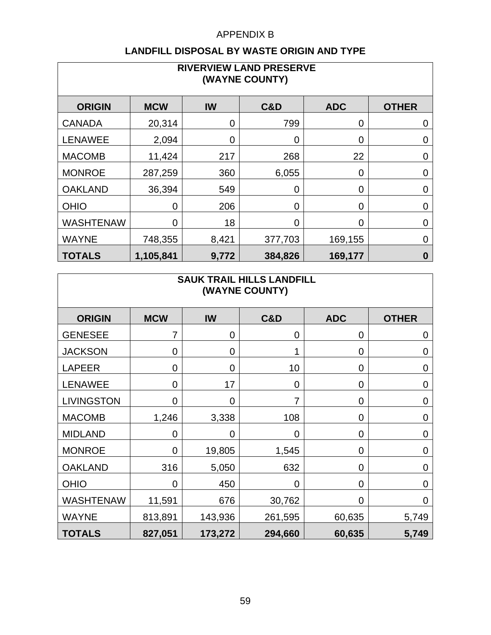#### **LANDFILL DISPOSAL BY WASTE ORIGIN AND TYPE**

| <b>RIVERVIEW LAND PRESERVE</b><br>(WAYNE COUNTY) |            |       |                |            |                  |  |  |  |  |
|--------------------------------------------------|------------|-------|----------------|------------|------------------|--|--|--|--|
| <b>ORIGIN</b>                                    | <b>MCW</b> | IW    | <b>C&amp;D</b> | <b>ADC</b> | <b>OTHER</b>     |  |  |  |  |
| <b>CANADA</b>                                    | 20,314     | 0     | 799            | 0          | 0                |  |  |  |  |
| <b>LENAWEE</b>                                   | 2,094      | 0     | 0              | 0          | $\mathbf 0$      |  |  |  |  |
| <b>MACOMB</b>                                    | 11,424     | 217   | 268            | 22         | 0                |  |  |  |  |
| <b>MONROE</b>                                    | 287,259    | 360   | 6,055          | 0          | 0                |  |  |  |  |
| <b>OAKLAND</b>                                   | 36,394     | 549   | 0              | 0          | $\overline{0}$   |  |  |  |  |
| <b>OHIO</b>                                      | 0          | 206   | 0              | 0          | 0                |  |  |  |  |
| <b>WASHTENAW</b>                                 | 0          | 18    | ∩              | 0          | $\overline{0}$   |  |  |  |  |
| <b>WAYNE</b>                                     | 748,355    | 8,421 | 377,703        | 169,155    | 0                |  |  |  |  |
| <b>TOTALS</b>                                    | 1,105,841  | 9,772 | 384,826        | 169,177    | $\boldsymbol{0}$ |  |  |  |  |

#### **SAUK TRAIL HILLS LANDFILL (WAYNE COUNTY)**

| <b>ORIGIN</b>     | <b>MCW</b>     | IW          | C&D            | <b>ADC</b>     | <b>OTHER</b> |
|-------------------|----------------|-------------|----------------|----------------|--------------|
| <b>GENESEE</b>    | 7              | $\mathbf 0$ | $\overline{0}$ | 0              | 0            |
| <b>JACKSON</b>    | 0              | $\mathbf 0$ |                | $\overline{0}$ | 0            |
| <b>LAPEER</b>     | 0              | 0           | 10             | 0              | 0            |
| <b>LENAWEE</b>    | $\overline{0}$ | 17          | $\Omega$       | 0              | 0            |
| <b>LIVINGSTON</b> | $\overline{0}$ | $\mathbf 0$ | 7              | 0              | 0            |
| <b>MACOMB</b>     | 1,246          | 3,338       | 108            | 0              | 0            |
| <b>MIDLAND</b>    | $\overline{0}$ | $\mathbf 0$ | 0              | 0              | 0            |
| <b>MONROE</b>     | $\overline{0}$ | 19,805      | 1,545          | 0              | 0            |
| <b>OAKLAND</b>    | 316            | 5,050       | 632            | 0              | 0            |
| <b>OHIO</b>       | $\overline{0}$ | 450         | $\overline{0}$ | 0              | $\Omega$     |
| <b>WASHTENAW</b>  | 11,591         | 676         | 30,762         | 0              | 0            |
| <b>WAYNE</b>      | 813,891        | 143,936     | 261,595        | 60,635         | 5,749        |
| <b>TOTALS</b>     | 827,051        | 173,272     | 294,660        | 60,635         | 5,749        |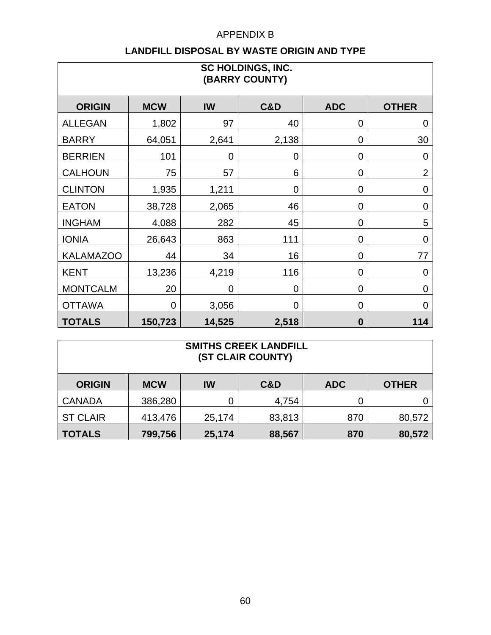| SC HOLDINGS, INC.<br>(BARRY COUNTY) |                |        |                |            |                |  |  |  |
|-------------------------------------|----------------|--------|----------------|------------|----------------|--|--|--|
| <b>ORIGIN</b>                       | <b>MCW</b>     | IW     | <b>C&amp;D</b> | <b>ADC</b> | <b>OTHER</b>   |  |  |  |
| <b>ALLEGAN</b>                      | 1,802          | 97     | 40             | 0          | $\mathbf 0$    |  |  |  |
| <b>BARRY</b>                        | 64,051         | 2,641  | 2,138          | 0          | 30             |  |  |  |
| <b>BERRIEN</b>                      | 101            | 0      | 0              | 0          | $\mathbf 0$    |  |  |  |
| <b>CALHOUN</b>                      | 75             | 57     | 6              | 0          | $\overline{2}$ |  |  |  |
| <b>CLINTON</b>                      | 1,935          | 1,211  | 0              | 0          | $\mathbf 0$    |  |  |  |
| <b>EATON</b>                        | 38,728         | 2,065  | 46             | 0          | $\mathbf 0$    |  |  |  |
| <b>INGHAM</b>                       | 4,088          | 282    | 45             | 0          | 5              |  |  |  |
| <b>IONIA</b>                        | 26,643         | 863    | 111            | 0          | $\mathbf 0$    |  |  |  |
| <b>KALAMAZOO</b>                    | 44             | 34     | 16             | 0          | 77             |  |  |  |
| <b>KENT</b>                         | 13,236         | 4,219  | 116            | 0          | $\mathbf 0$    |  |  |  |
| <b>MONTCALM</b>                     | 20             | 0      | 0              | 0          | $\overline{0}$ |  |  |  |
| <b>OTTAWA</b>                       | $\overline{0}$ | 3,056  | $\overline{0}$ | 0          | $\Omega$       |  |  |  |
| <b>TOTALS</b>                       | 150,723        | 14,525 | 2,518          | $\bf{0}$   | 114            |  |  |  |

| <b>SMITHS CREEK LANDFILL</b><br>(ST CLAIR COUNTY) |            |        |        |            |              |  |  |  |
|---------------------------------------------------|------------|--------|--------|------------|--------------|--|--|--|
| <b>ORIGIN</b>                                     | <b>MCW</b> | IW     | C&D    | <b>ADC</b> | <b>OTHER</b> |  |  |  |
| <b>CANADA</b>                                     | 386,280    | 0      | 4,754  | 0          |              |  |  |  |
| <b>ST CLAIR</b>                                   | 413,476    | 25,174 | 83,813 | 870        | 80,572       |  |  |  |
| <b>TOTALS</b>                                     | 799,756    | 25,174 | 88,567 | 870        | 80,572       |  |  |  |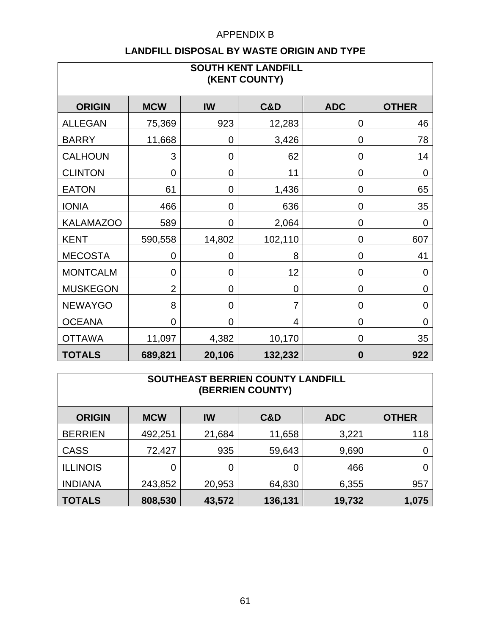| <b>SOUTH KENT LANDFILL</b><br>(KENT COUNTY) |                |                |                |             |                |  |  |  |
|---------------------------------------------|----------------|----------------|----------------|-------------|----------------|--|--|--|
| <b>ORIGIN</b>                               | <b>MCW</b>     | <b>IW</b>      | <b>C&amp;D</b> | <b>ADC</b>  | <b>OTHER</b>   |  |  |  |
| <b>ALLEGAN</b>                              | 75,369         | 923            | 12,283         | 0           | 46             |  |  |  |
| <b>BARRY</b>                                | 11,668         | $\overline{0}$ | 3,426          | 0           | 78             |  |  |  |
| <b>CALHOUN</b>                              | 3              | 0              | 62             | 0           | 14             |  |  |  |
| <b>CLINTON</b>                              | $\mathbf 0$    | 0              | 11             | 0           | $\mathbf 0$    |  |  |  |
| <b>EATON</b>                                | 61             | $\mathbf 0$    | 1,436          | 0           | 65             |  |  |  |
| <b>IONIA</b>                                | 466            | $\mathbf 0$    | 636            | 0           | 35             |  |  |  |
| <b>KALAMAZOO</b>                            | 589            | $\overline{0}$ | 2,064          | $\mathbf 0$ | $\mathbf 0$    |  |  |  |
| <b>KENT</b>                                 | 590,558        | 14,802         | 102,110        | 0           | 607            |  |  |  |
| <b>MECOSTA</b>                              | $\overline{0}$ | 0              | 8              | 0           | 41             |  |  |  |
| <b>MONTCALM</b>                             | $\overline{0}$ | 0              | 12             | 0           | $\mathbf 0$    |  |  |  |
| <b>MUSKEGON</b>                             | $\overline{2}$ | 0              | 0              | 0           | $\mathbf 0$    |  |  |  |
| <b>NEWAYGO</b>                              | 8              | 0              | $\overline{7}$ | 0           | $\mathbf 0$    |  |  |  |
| <b>OCEANA</b>                               | $\overline{0}$ | $\overline{0}$ | 4              | 0           | $\overline{0}$ |  |  |  |
| <b>OTTAWA</b>                               | 11,097         | 4,382          | 10,170         | 0           | 35             |  |  |  |
| <b>TOTALS</b>                               | 689,821        | 20,106         | 132,232        | $\bf{0}$    | 922            |  |  |  |

| SOUTHEAST BERRIEN COUNTY LANDFILL<br><b>(BERRIEN COUNTY)</b> |            |        |                |            |              |  |  |  |
|--------------------------------------------------------------|------------|--------|----------------|------------|--------------|--|--|--|
| <b>ORIGIN</b>                                                | <b>MCW</b> | IW     | <b>C&amp;D</b> | <b>ADC</b> | <b>OTHER</b> |  |  |  |
| <b>BERRIEN</b>                                               | 492,251    | 21,684 | 11,658         | 3,221      | 118          |  |  |  |
| <b>CASS</b>                                                  | 72,427     | 935    | 59,643         | 9,690      |              |  |  |  |
| <b>ILLINOIS</b>                                              | 0          | 0      |                | 466        |              |  |  |  |
| <b>INDIANA</b>                                               | 243,852    | 20,953 | 64,830         | 6,355      | 957          |  |  |  |
| <b>TOTALS</b>                                                | 808,530    | 43,572 | 136,131        | 19,732     | 1,075        |  |  |  |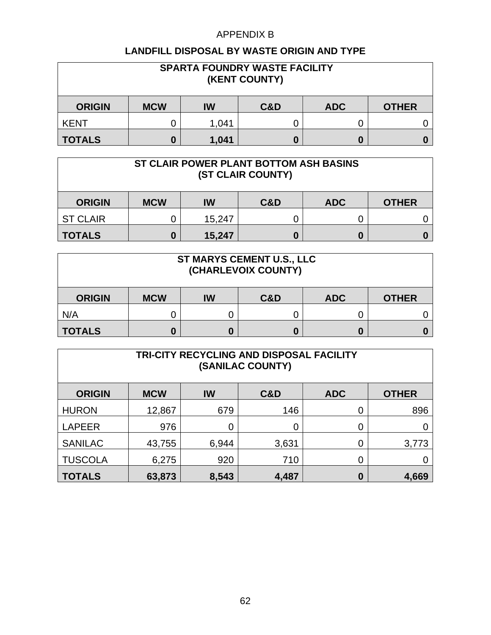| <b>SPARTA FOUNDRY WASTE FACILITY</b><br>(KENT COUNTY) |            |       |     |            |              |  |
|-------------------------------------------------------|------------|-------|-----|------------|--------------|--|
| <b>ORIGIN</b>                                         | <b>MCW</b> | IW    | C&D | <b>ADC</b> | <b>OTHER</b> |  |
| <b>KENT</b>                                           |            | 1,041 |     |            |              |  |
| <b>TOTALS</b>                                         | O          | 1,041 |     |            |              |  |

| ST CLAIR POWER PLANT BOTTOM ASH BASINS<br>(ST CLAIR COUNTY) |            |        |     |            |              |  |  |
|-------------------------------------------------------------|------------|--------|-----|------------|--------------|--|--|
| <b>ORIGIN</b>                                               | <b>MCW</b> | IW     | C&D | <b>ADC</b> | <b>OTHER</b> |  |  |
| <b>ST CLAIR</b>                                             |            | 15,247 |     |            |              |  |  |
| <b>TOTALS</b>                                               |            | 15,247 |     | 0          |              |  |  |

| <b>ST MARYS CEMENT U.S., LLC</b><br>(CHARLEVOIX COUNTY) |            |    |                |            |              |  |  |
|---------------------------------------------------------|------------|----|----------------|------------|--------------|--|--|
| <b>ORIGIN</b>                                           | <b>MCW</b> | IW | <b>C&amp;D</b> | <b>ADC</b> | <b>OTHER</b> |  |  |
| N/A                                                     |            | U  |                |            |              |  |  |
| <b>TOTALS</b>                                           |            | 0  |                |            |              |  |  |

| TRI-CITY RECYCLING AND DISPOSAL FACILITY<br>(SANILAC COUNTY) |            |       |                |            |              |  |  |  |
|--------------------------------------------------------------|------------|-------|----------------|------------|--------------|--|--|--|
| <b>ORIGIN</b>                                                | <b>MCW</b> | IW    | <b>C&amp;D</b> | <b>ADC</b> | <b>OTHER</b> |  |  |  |
| <b>HURON</b>                                                 | 12,867     | 679   | 146            | 0          | 896          |  |  |  |
| <b>LAPEER</b>                                                | 976        | 0     |                | 0          |              |  |  |  |
| <b>SANILAC</b>                                               | 43,755     | 6,944 | 3,631          | 0          | 3,773        |  |  |  |
| <b>TUSCOLA</b>                                               | 6,275      | 920   | 710            | 0          |              |  |  |  |
| <b>TOTALS</b>                                                | 63,873     | 8,543 | 4,487          | 0          | 4,669        |  |  |  |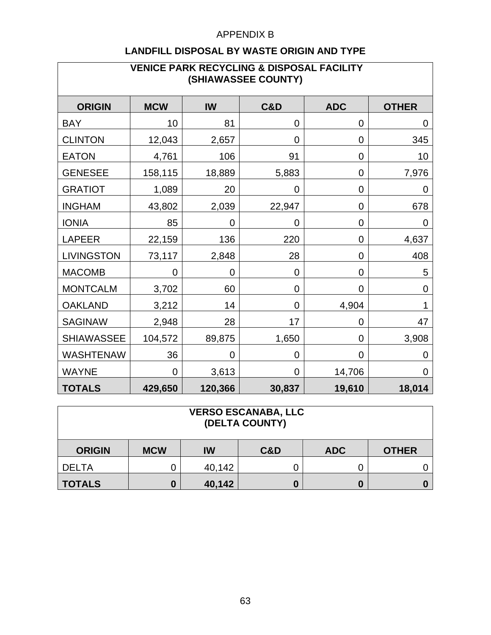| <b>VENICE PARK RECYCLING &amp; DISPOSAL FACILITY</b><br>(SHIAWASSEE COUNTY) |             |                |                |            |                |  |  |  |
|-----------------------------------------------------------------------------|-------------|----------------|----------------|------------|----------------|--|--|--|
| <b>ORIGIN</b>                                                               | <b>MCW</b>  | IW             | <b>C&amp;D</b> | <b>ADC</b> | <b>OTHER</b>   |  |  |  |
| <b>BAY</b>                                                                  | 10          | 81             | 0              | 0          | 0              |  |  |  |
| <b>CLINTON</b>                                                              | 12,043      | 2,657          | 0              | 0          | 345            |  |  |  |
| <b>EATON</b>                                                                | 4,761       | 106            | 91             | 0          | 10             |  |  |  |
| <b>GENESEE</b>                                                              | 158,115     | 18,889         | 5,883          | 0          | 7,976          |  |  |  |
| <b>GRATIOT</b>                                                              | 1,089       | 20             | 0              | 0          | $\overline{0}$ |  |  |  |
| <b>INGHAM</b>                                                               | 43,802      | 2,039          | 22,947         | 0          | 678            |  |  |  |
| <b>IONIA</b>                                                                | 85          | $\overline{0}$ | 0              | 0          | $\overline{0}$ |  |  |  |
| <b>LAPEER</b>                                                               | 22,159      | 136            | 220            | 0          | 4,637          |  |  |  |
| <b>LIVINGSTON</b>                                                           | 73,117      | 2,848          | 28             | 0          | 408            |  |  |  |
| <b>MACOMB</b>                                                               | 0           | $\overline{0}$ | 0              | 0          | 5              |  |  |  |
| <b>MONTCALM</b>                                                             | 3,702       | 60             | 0              | 0          | 0              |  |  |  |
| <b>OAKLAND</b>                                                              | 3,212       | 14             | 0              | 4,904      | 1              |  |  |  |
| <b>SAGINAW</b>                                                              | 2,948       | 28             | 17             | 0          | 47             |  |  |  |
| <b>SHIAWASSEE</b>                                                           | 104,572     | 89,875         | 1,650          | 0          | 3,908          |  |  |  |
| <b>WASHTENAW</b>                                                            | 36          | 0              | 0              | 0          | 0              |  |  |  |
| <b>WAYNE</b>                                                                | $\mathbf 0$ | 3,613          | $\mathbf 0$    | 14,706     | $\mathbf 0$    |  |  |  |
| <b>TOTALS</b>                                                               | 429,650     | 120,366        | 30,837         | 19,610     | 18,014         |  |  |  |

| <b>VERSO ESCANABA, LLC</b><br>(DELTA COUNTY) |            |        |                |            |              |  |  |
|----------------------------------------------|------------|--------|----------------|------------|--------------|--|--|
| <b>ORIGIN</b>                                | <b>MCW</b> | IW     | <b>C&amp;D</b> | <b>ADC</b> | <b>OTHER</b> |  |  |
| <b>DELTA</b>                                 |            | 40,142 |                | C          |              |  |  |
| <b>TOTALS</b>                                | 0          | 40,142 |                | O          |              |  |  |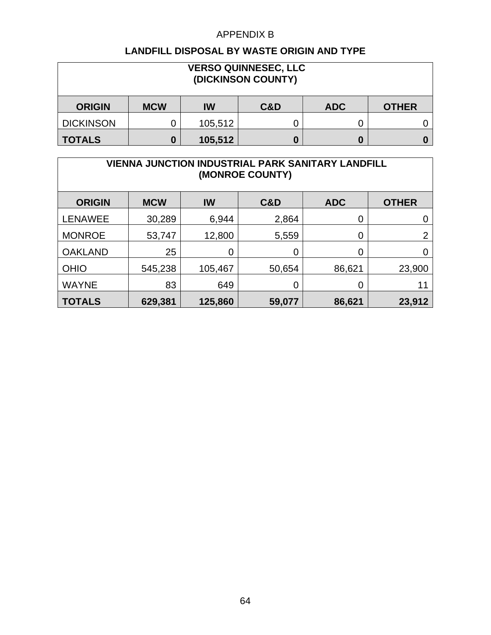#### **LANDFILL DISPOSAL BY WASTE ORIGIN AND TYPE**

| <b>VERSO QUINNESEC, LLC</b><br>(DICKINSON COUNTY) |            |         |     |            |              |  |
|---------------------------------------------------|------------|---------|-----|------------|--------------|--|
| <b>ORIGIN</b>                                     | <b>MCW</b> | IW      | C&D | <b>ADC</b> | <b>OTHER</b> |  |
| <b>DICKINSON</b>                                  |            | 105,512 |     |            |              |  |
| <b>TOTALS</b>                                     | 0          | 105,512 |     |            |              |  |

#### **VIENNA JUNCTION INDUSTRIAL PARK SANITARY LANDFILL (MONROE COUNTY)**

| <b>ORIGIN</b>  | <b>MCW</b> | IW      | <b>C&amp;D</b> | <b>ADC</b> | <b>OTHER</b>   |
|----------------|------------|---------|----------------|------------|----------------|
| <b>LENAWEE</b> | 30,289     | 6,944   | 2,864          | 0          |                |
| <b>MONROE</b>  | 53,747     | 12,800  | 5,559          | 0          | $\overline{2}$ |
| <b>OAKLAND</b> | 25         | 0       | 0              | 0          |                |
| <b>OHIO</b>    | 545,238    | 105,467 | 50,654         | 86,621     | 23,900         |
| <b>WAYNE</b>   | 83         | 649     | 0              | 0          | 11             |
| <b>TOTALS</b>  | 629,381    | 125,860 | 59,077         | 86,621     | 23,912         |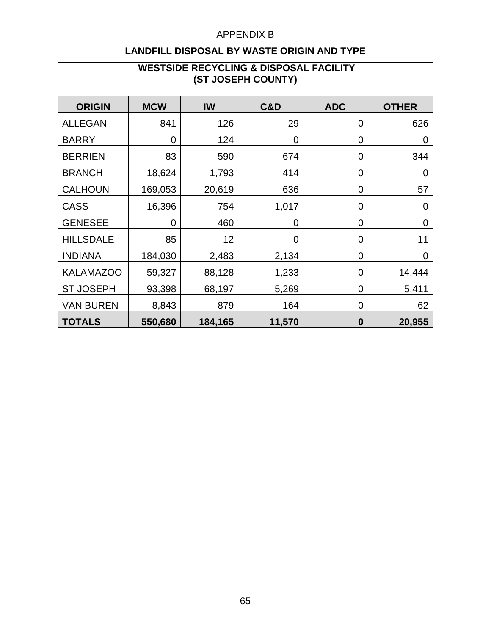| <b>WESTSIDE RECYCLING &amp; DISPOSAL FACILITY</b><br>(ST JOSEPH COUNTY) |             |         |                |                  |                |
|-------------------------------------------------------------------------|-------------|---------|----------------|------------------|----------------|
| <b>ORIGIN</b>                                                           | <b>MCW</b>  | IW      | <b>C&amp;D</b> | <b>ADC</b>       | <b>OTHER</b>   |
| <b>ALLEGAN</b>                                                          | 841         | 126     | 29             | 0                | 626            |
| <b>BARRY</b>                                                            | $\mathbf 0$ | 124     | 0              | 0                | 0              |
| <b>BERRIEN</b>                                                          | 83          | 590     | 674            | 0                | 344            |
| <b>BRANCH</b>                                                           | 18,624      | 1,793   | 414            | 0                | $\overline{0}$ |
| <b>CALHOUN</b>                                                          | 169,053     | 20,619  | 636            | 0                | 57             |
| <b>CASS</b>                                                             | 16,396      | 754     | 1,017          | 0                | $\mathbf 0$    |
| <b>GENESEE</b>                                                          | $\Omega$    | 460     | 0              | $\overline{0}$   | $\overline{0}$ |
| <b>HILLSDALE</b>                                                        | 85          | 12      | 0              | 0                | 11             |
| <b>INDIANA</b>                                                          | 184,030     | 2,483   | 2,134          | 0                | $\mathbf 0$    |
| <b>KALAMAZOO</b>                                                        | 59,327      | 88,128  | 1,233          | $\mathbf 0$      | 14,444         |
| <b>ST JOSEPH</b>                                                        | 93,398      | 68,197  | 5,269          | 0                | 5,411          |
| <b>VAN BUREN</b>                                                        | 8,843       | 879     | 164            | 0                | 62             |
| <b>TOTALS</b>                                                           | 550,680     | 184,165 | 11,570         | $\boldsymbol{0}$ | 20,955         |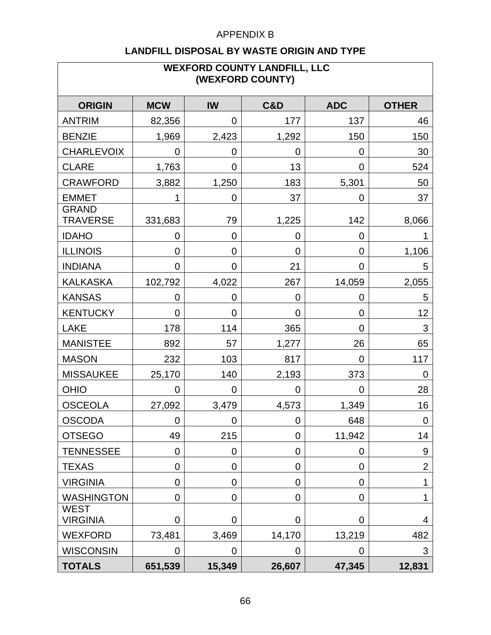| <b>WEXFORD COUNTY LANDFILL, LLC</b><br>(WEXFORD COUNTY) |             |                |                |                |                |
|---------------------------------------------------------|-------------|----------------|----------------|----------------|----------------|
| <b>ORIGIN</b>                                           | <b>MCW</b>  | IW             | <b>C&amp;D</b> | <b>ADC</b>     | <b>OTHER</b>   |
| <b>ANTRIM</b>                                           | 82,356      | 0              | 177            | 137            | 46             |
| <b>BENZIE</b>                                           | 1,969       | 2,423          | 1,292          | 150            | 150            |
| <b>CHARLEVOIX</b>                                       | 0           | 0              | 0              | 0              | 30             |
| <b>CLARE</b>                                            | 1,763       | 0              | 13             | $\overline{0}$ | 524            |
| <b>CRAWFORD</b>                                         | 3,882       | 1,250          | 183            | 5,301          | 50             |
| <b>EMMET</b>                                            | 1           | $\mathbf 0$    | 37             | 0              | 37             |
| <b>GRAND</b><br><b>TRAVERSE</b>                         | 331,683     | 79             | 1,225          | 142            | 8,066          |
| <b>IDAHO</b>                                            | 0           | 0              | 0              | 0              |                |
| <b>ILLINOIS</b>                                         | 0           | $\overline{0}$ | 0              | 0              | 1,106          |
| <b>INDIANA</b>                                          | 0           | $\mathbf 0$    | 21             | 0              | 5              |
| <b>KALKASKA</b>                                         | 102,792     | 4,022          | 267            | 14,059         | 2,055          |
| <b>KANSAS</b>                                           | 0           | $\overline{0}$ | 0              | 0              | 5              |
| <b>KENTUCKY</b>                                         | 0           | 0              | 0              | 0              | 12             |
| <b>LAKE</b>                                             | 178         | 114            | 365            | 0              | 3              |
| <b>MANISTEE</b>                                         | 892         | 57             | 1,277          | 26             | 65             |
| <b>MASON</b>                                            | 232         | 103            | 817            | 0              | 117            |
| <b>MISSAUKEE</b>                                        | 25,170      | 140            | 2,193          | 373            | 0              |
| <b>OHIO</b>                                             | 0           | $\mathbf 0$    | 0              | 0              | 28             |
| <b>OSCEOLA</b>                                          | 27,092      | 3,479          | 4,573          | 1,349          | 16             |
| <b>OSCODA</b>                                           | $\mathbf 0$ | $\overline{0}$ | 0              | 648            | $\mathbf 0$    |
| <b>OTSEGO</b>                                           | 49          | 215            | 0              | 11,942         | 14             |
| <b>TENNESSEE</b>                                        | $\mathbf 0$ | $\overline{0}$ | 0              | 0              | 9              |
| <b>TEXAS</b>                                            | 0           | $\overline{0}$ | 0              | 0              | $\overline{2}$ |
| <b>VIRGINIA</b>                                         | 0           | $\overline{0}$ | 0              | $\overline{0}$ | 1              |
| <b>WASHINGTON</b>                                       | 0           | $\mathbf 0$    | 0              | 0              | 1              |
| WEST<br><b>VIRGINIA</b>                                 | 0           | 0              | 0              | $\overline{0}$ | 4              |
| <b>WEXFORD</b>                                          | 73,481      | 3,469          | 14,170         | 13,219         | 482            |
| <b>WISCONSIN</b>                                        | $\mathbf 0$ | 0              | 0              | 0              | 3              |
| <b>TOTALS</b>                                           | 651,539     | 15,349         | 26,607         | 47,345         | 12,831         |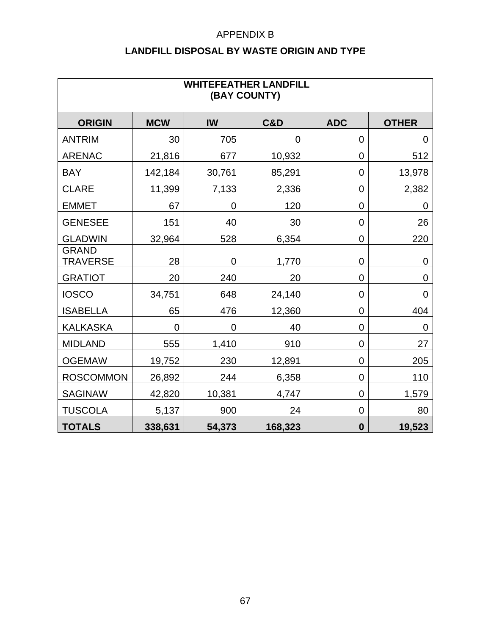|  | LANDFILL DISPOSAL BY WASTE ORIGIN AND TYPE |
|--|--------------------------------------------|
|--|--------------------------------------------|

| <b>WHITEFEATHER LANDFILL</b><br>(BAY COUNTY) |                |                |                |                |                |
|----------------------------------------------|----------------|----------------|----------------|----------------|----------------|
| <b>ORIGIN</b>                                | <b>MCW</b>     | IW             | <b>C&amp;D</b> | <b>ADC</b>     | <b>OTHER</b>   |
| <b>ANTRIM</b>                                | 30             | 705            | $\overline{0}$ | 0              | $\overline{0}$ |
| <b>ARENAC</b>                                | 21,816         | 677            | 10,932         | $\overline{0}$ | 512            |
| <b>BAY</b>                                   | 142,184        | 30,761         | 85,291         | $\overline{0}$ | 13,978         |
| <b>CLARE</b>                                 | 11,399         | 7,133          | 2,336          | $\overline{0}$ | 2,382          |
| <b>EMMET</b>                                 | 67             | $\overline{0}$ | 120            | 0              | $\mathbf 0$    |
| <b>GENESEE</b>                               | 151            | 40             | 30             | 0              | 26             |
| <b>GLADWIN</b>                               | 32,964         | 528            | 6,354          | $\mathbf 0$    | 220            |
| <b>GRAND</b><br><b>TRAVERSE</b>              | 28             | $\mathbf 0$    | 1,770          | $\mathbf 0$    | $\mathbf 0$    |
| <b>GRATIOT</b>                               | 20             | 240            | 20             | $\mathbf 0$    | $\mathbf 0$    |
| <b>IOSCO</b>                                 | 34,751         | 648            | 24,140         | $\mathbf 0$    | $\mathbf 0$    |
| <b>ISABELLA</b>                              | 65             | 476            | 12,360         | $\overline{0}$ | 404            |
| <b>KALKASKA</b>                              | $\overline{0}$ | $\overline{0}$ | 40             | 0              | $\mathbf 0$    |
| <b>MIDLAND</b>                               | 555            | 1,410          | 910            | $\overline{0}$ | 27             |
| <b>OGEMAW</b>                                | 19,752         | 230            | 12,891         | 0              | 205            |
| <b>ROSCOMMON</b>                             | 26,892         | 244            | 6,358          | 0              | 110            |
| <b>SAGINAW</b>                               | 42,820         | 10,381         | 4,747          | 0              | 1,579          |
| <b>TUSCOLA</b>                               | 5,137          | 900            | 24             | $\mathbf 0$    | 80             |
| <b>TOTALS</b>                                | 338,631        | 54,373         | 168,323        | $\bf{0}$       | 19,523         |